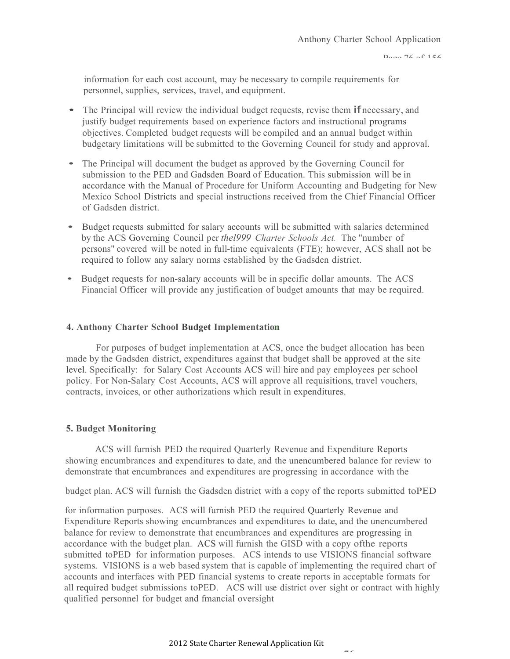information for each cost account, may be necessary to compile requirements for personnel, supplies, services, travel, and equipment.

- The Principal will review the individual budget requests, revise them **if** necessary, and justify budget requirements based on experience factors and instructional programs objectives. Completed budget requests will be compiled and an annual budget within budgetary limitations will be submitted to the Governing Council for study and approval.
- The Principal will document the budget as approved by the Governing Council for submission to the PED and Gadsden Board of Education. This submission will be in accordance with the Manual of Procedure for Uniform Accounting and Budgeting for New Mexico School Districts and special instructions received from the Chief Financial Officer of Gadsden district.
- Budget requests submitted for salary accounts will be submitted with salaries determined by the ACS Governing Council per *thel999 Charter Schools Act.* The "number of persons" covered will be noted in full-time equivalents (FTE); however, ACS shall not be required to follow any salary norms established by the Gadsden district.
- Budget requests for non-salary accounts will be in specific dollar amounts. The ACS Financial Officer will provide any justification of budget amounts that may be required.

#### **4. Anthony Charter School Budget Implementation**

For purposes of budget implementation at ACS, once the budget allocation has been made by the Gadsden district, expenditures against that budget shall be approved at the site level. Specifically: for Salary Cost Accounts ACS will hire and pay employees per school policy. For Non-Salary Cost Accounts, ACS will approve all requisitions, travel vouchers, contracts, invoices, or other authorizations which result in expenditures.

#### **5. Budget Monitoring**

ACS will furnish PED the required Quarterly Revenue and Expenditure Reports showing encumbrances and expenditures to date, and the unencumbered balance for review to demonstrate that encumbrances and expenditures are progressing in accordance with the

budget plan. ACS will furnish the Gadsden district with a copy of the reports submitted toPED

for information purposes. ACS will furnish PED the required Quarterly Revenue and Expenditure Reports showing encumbrances and expenditures to date, and the unencumbered balance for review to demonstrate that encumbrances and expenditures are progressing in accordance with the budget plan. ACS will furnish the GISD with a copy ofthe reports submitted toPED for information purposes. ACS intends to use VISIONS financial software systems. VISIONS is <sup>a</sup> web based system that is capable of implementing the required chart of accounts and interfaces with PED financial systems to create reports in acceptable formats for all required budget submissions toPED. ACS will use district over sight or contract with highly qualified personnel for budget and fmancial oversight

 $\overline{a}$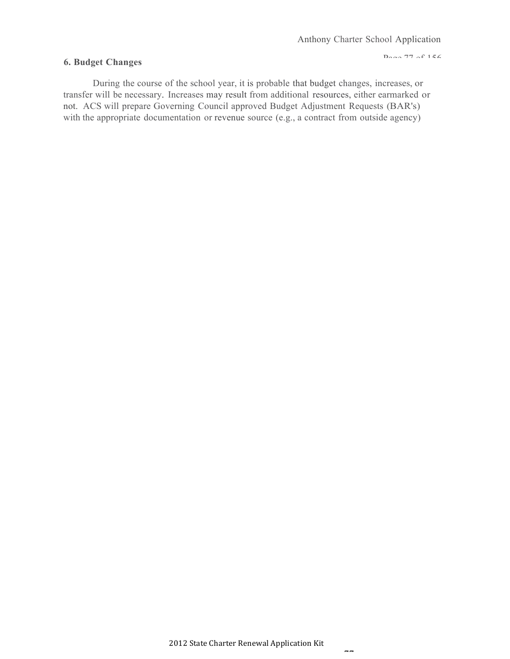#### **6. Budget Changes**

 $D_{\text{max}}$  77 of 156

During the course of the school year, it is probable that budget changes, increases, or transfer will be necessary. Increases may result from additional resources, either earmarked or not. ACS will prepare Governing Council approved Budget Adjustment Requests (BAR's) with the appropriate documentation or revenue source (e.g., a contract from outside agency)

 $\overline{a}$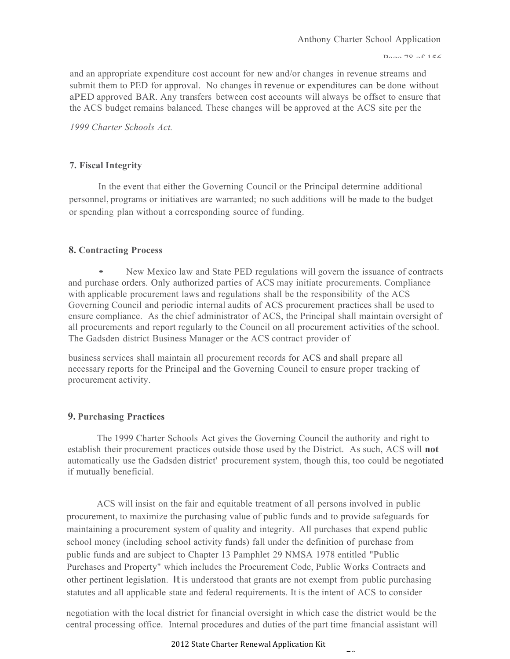$D_{\text{max}}$  70 of 156

and an appropriate expenditure cost account for new and/or changes in revenue streams and submit them to PED for approval. No changes in revenue or expenditures can be done without aPED approved BAR. Any transfers between cost accounts will always be offset to ensure that the ACS budget remains balanced. These changes will be approved at the ACS site per the

*1999 Charter Schools Act.*

## **7. Fiscal Integrity**

In the event that either the Governing Council or the Principal determine additional personnel, programs or initiatives are warranted; no such additions will be made to the budget or spending plan without a corresponding source of funding.

## **8. Contracting Process**

• New Mexico law and State PED regulations will govern the issuance of contracts and purchase orders. Only authorized parties of ACS may initiate procurements. Compliance with applicable procurement laws and regulations shall be the responsibility of the ACS Governing Council and periodic internal audits of ACS procurement practices shall be used to ensure compliance. As the chief administrator of ACS, the Principal shall maintain oversight of all procurements and report regularly to the Council on all procurement activities of the school. The Gadsden district Business Manager or the ACS contract provider of

business services shall maintain all procurement records for ACS and shall prepare all necessary reports for the Principal and the Governing Council to ensure proper tracking of procurement activity.

# **9. Purchasing Practices**

The 1999 Charter Schools Act gives the Governing Council the authority and right to establish their procurement practices outside those used by the District. As such, ACS will **not**  automatically use the Gadsden district' procurement system, though this, too could be negotiated if mutually beneficial.

ACS will insist on the fair and equitable treatment of all persons involved in public procurement, to maximize the purchasing value of public funds and to provide safeguards for maintaining a procurement system of quality and integrity. All purchases that expend public school money (including school activity funds) fall under the definition of purchase from public funds and are subject to Chapter 13 Pamphlet 29 NMSA 1978 entitled "Public Purchases and Property" which includes the Procurement Code, Public Works Contracts and other pertinent legislation. Itis understood that grants are not exempt from public purchasing statutes and all applicable state and federal requirements. It is the intent of ACS to consider

negotiation with the local district for financial oversight in which case the district would be the central processing office. Internal procedures and duties of the part time fmancial assistant will

#### 2012 State Charter Renewal Application Kit

 $\overline{\phantom{a}}$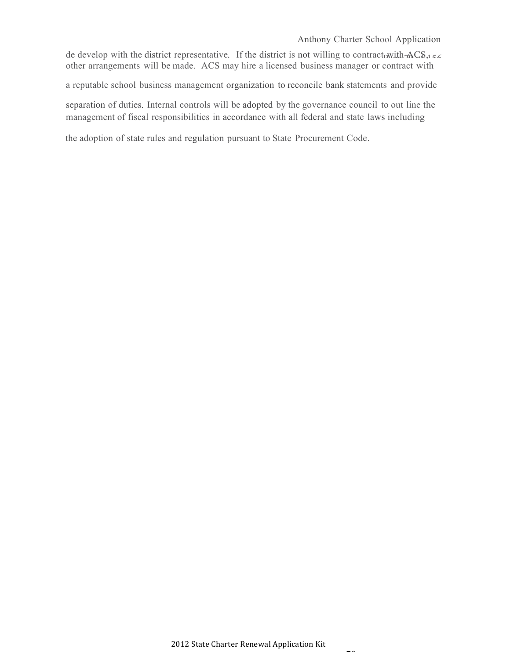Anthony Charter School Application

de develop with the district representative. If the district is not willing to contract with  $ACS$ , other arrangements will be made. ACS may hire a licensed business manager or contract with

a reputable school business management organization to reconcile bank statements and provide

separation of duties. Internal controls will be adopted by the governance council to out line the management of fiscal responsibilities in accordance with all federal and state laws including

the adoption of state rules and regulation pursuant to State Procurement Code.

 $\overline{\phantom{a}}$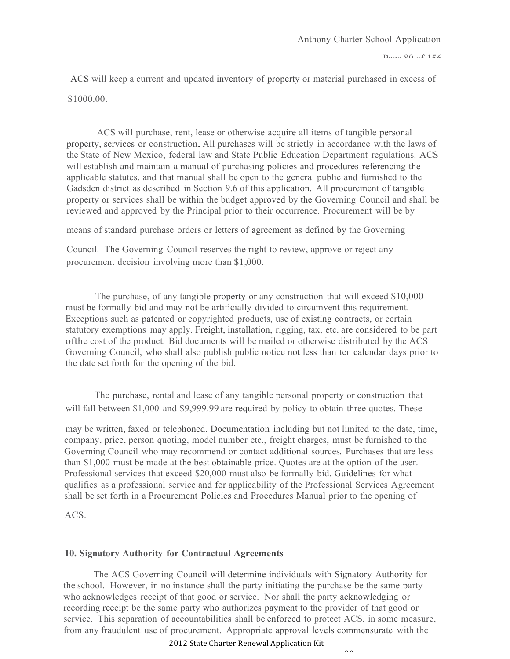ACS will keep a current and updated inventory of property or material purchased in excess of

\$1000.00.

ACS will purchase, rent, lease or otherwise acquire all items of tangible personal property, services or construction. All purchases will be strictly in accordance with the laws of the State of New Mexico, federal law and State Public Education Department regulations. ACS will establish and maintain a manual of purchasing policies and procedures referencing the applicable statutes, and that manual shall be open to the general public and furnished to the Gadsden district as described in Section 9.6 of this application. All procurement of tangible property or services shall be within the budget approved by the Governing Council and shall be reviewed and approved by the Principal prior to their occurrence. Procurement will be by

means of standard purchase orders or letters of agreement as defined by the Governing

Council. The Governing Council reserves the right to review, approve or reject any procurement decision involving more than \$1,000.

The purchase, of any tangible property or any construction that will exceed \$10,000 must be formally bid and may not be artificially divided to circumvent this requirement. Exceptions such as patented or copyrighted products, use of existing contracts, or certain statutory exemptions may apply. Freight, installation, rigging, tax, etc. are considered to be part ofthe cost of the product. Bid documents will be mailed or otherwise distributed by the ACS Governing Council, who shall also publish public notice not less than ten calendar days prior to the date set forth for the opening of the bid.

The purchase, rental and lease of any tangible personal property or construction that will fall between \$1,000 and \$9,999.99 are required by policy to obtain three quotes. These

may be written, faxed or telephoned. Documentation including but not limited to the date, time, company, price, person quoting, model number etc., freight charges, must be furnished to the Governing Council who may recommend or contact additional sources. Purchases that are less than \$1,000 must be made at the best obtainable price. Quotes are at the option of the user. Professional services that exceed \$20,000 must also be formally bid. Guidelines for what qualifies as a professional service and for applicability of the Professional Services Agreement shall be set forth in a Procurement Policies and Procedures Manual prior to the opening of

ACS.

#### **10. Signatory Authority for Contractual Agreements**

The ACS Governing Council will determine individuals with Signatory Authority for the school. However, in no instance shall the party initiating the purchase be the same party who acknowledges receipt of that good or service. Nor shall the party acknowledging or recording receipt be the same party who authorizes payment to the provider of that good or service. This separation of accountabilities shall be enforced to protect ACS, in some measure, from any fraudulent use of procurement. Appropriate approval levels commensurate with the

2012 State Charter Renewal Application Kit

 $0<sup>0</sup>$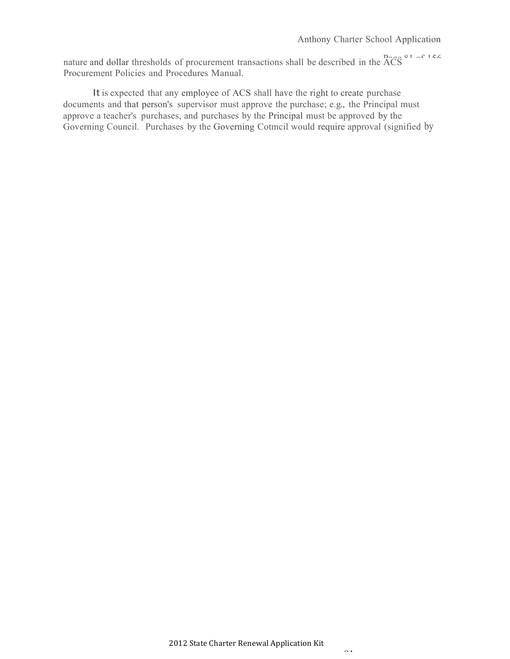nature and dollar thresholds of procurement transactions shall be described in the  $\widehat{ACS}^{\circ 1}$ Procurement Policies and Procedures Manual.

It is expected that any employee of ACS shall have the right to create purchase documents and that person's supervisor must approve the purchase; e.g., the Principal must approve a teacher's purchases, and purchases by the Principal must be approved by the Governing Council. Purchases by the Governing Cotmcil would require approval (signified by

 $01$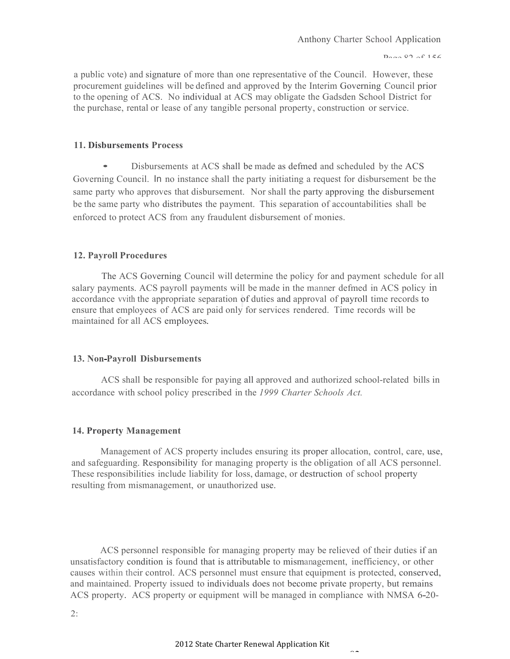a public vote) and signature of more than one representative of the Council. However, these procurement guidelines will be defined and approved by the Interim Governing Council prior to the opening of ACS. No individual at ACS may obligate the Gadsden School District for the purchase, rental or lease of any tangible personal property, construction or service.

#### **11. Disbursements Process**

• Disbursements at ACS shall be made as defmed and scheduled by the ACS Governing Council. In no instance shall the party initiating a request for disbursement be the same party who approves that disbursement. Nor shall the party approving the disbursement be the same party who distributes the payment. This separation of accountabilities shall be enforced to protect ACS from any fraudulent disbursement of monies.

#### **12. Payroll Procedures**

The ACS Governing Council will determine the policy for and payment schedule for all salary payments. ACS payroll payments will be made in the manner defmed in ACS policy in accordance vvith the appropriate separation of duties and approval of payroll time records to ensure that employees of ACS are paid only for services rendered. Time records will be maintained for all ACS employees.

#### **13. Non-Payroll Disbursements**

ACS shall be responsible for paying all approved and authorized school-related bills in accordance with school policy prescribed in the *1999 Charter Schools Act.*

#### **14. Property Management**

Management of ACS property includes ensuring its proper allocation, control, care, use, and safeguarding. Responsibility for managing property is the obligation of all ACS personnel. These responsibilities include liability for loss, damage, or destruction of school property resulting from mismanagement, or unauthorized use.

ACS personnel responsible for managing property may be relieved of their duties if an unsatisfactory condition is found that is attributable to mismanagement, inefficiency, or other causes within their control. ACS personnel must ensure that equipment is protected, conserved, and maintained. Property issued to individuals does not become private property, but remains ACS property. ACS property or equipment will be managed in compliance with NMSA 6-20-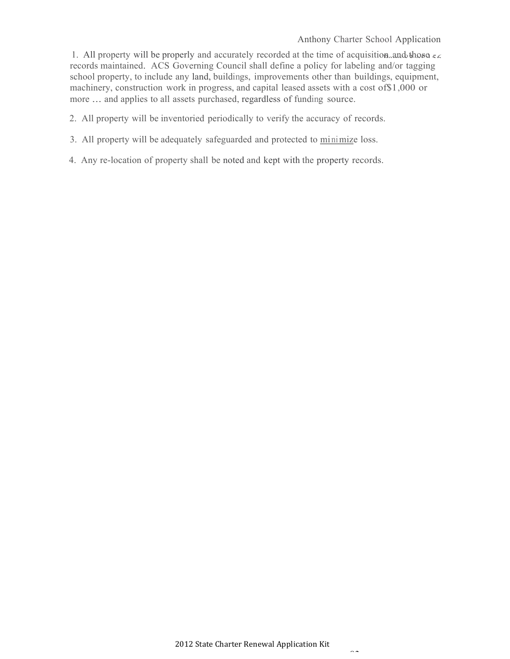1. All property will be properly and accurately recorded at the time of acquisition and those  $\epsilon$ records maintained. ACS Governing Council shall define a policy for labeling and/or tagging school property, to include any land, buildings, improvements other than buildings, equipment, machinery, construction work in progress, and capital leased assets with a cost of\$1,000 or more ... and applies to all assets purchased, regardless of funding source.

- 2. All property will be inventoried periodically to verify the accuracy of records.
- 3. All property will be adequately safeguarded and protected to minimize loss.
- 4. Any re-location of property shall be noted and kept with the property records.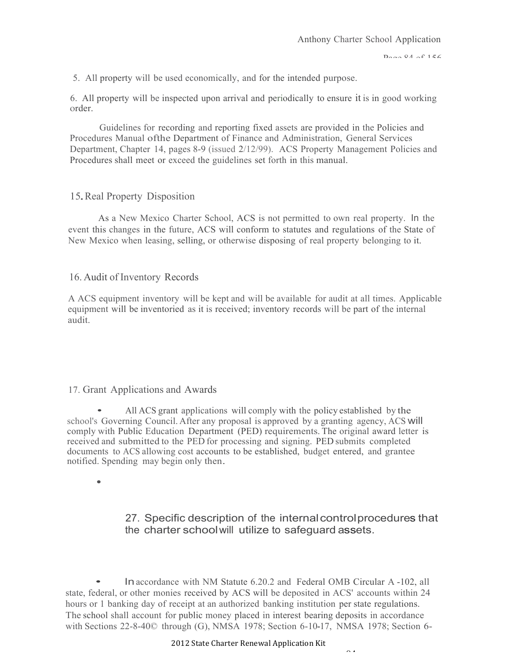5. All property will be used economically, and for the intended purpose.

6. All property will be inspected upon arrival and periodically to ensure it is in good working order.

Guidelines for recording and reporting fixed assets are provided in the Policies and Procedures Manual ofthe Department of Finance and Administration, General Services Department, Chapter 14, pages 8-9 (issued 2/12/99). ACS Property Management Policies and Procedures shall meet or exceed the guidelines set forth in this manual.

## 15.Real Property Disposition

As a New Mexico Charter School, ACS is not permitted to own real property. In the event this changes in the future, ACS will conform to statutes and regulations of the State of New Mexico when leasing, selling, or otherwise disposing of real property belonging to it.

## 16. Audit of Inventory Records

A ACS equipment inventory will be kept and will be available for audit at all times. Applicable equipment will be inventoried as it is received; inventory records will be part of the internal audit.

#### 17. Grant Applications and Awards

• All ACS grant applications will comply with the policy established by the school's Governing Council. After any proposal is approved by a granting agency, ACS will comply with Public Education Department (PED) requirements. The original award letter is received and submitted to the PED for processing and signing. PED submits completed documents to ACS allowing cost accounts to be established, budget entered, and grantee notified. Spending may begin only then.

•

27. Specific description of the internalcontrolprocedures that the charter schoolwill utilize to safeguard assets.

 $\Omega$ 

• Inaccordance with NM Statute 6.20.2 and Federal OMB Circular <sup>A</sup> -102, all state, federal, or other monies received by ACS will be deposited in ACS' accounts within 24 hours or 1 banking day of receipt at an authorized banking institution per state regulations. The school shall account for public money placed in interest bearing deposits in accordance with Sections 22-8-40© through (G), NMSA 1978; Section 6-10-17, NMSA 1978; Section 6-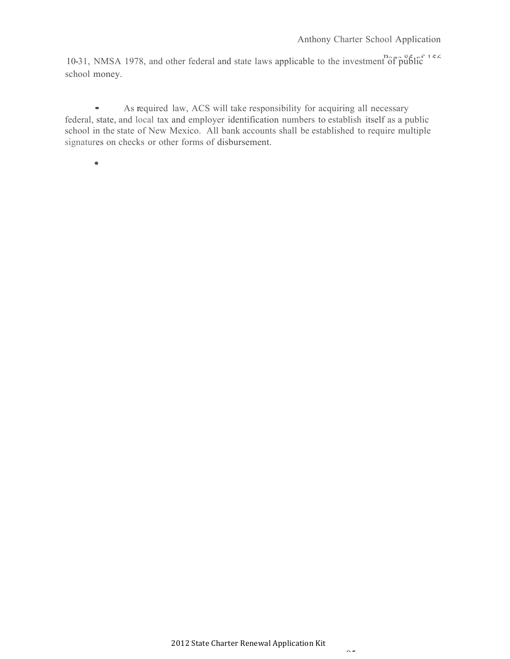10-31, NMSA 1978, and other federal and state laws applicable to the investment of  $\tilde{p}u\tilde{b}f\tilde{c}^{15}$ school money.

• As required law, ACS will take responsibility for acquiring all necessary federal, state, and local tax and employer identification numbers to establish itself as a public school in the state of New Mexico. All bank accounts shall be established to require multiple signatures on checks or other forms of disbursement.

•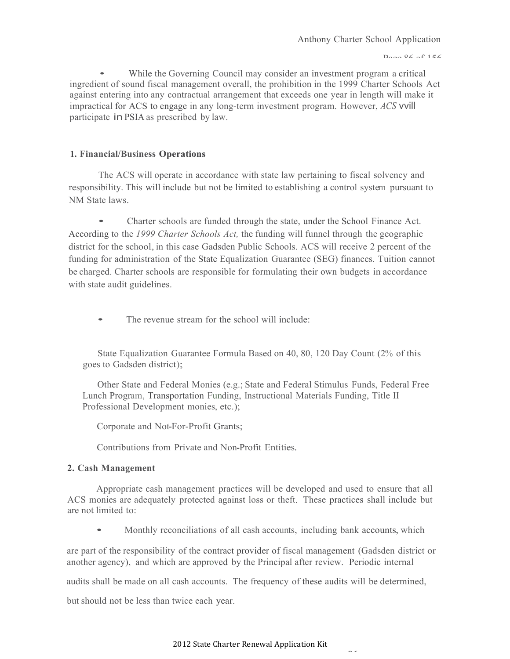#### $D_{\text{max}}$  06 of 156

While the Governing Council may consider an investment program a critical ingredient of sound fiscal management overall, the prohibition in the 1999 Charter Schools Act against entering into any contractual arrangement that exceeds one year in length will make it impractical for ACS to engage in any long-term investment program. However, *ACS* vvill participate inPSIA as prescribed by law.

#### **1. Financial/Business Operations**

The ACS will operate in accordance with state law pertaining to fiscal solvency and responsibility. This will include but not be limited to establishing a control system pursuant to NM State laws.

• Charter schools are funded through the state, under the School Finance Act. According to the *1999 Charter Schools Act,* the funding will funnel through the geographic district for the school, in this case Gadsden Public Schools. ACS will receive 2 percent of the funding for administration of the State Equalization Guarantee (SEG) finances. Tuition cannot be charged. Charter schools are responsible for formulating their own budgets in accordance with state audit guidelines.

• The revenue stream for the school will include:

State Equalization Guarantee Formula Based on 40, 80, 120 Day Count (2% of this goes to Gadsden district);

Other State and Federal Monies (e.g.; State and Federal Stimulus Funds, Federal Free Lunch Program, Transportation Funding, Instructional Materials Funding, Title II Professional Development monies, etc.);

Corporate and Not-For-Profit Grants;

Contributions from Private and Non-Profit Entities.

#### **2. Cash Management**

Appropriate cash management practices will be developed and used to ensure that all ACS monies are adequately protected against loss or theft. These practices shall include but are not limited to:

• Monthly reconciliations of all cash accounts, including bank accounts, which

are part of the responsibility of the contract provider of fiscal management (Gadsden district or another agency), and which are approved by the Principal after review. Periodic internal

audits shall be made on all cash accounts. The frequency of these audits will be determined,

but should not be less than twice each year.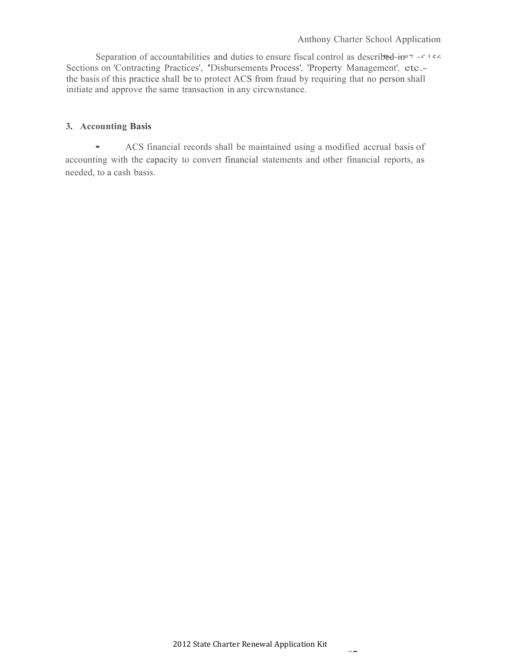Separation of accountabilities and duties to ensure fiscal control as described-in<sup>or-cric</sup> Sections on 'Contracting Practices', 'Disbursements Process', 'Property Management', etc. the basis of this practice shall be to protect ACS from fraud by requiring that no person shall initiate and approve the same transaction in any circwnstance.

# **3. Accounting Basis**

• ACS financial records shall be maintained using <sup>a</sup> modified accrual basis of accounting with the capacity to convert financial statements and other financial reports, as needed, to a cash basis.

 $\sim$   $-$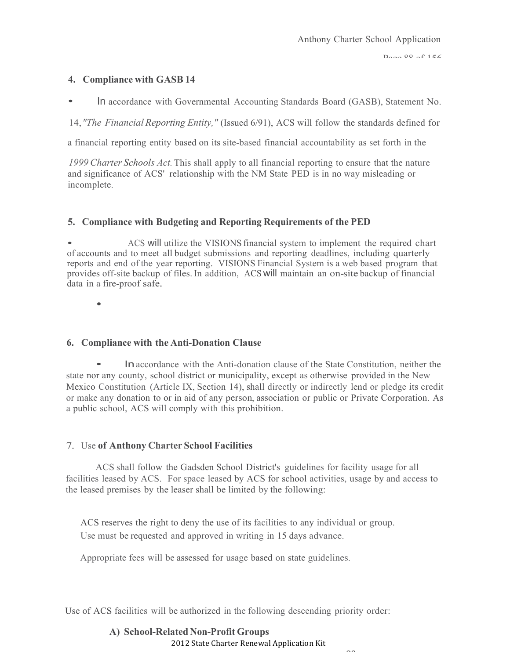#### **4. Compliance with GASB 14**

• In accordance with Governmental Accounting Standards Board (GASB), Statement No.

14,*"The Financial Reporting Entity,"* (Issued 6/91), ACS will follow the standards defined for

a financial reporting entity based on its site-based financial accountability as set forth in the

*1999 Charter Schools Act.*This shall apply to all financial reporting to ensure that the nature and significance of ACS' relationship with the NM State PED is in no way misleading or incomplete.

# **5. Compliance with Budgeting and Reporting Requirements of the PED**

• ACS will utilize the VISIONS financial system to implement the required chart of accounts and to meet all budget submissions and reporting deadlines, including quarterly reports and end of the year reporting. VISIONS Financial System is a web based program that provides off-site backup of files. In addition, ACS will maintain an on-site backup of financial data in <sup>a</sup> fire-proof safe.

•

# **6. Compliance with the Anti-Donation Clause**

• Inaccordance with the Anti-donation clause of the State Constitution, neither the state nor any county, school district or municipality, except as otherwise provided in the New Mexico Constitution (Article IX, Section 14), shall directly or indirectly lend or pledge its credit or make any donation to or in aid of any person, association or public or Private Corporation. As a public school, ACS will comply with this prohibition.

# 7. Use **of Anthony Charter School Facilities**

ACS shall follow the Gadsden School District's guidelines for facility usage for all facilities leased by ACS. For space leased by ACS for school activities, usage by and access to the leased premises by the leaser shall be limited by the following:

ACS reserves the right to deny the use of its facilities to any individual or group. Use must be requested and approved in writing in 15 days advance.

Appropriate fees will be assessed for usage based on state guidelines.

Use of ACS facilities will be authorized in the following descending priority order:

# 2012 State Charter Renewal Application Kit **A) School-Related Non-Profit Groups**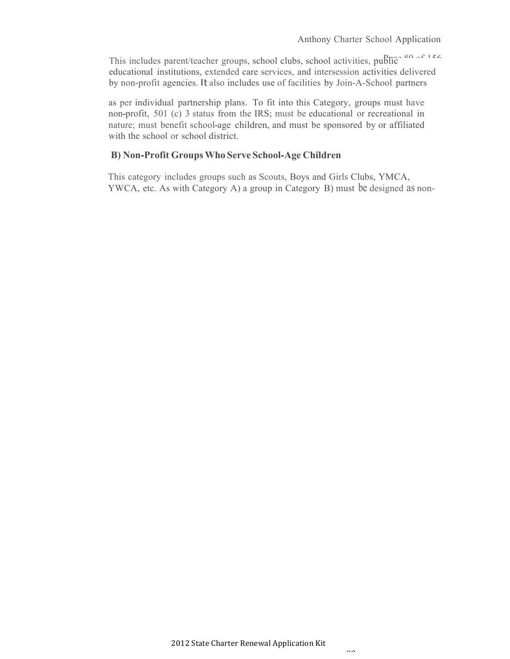This includes parent/teacher groups, school clubs, school activities, public $\frac{80}{15}$ educational institutions, extended care services, and intersession activities delivered by non-profit agencies. It also includes use of facilities by Join-A-School partners

as per individual partnership plans. To fit into this Category, groups must have non-profit, 501 (c) 3 status from the IRS; must be educational or recreational in nature; must benefit school-age children, and must be sponsored by or affiliated with the school or school district.

# **B) Non-Profit GroupsWho Serve School-Age Children**

This category includes groups such as Scouts, Boys and Girls Clubs, YMCA, YWCA, etc. As with Category A) a group in Category B) must be designed as non-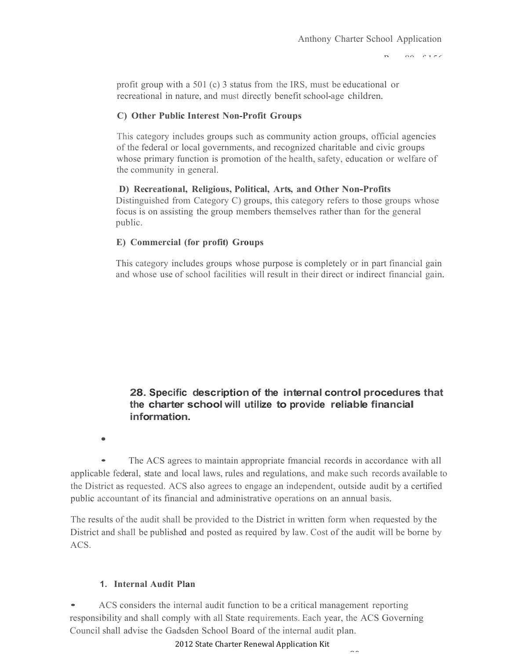$\Omega$ <sup> $\Omega$ </sup>  $\Omega$  156

profit group with a 501 (c) 3 status from the IRS, must be educational or recreational in nature, and must directly benefit school-age children.

# **C) Other Public Interest Non-Profit Groups**

This category includes groups such as community action groups, official agencies of the federal or local governments, and recognized charitable and civic groups whose primary function is promotion of the health, safety, education or welfare of the community in general.

**D) Recreational, Religious, Political, Arts, and Other Non-Profits**  Distinguished from Category C) groups, this category refers to those groups whose focus is on assisting the group members themselves rather than for the general public.

## **E) Commercial (for profit) Groups**

This category includes groups whose purpose is completely or in part financial gain and whose use of school facilities will result in their direct or indirect financial gain.

# **28. Specific description of the internal control procedures that the charter school will utilize to provide reliable financial information.**

•

• The ACS agrees to maintain appropriate fmancial records in accordance with all applicable federal, state and local laws, rules and regulations, and make such records available to the District as requested. ACS also agrees to engage an independent, outside audit by a certified public accountant of its financial and administrative operations on an annual basis.

The results of the audit shall be provided to the District in written form when requested by the District and shall be published and posted as required by law. Cost of the audit will be borne by ACS.

#### **1. Internal Audit Plan**

• ACS considers the internal audit function to be <sup>a</sup> critical management reporting responsibility and shall comply with all State requirements. Each year, the ACS Governing Council shall advise the Gadsden School Board of the internal audit plan.

2012 State Charter Renewal Application Kit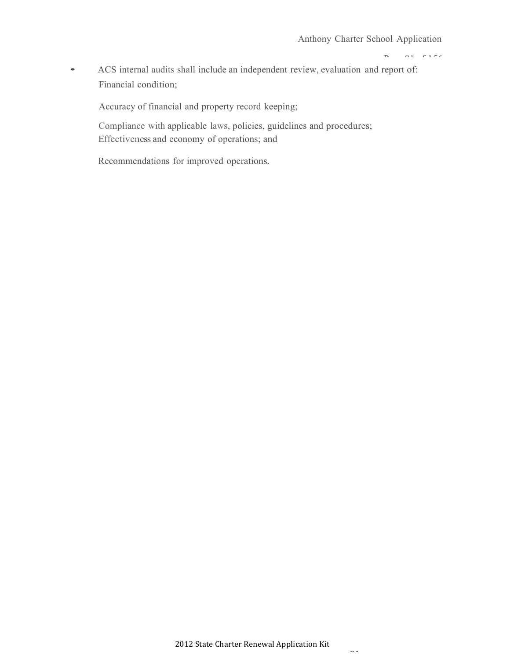$P = 8100 + 156$ 

• ACS internal audits shall include an independent review, evaluation and report of: Financial condition;

Accuracy of financial and property record keeping;

Compliance with applicable laws, policies, guidelines and procedures; Effectiveness and economy of operations; and

Recommendations for improved operations.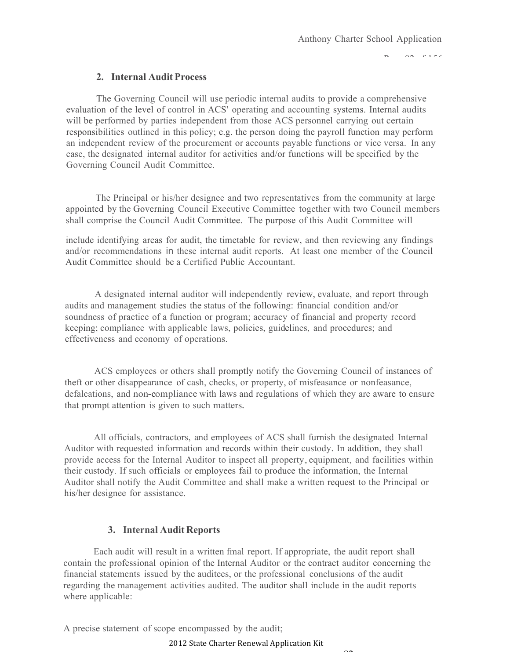$P^2 \cap R^2 \cap R^2$ 

#### **2. Internal Audit Process**

The Governing Council will use periodic internal audits to provide a comprehensive evaluation of the level of control in ACS' operating and accounting systems. Internal audits will be performed by parties independent from those ACS personnel carrying out certain responsibilities outlined in this policy; e.g. the person doing the payroll function may perform an independent review of the procurement or accounts payable functions or vice versa. In any case, the designated internal auditor for activities and/or functions will be specified by the Governing Council Audit Committee.

The Principal or his/her designee and two representatives from the community at large appointed by the Governing Council Executive Committee together with two Council members shall comprise the Council Audit Committee. The purpose of this Audit Committee will

include identifying areas for audit, the timetable for review, and then reviewing any findings and/or recommendations in these internal audit reports. At least one member of the Council Audit Committee should be a Certified Public Accountant.

A designated internal auditor will independently review, evaluate, and report through audits and management studies the status of the following: financial condition and/or soundness of practice of a function or program; accuracy of financial and property record keeping; compliance with applicable laws, policies, guidelines, and procedures; and effectiveness and economy of operations.

ACS employees or others shall promptly notify the Governing Council of instances of theft or other disappearance of cash, checks, or property, of misfeasance or nonfeasance, defalcations, and non-compliance with laws and regulations of which they are aware to ensure that prompt attention is given to such matters.

All officials, contractors, and employees of ACS shall furnish the designated Internal Auditor with requested information and records within their custody. In addition, they shall provide access for the Internal Auditor to inspect all property, equipment, and facilities within their custody. If such officials or employees fail to produce the information, the Internal Auditor shall notify the Audit Committee and shall make a written request to the Principal or his/her designee for assistance.

#### **3. Internal Audit Reports**

Each audit will result in a written fmal report. If appropriate, the audit report shall contain the professional opinion of the Internal Auditor or the contract auditor concerning the financial statements issued by the auditees, or the professional conclusions of the audit regarding the management activities audited. The auditor shall include in the audit reports where applicable:

A precise statement of scope encompassed by the audit;

2012 State Charter Renewal Application Kit

 $02$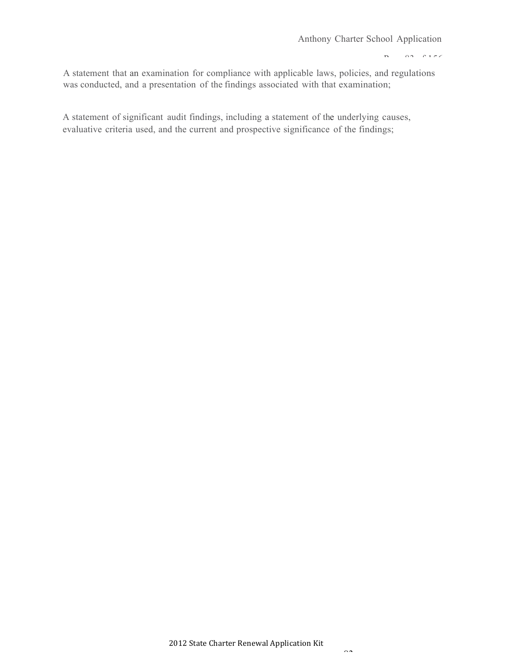$P = 83$  of  $156$ 

A statement that an examination for compliance with applicable laws, policies, and regulations was conducted, and a presentation of the findings associated with that examination;

A statement of significant audit findings, including a statement of the underlying causes, evaluative criteria used, and the current and prospective significance of the findings;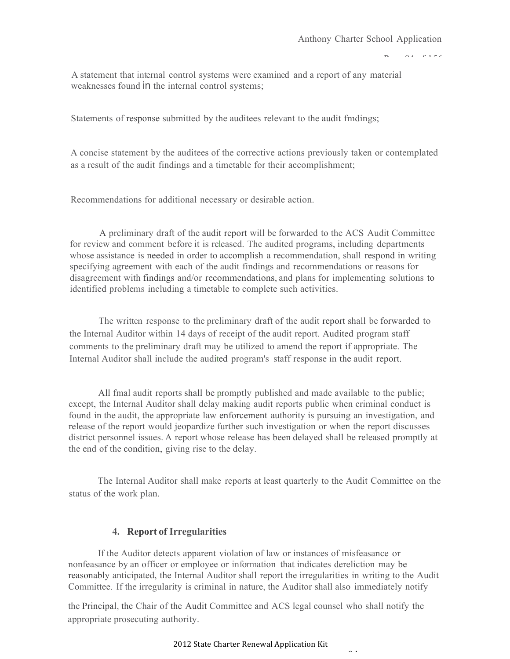$P = 84.8156$ 

A statement that internal control systems were examined and a report of any material weaknesses found in the internal control systems;

Statements of response submitted by the auditees relevant to the audit fmdings;

A concise statement by the auditees of the corrective actions previously taken or contemplated as a result of the audit findings and a timetable for their accomplishment;

Recommendations for additional necessary or desirable action.

A preliminary draft of the audit report will be forwarded to the ACS Audit Committee for review and comment before it is released. The audited programs, including departments whose assistance is needed in order to accomplish a recommendation, shall respond in writing specifying agreement with each of the audit findings and recommendations or reasons for disagreement with findings and/or recommendations, and plans for implementing solutions to identified problems including a timetable to complete such activities.

The written response to the preliminary draft of the audit report shall be forwarded to the Internal Auditor within 14 days of receipt of the audit report. Audited program staff comments to the preliminary draft may be utilized to amend the report if appropriate. The Internal Auditor shall include the audited program's staff response in the audit report.

All fmal audit reports shall be promptly published and made available to the public; except, the Internal Auditor shall delay making audit reports public when criminal conduct is found in the audit, the appropriate law enforcement authority is pursuing an investigation, and release of the report would jeopardize further such investigation or when the report discusses district personnel issues. A report whose release has been delayed shall be released promptly at the end of the condition, giving rise to the delay.

The Internal Auditor shall make reports at least quarterly to the Audit Committee on the status of the work plan.

#### **4. Report of Irregularities**

If the Auditor detects apparent violation of law or instances of misfeasance or nonfeasance by an officer or employee or information that indicates dereliction may be reasonably anticipated, the Internal Auditor shall report the irregularities in writing to the Audit Committee. If the irregularity is criminal in nature, the Auditor shall also immediately notify

the Principal, the Chair of the Audit Committee and ACS legal counsel who shall notify the appropriate prosecuting authority.

#### 2012 State Charter Renewal Application Kit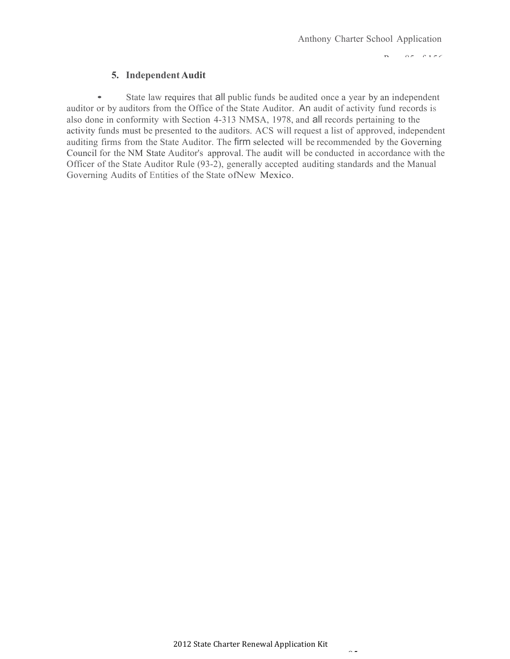$P = \alpha \pi + \alpha \pi$ 

## **5. Independent Audit**

• State law requires that all public funds be audited once a year by an independent auditor or by auditors from the Office of the State Auditor. An audit of activity fund records is also done in conformity with Section 4-313 NMSA, 1978, and all records pertaining to the activity funds must be presented to the auditors. ACS will request a list of approved, independent auditing firms from the State Auditor. The firm selected will be recommended by the Governing Council for the NM State Auditor's approval. The audit will be conducted in accordance with the Officer of the State Auditor Rule (93-2), generally accepted auditing standards and the Manual Governing Audits of Entities of the State ofNew Mexico.

 $\sim$   $\sim$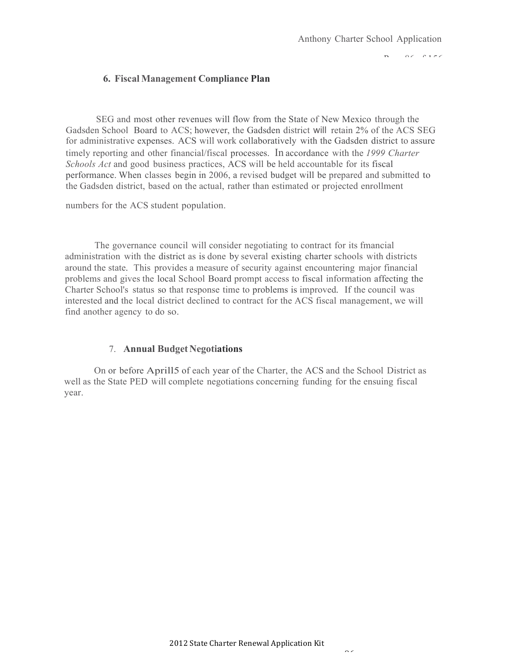$\Omega \subset \Omega$  156

## **6. Fiscal Management Compliance Plan**

SEG and most other revenues will flow from the State of New Mexico through the Gadsden School Board to ACS; however, the Gadsden district will retain 2% of the ACS SEG for administrative expenses. ACS will work collaboratively with the Gadsden district to assure timely reporting and other financial/fiscal processes. In accordance with the *1999 Charter Schools Act* and good business practices, ACS will be held accountable for its fiscal performance. When classes begin in 2006, a revised budget will be prepared and submitted to the Gadsden district, based on the actual, rather than estimated or projected enrollment

numbers for the ACS student population.

The governance council will consider negotiating to contract for its fmancial administration with the district as is done by several existing charter schools with districts around the state. This provides a measure of security against encountering major financial problems and gives the local School Board prompt access to fiscal information affecting the Charter School's status so that response time to problems is improved. If the council was interested and the local district declined to contract for the ACS fiscal management, we will find another agency to do so.

#### 7. **Annual Budget Negotiations**

On or before Aprill5 of each year of the Charter, the ACS and the School District as well as the State PED will complete negotiations concerning funding for the ensuing fiscal year.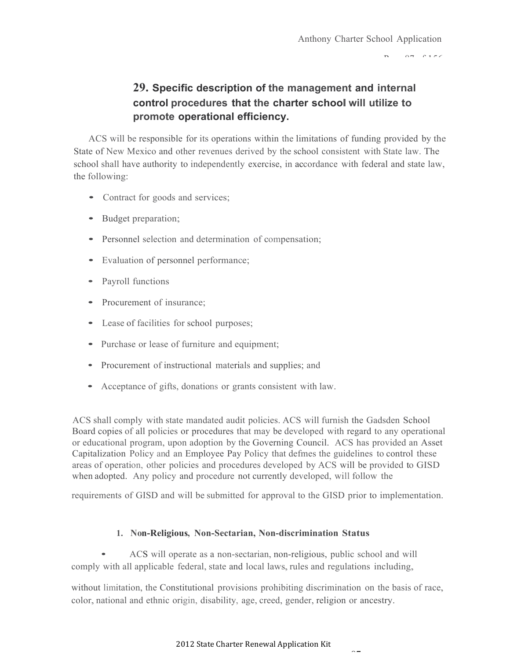$PZ = 8156$ 

# **29. Specific description of the management and internal control procedures that the charter school will utilize to promote operational efficiency.**

ACS will be responsible for its operations within the limitations of funding provided by the State of New Mexico and other revenues derived by the school consistent with State law. The school shall have authority to independently exercise, in accordance with federal and state law, the following:

- Contract for goods and services;
- Budget preparation;
- Personnel selection and determination of compensation;
- Evaluation of personnel performance;
- Payroll functions
- Procurement of insurance;
- Lease of facilities for school purposes;
- Purchase or lease of furniture and equipment;
- Procurement of instructional materials and supplies; and
- Acceptance of gifts, donations or grants consistent with law.

ACS shall comply with state mandated audit policies. ACS will furnish the Gadsden School Board copies of all policies or procedures that may be developed with regard to any operational or educational program, upon adoption by the Governing Council. ACS has provided an Asset Capitalization Policy and an Employee Pay Policy that defmes the guidelines to control these areas of operation, other policies and procedures developed by ACS will be provided to GISD when adopted. Any policy and procedure not currently developed, will follow the

requirements of GISD and will be submitted for approval to the GISD prior to implementation.

# **1. Non-Religious, Non-Sectarian, Non-discrimination Status**

• ACS will operate as <sup>a</sup> non-sectarian, non-religious, public school and will comply with all applicable federal, state and local laws, rules and regulations including,

without limitation, the Constitutional provisions prohibiting discrimination on the basis of race, color, national and ethnic origin, disability, age, creed, gender, religion or ancestry.

 $\sim$   $\sim$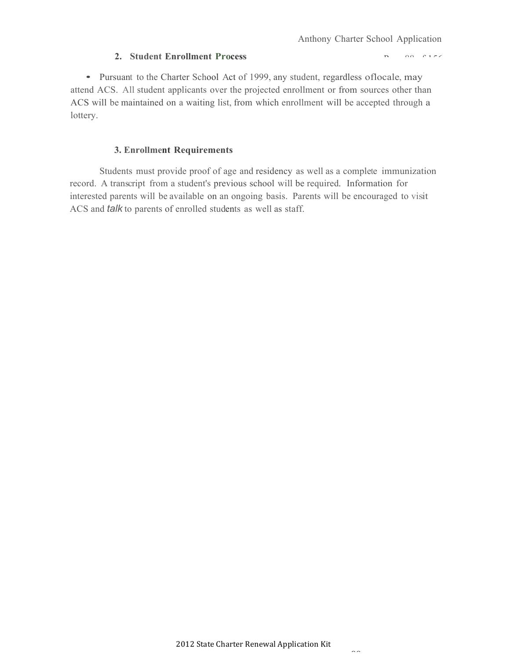$P = \Omega S + \Gamma S$ 

#### **2. Student Enrollment Process**

• Pursuant to the Charter School Act of 1999, any student, regardless oflocale, may attend ACS. All student applicants over the projected enrollment or from sources other than ACS will be maintained on a waiting list, from which enrollment will be accepted through a lottery.

#### **3. Enrollment Requirements**

Students must provide proof of age and residency as well as a complete immunization record. A transcript from a student's previous school will be required. Information for interested parents will be available on an ongoing basis. Parents will be encouraged to visit ACS and *talk* to parents of enrolled students as well as staff.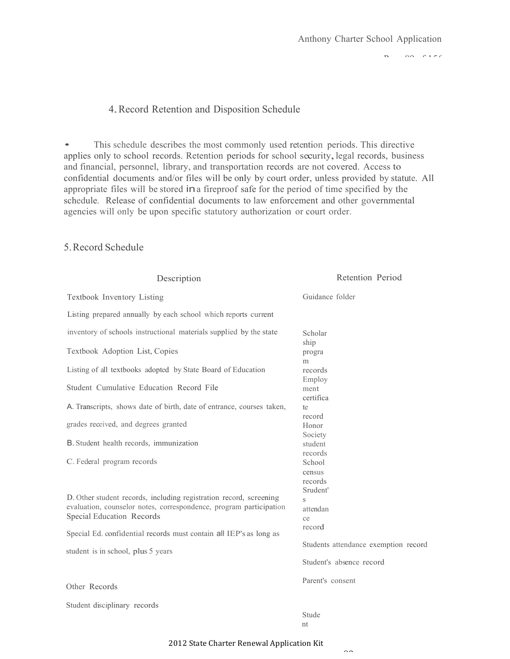$P = 89$ 

#### 4.Record Retention and Disposition Schedule

• This schedule describes the most commonly used retention periods. This directive applies only to school records. Retention periods for school security, legal records, business and financial, personnel, library, and transportation records are not covered. Access to confidential documents and/or files will be only by court order, unless provided by statute. All appropriate files will be stored ina fireproof safe for the period of time specified by the schedule. Release of confidential documents to law enforcement and other governmental agencies will only be upon specific statutory authorization or court order.

## 5.Record Schedule

| Description                                                                                                                                                           | Retention Period                        |
|-----------------------------------------------------------------------------------------------------------------------------------------------------------------------|-----------------------------------------|
| Textbook Inventory Listing                                                                                                                                            | Guidance folder                         |
| Listing prepared annually by each school which reports current                                                                                                        |                                         |
| inventory of schools instructional materials supplied by the state                                                                                                    | Scholar<br>ship                         |
| Textbook Adoption List, Copies                                                                                                                                        | progra<br>m                             |
| Listing of all textbooks adopted by State Board of Education                                                                                                          | records<br>Employ                       |
| Student Cumulative Education Record File                                                                                                                              | ment<br>certifica                       |
| A. Transcripts, shows date of birth, date of entrance, courses taken,                                                                                                 | te<br>record                            |
| grades received, and degrees granted                                                                                                                                  | Honor<br>Society                        |
| B. Student health records, immunization                                                                                                                               | student<br>records                      |
| C. Federal program records                                                                                                                                            | School<br>census<br>records<br>Srudent' |
| D. Other student records, including registration record, screening<br>evaluation, counselor notes, correspondence, program participation<br>Special Education Records | $\mathbf S$<br>attendan                 |
| Special Ed. confidential records must contain all IEP's as long as                                                                                                    | ce<br>record                            |
| student is in school, plus 5 years                                                                                                                                    | Students attendance exemption record    |
|                                                                                                                                                                       | Student's absence record                |
| Other Records                                                                                                                                                         | Parent's consent                        |
| Student disciplinary records                                                                                                                                          | Stude                                   |

nt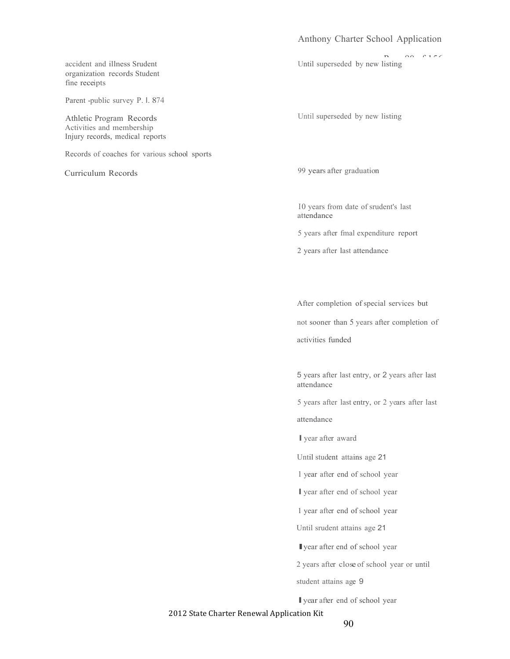#### Anthony Charter School Application

Until superseded by new listing

accident and illness Srudent organization records Student fine receipts

Parent -public survey P. I. 874

Athletic Program Records Activities and membership Injury records, medical reports

Records of coaches for various school sports

Curriculum Records

Until superseded by new listing

99 years after graduation

I0 years from date of srudent's last attendance

5 years after fmal expenditure report

2 years after last attendance

After completion of special services but

not sooner than 5 years after completion of

activities funded

5 years after last entry, or 2 years after last attendance

5 years after last entry, or 2 years after last

attendance

Iyear after award

Until student attains age 21

1 year after end of school year

Iyear after end of school year

1 year after end of school year

Until srudent attains age 21

Iyear after end of school year

2 years after close of school year or until

student attains age 9

Iyear after end of school year

2012 State Charter Renewal Application Kit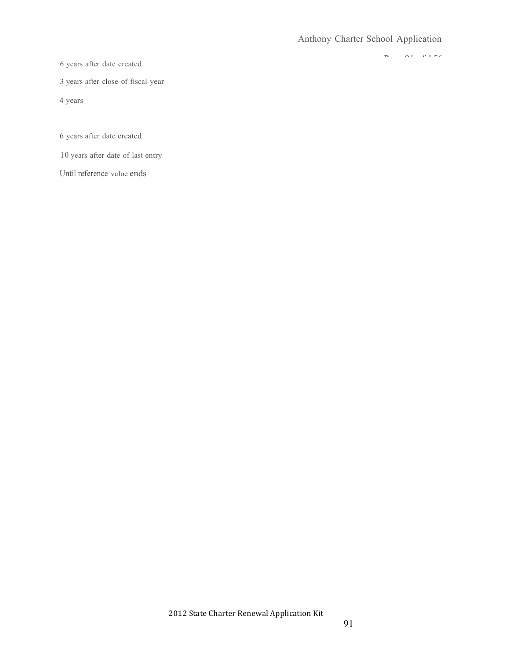$P_1 = 0.1 - 0.156$ 

6 years after date created

3 years after close of fiscal year

4 years

6 years after date created

10 years after date of last entry

Until reference value ends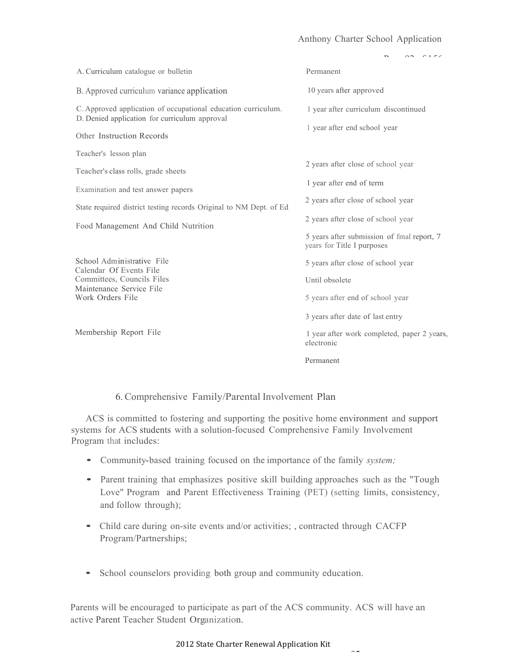## Anthony Charter School Application

|                                                                                                                | $\rho + \rho$                                                            |
|----------------------------------------------------------------------------------------------------------------|--------------------------------------------------------------------------|
| A. Curriculum catalogue or bulletin                                                                            | Permanent                                                                |
| B. Approved curriculum variance application                                                                    | 10 years after approved                                                  |
| C. Approved application of occupational education curriculum.<br>D. Denied application for curriculum approval | 1 year after curriculum discontinued                                     |
| Other Instruction Records                                                                                      | 1 year after end school year                                             |
| Teacher's lesson plan                                                                                          |                                                                          |
| Teacher's class rolls, grade sheets                                                                            | 2 years after close of school year                                       |
| Examination and test answer papers                                                                             | 1 year after end of term                                                 |
| State required district testing records Original to NM Dept. of Ed                                             | 2 years after close of school year                                       |
| Food Management And Child Nutrition                                                                            | 2 years after close of school year                                       |
|                                                                                                                | 5 years after submission of fmal report, 7<br>years for Title I purposes |
| School Administrative File<br>Calendar Of Events File                                                          | 5 years after close of school year                                       |
| Committees, Councils Files                                                                                     | Until obsolete                                                           |
| Maintenance Service File<br>Work Orders File                                                                   | 5 years after end of school year                                         |
|                                                                                                                | 3 years after date of last entry                                         |
| Membership Report File                                                                                         | 1 year after work completed, paper 2 years,<br>electronic                |
|                                                                                                                | Permanent                                                                |

#### 6. Comprehensive Family/Parental Involvement Plan

ACS is committed to fostering and supporting the positive home environment and support systems for ACS students with a solution-focused Comprehensive Family Involvement Program that includes:

- Community-based training focused on the importance of the family *system;*
- Parent training that emphasizes positive skill building approaches such as the "Tough Love" Program and Parent Effectiveness Training (PET) (setting limits, consistency, and follow through);
- Child care during on-site events and/or activities;, contracted through CACFP Program/Partnerships;
- School counselors providing both group and community education.

Parents will be encouraged to participate as part of the ACS community. ACS will have an active Parent Teacher Student Organization.

#### 2012 State Charter Renewal Application Kit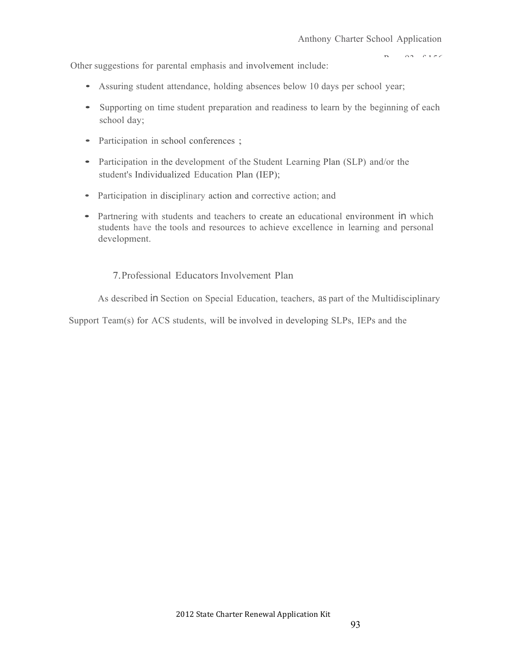$\Omega$ <sup>2</sup>  $\Omega$  156

Other suggestions for parental emphasis and involvement include:

- Assuring student attendance, holding absences below <sup>10</sup> days per school year;
- Supporting on time student preparation and readiness to learn by the beginning of each school day;
- Participation in school conferences;
- Participation in the development of the Student Learning Plan (SLP) and/or the student's Individualized Education Plan (IEP);
- Participation in disciplinary action and corrective action; and
- Partnering with students and teachers to create an educational environment in which students have the tools and resources to achieve excellence in learning and personal development.

# 7.Professional EducatorsInvolvement Plan

As described in Section on Special Education, teachers, as part of the Multidisciplinary

Support Team(s) for ACS students, will be involved in developing SLPs, IEPs and the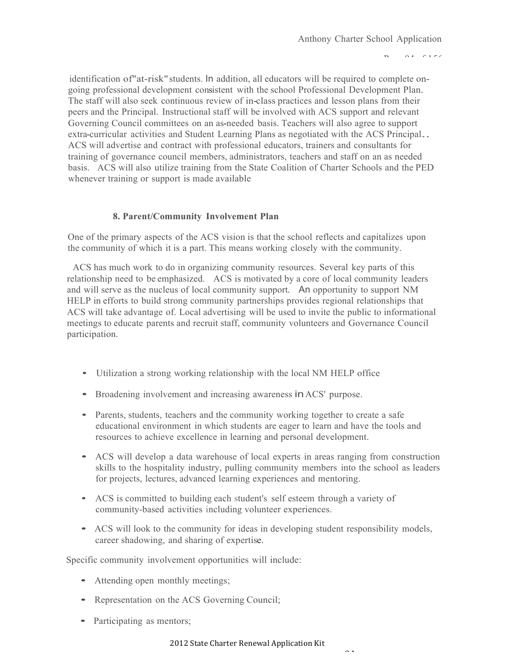$P = 94.6156$ 

identification of "at-risk" students. In addition, all educators will be required to complete ongoing professional development consistent with the school Professional Development Plan. The staff will also seek continuous review of in-class practices and lesson plans from their peers and the Principal. Instructional staff will be involved with ACS support and relevant Governing Council committees on an as-needed basis. Teachers will also agree to support extra-curricular activities and Student Learning Plans as negotiated with the ACS Principal.. ACS will advertise and contract with professional educators, trainers and consultants for training of governance council members, administrators, teachers and staff on an as needed basis. ACS will also utilize training from the State Coalition of Charter Schools and the PED whenever training or support is made available

# **8. Parent/Community Involvement Plan**

One of the primary aspects of the ACS vision is that the school reflects and capitalizes upon the community of which it is a part. This means working closely with the community.

ACS has much work to do in organizing community resources. Several key parts of this relationship need to be emphasized. ACS is motivated by a core of local community leaders and will serve as the nucleus of local community support. An opportunity to support NM HELP in efforts to build strong community partnerships provides regional relationships that ACS will take advantage of. Local advertising will be used to invite the public to informational meetings to educate parents and recruit staff, community volunteers and Governance Council participation.

- Utilization <sup>a</sup> strong working relationship with the local NM HELP office
- Broadening involvement and increasing awareness in ACS' purpose.
- Parents, students, teachers and the community working together to create a safe educational environment in which students are eager to learn and have the tools and resources to achieve excellence in learning and personal development.
- ACS will develop <sup>a</sup> data warehouse of local experts in areas ranging from construction skills to the hospitality industry, pulling community members into the school as leaders for projects, lectures, advanced learning experiences and mentoring.
- ACS is committed to building each student's self esteem through <sup>a</sup> variety of community-based activities including volunteer experiences.
- ACS will look to the community for ideas in developing student responsibility models, career shadowing, and sharing of expertise.

Specific community involvement opportunities will include:

- Attending open monthly meetings;
- Representation on the ACS Governing Council;
- Participating as mentors;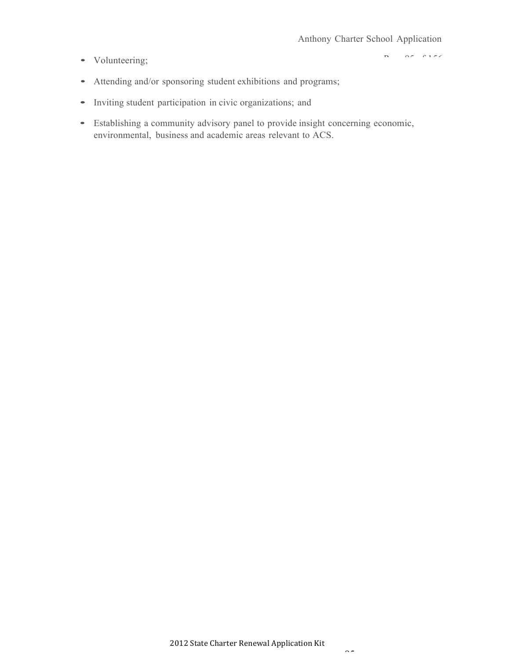• Volunteering;

 $P = \alpha \pi + \alpha + \pi \pi$ 

- Attending and/or sponsoring student exhibitions and programs;
- Inviting student participation in civic organizations; and
- Establishing <sup>a</sup> community advisory panel to provide insight concerning economic, environmental, business and academic areas relevant to ACS.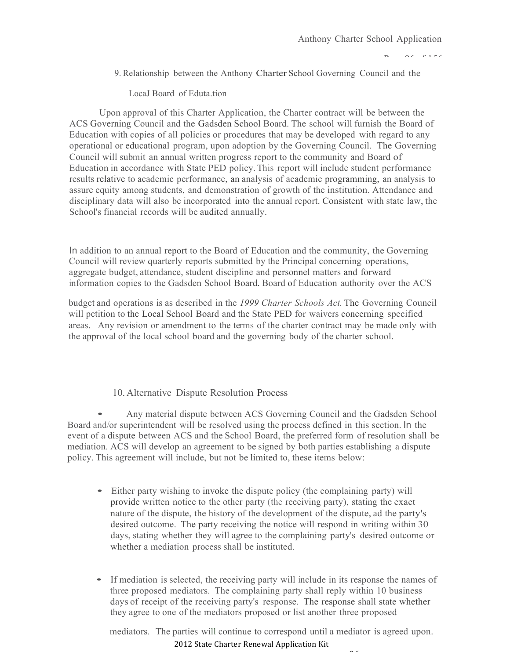$P = \alpha$   $\alpha$   $\beta$  156

9. Relationship between the Anthony Charter School Governing Council and the

LocaJ Board of Eduta.tion

Upon approval of this Charter Application, the Charter contract will be between the ACS Governing Council and the Gadsden School Board. The school will furnish the Board of Education with copies of all policies or procedures that may be developed with regard to any operational or educational program, upon adoption by the Governing Council. The Governing Council will submit an annual written progress report to the community and Board of Education in accordance with State PED policy. This report will include student performance results relative to academic performance, an analysis of academic programming, an analysis to assure equity among students, and demonstration of growth of the institution. Attendance and disciplinary data will also be incorporated into the annual report. Consistent with state law, the School's financial records will be audited annually.

In addition to an annual report to the Board of Education and the community, the Governing Council will review quarterly reports submitted by the Principal concerning operations, aggregate budget, attendance, student discipline and personnel matters and forward information copies to the Gadsden School Board. Board of Education authority over the ACS

budget and operations is as described in the *1999 Charter Schools Act.* The Governing Council will petition to the Local School Board and the State PED for waivers concerning specified areas. Any revision or amendment to the terms of the charter contract may be made only with the approval of the local school board and the governing body of the charter school.

#### 10. Alternative Dispute Resolution Process

• Any material dispute between ACS Governing Council and the Gadsden School Board and/or superintendent will be resolved using the process defined in this section. In the event of a dispute between ACS and the School Board, the preferred form of resolution shall be mediation. ACS will develop an agreement to be signed by both parties establishing a dispute policy. This agreement will include, but not be limited to, these items below:

- Either party wishing to invoke the dispute policy (the complaining party) will provide written notice to the other party (the receiving party), stating the exact nature of the dispute, the history of the development of the dispute, ad the party's desired outcome. The party receiving the notice will respond in writing within 30 days, stating whether they will agree to the complaining party's desired outcome or whether a mediation process shall be instituted.
- If mediation is selected, the receiving party will include in its response the names of three proposed mediators. The complaining party shall reply within 10 business days of receipt of the receiving party's response. The response shall state whether they agree to one of the mediators proposed or list another three proposed

mediators. The parties will continue to correspond until a mediator is agreed upon.

 $\tilde{\phantom{a}}$ 

2012 State Charter Renewal Application Kit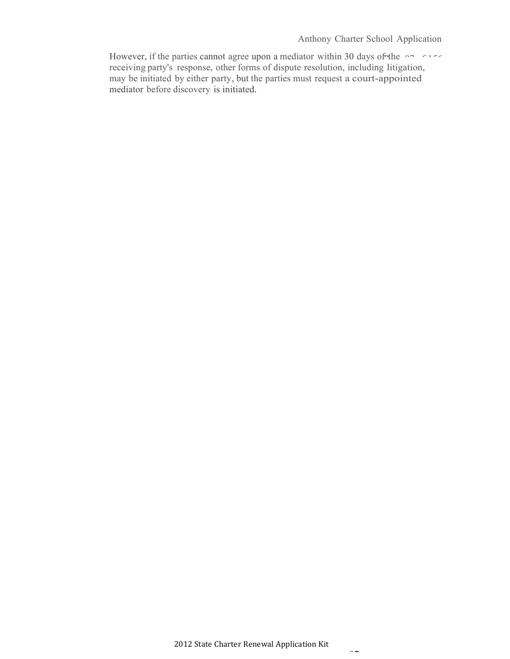However, if the parties cannot agree upon a mediator within 30 days of the  $\sim$ receiving party's response, other forms of dispute resolution, including litigation, may be initiated by either party, but the parties must request a court-appointed mediator before discovery is initiated.

 $\sim$   $-$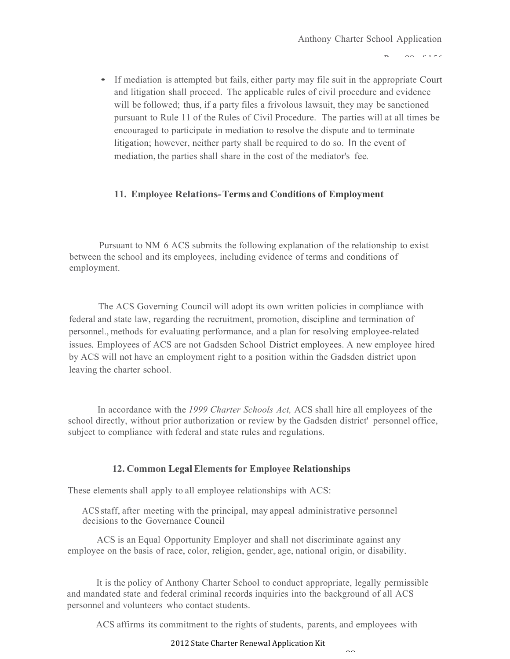$\Omega$ <sup> $\Omega$ </sup>  $\Gamma$  156

• If mediation is attempted but fails, either party may file suit in the appropriate Court and litigation shall proceed. The applicable rules of civil procedure and evidence will be followed; thus, if a party files a frivolous lawsuit, they may be sanctioned pursuant to Rule 11 of the Rules of Civil Procedure. The parties will at all times be encouraged to participate in mediation to resolve the dispute and to terminate litigation; however, neither party shall be required to do so. In the event of mediation, the parties shall share in the cost of the mediator's fee.

# **11. Employee Relations-Terms and Conditions of Employment**

Pursuant to NM 6 ACS submits the following explanation of the relationship to exist between the school and its employees, including evidence of terms and conditions of employment.

The ACS Governing Council will adopt its own written policies in compliance with federal and state law, regarding the recruitment, promotion, discipline and termination of personnel., methods for evaluating performance, and a plan for resolving employee-related issues. Employees of ACS are not Gadsden School District employees. A new employee hired by ACS will not have an employment right to a position within the Gadsden district upon leaving the charter school.

In accordance with the *1999 Charter Schools Act,* ACS shall hire all employees of the school directly, without prior authorization or review by the Gadsden district' personnel office, subject to compliance with federal and state rules and regulations.

#### **12. Common LegalElements for Employee Relationships**

These elements shall apply to all employee relationships with ACS:

ACS staff, after meeting with the principal, may appeal administrative personnel decisions to the Governance Council

ACS is an Equal Opportunity Employer and shall not discriminate against any employee on the basis of race, color, religion, gender, age, national origin, or disability.

It is the policy of Anthony Charter School to conduct appropriate, legally permissible and mandated state and federal criminal records inquiries into the background of all ACS personnel and volunteers who contact students.

ACS affirms its commitment to the rights of students, parents, and employees with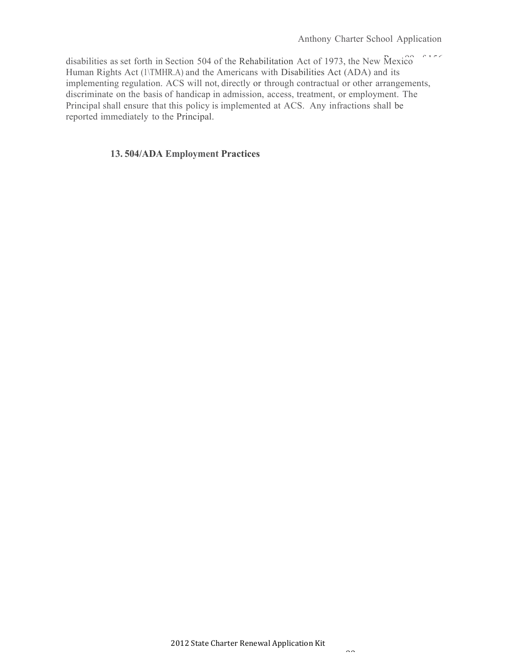disabilities as set forth in Section 504 of the Rehabilitation Act of 1973, the New Mexico Human Rights Act (1\TMHR.A) and the Americans with Disabilities Act (ADA) and its implementing regulation. ACS will not, directly or through contractual or other arrangements, discriminate on the basis of handicap in admission, access, treatment, or employment. The Principal shall ensure that this policy is implemented at ACS. Any infractions shall be reported immediately to the Principal.

#### **13. 504/ADA Employment Practices**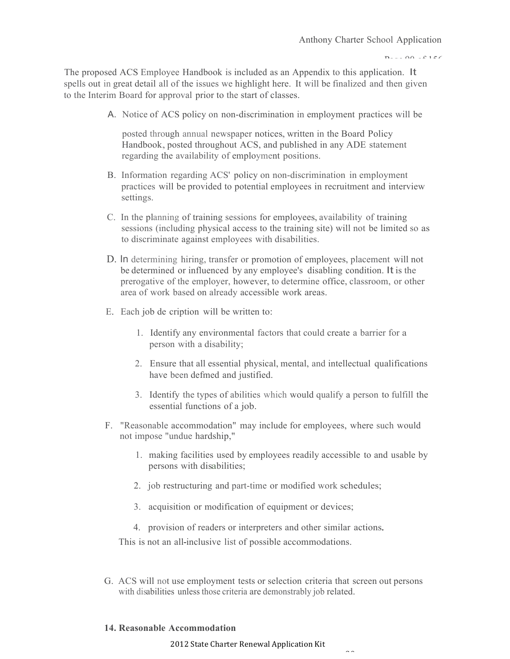$P_1 \ldots Q_1 \ldots P_1$ 

The proposed ACS Employee Handbook is included as an Appendix to this application. It spells out in great detail all of the issues we highlight here. It will be finalized and then given to the Interim Board for approval prior to the start of classes.

A. Notice of ACS policy on non-discrimination in employment practices will be

posted through annual newspaper notices, written in the Board Policy Handbook, posted throughout ACS, and published in any ADE statement regarding the availability of employment positions.

- B. Information regarding ACS' policy on non-discrimination in employment practices will be provided to potential employees in recruitment and interview settings.
- C. In the planning of training sessions for employees, availability of training sessions (including physical access to the training site) will not be limited so as to discriminate against employees with disabilities.
- D. In determining hiring, transfer or promotion of employees, placement will not be determined or influenced by any employee's disabling condition. It is the prerogative of the employer, however, to determine office, classroom, or other area of work based on already accessible work areas.
- E. Each job de cription will be written to:
	- 1. Identify any environmental factors that could create a barrier for a person with a disability;
	- 2. Ensure that all essential physical, mental, and intellectual qualifications have been defmed and justified.
	- 3. Identify the types of abilities which would qualify a person to fulfill the essential functions of a job.
- F. "Reasonable accommodation" may include for employees, where such would not impose "undue hardship,"
	- 1. making facilities used by employees readily accessible to and usable by persons with disabilities;
	- 2. job restructuring and part-time or modified work schedules;
	- 3. acquisition or modification of equipment or devices;
	- 4. provision of readers or interpreters and other similar actions.

This is not an all-inclusive list of possible accommodations.

G. ACS will not use employment tests or selection criteria that screen out persons with disabilities unless those criteria are demonstrably job related.

 $\sim$ 

#### **14. Reasonable Accommodation**

2012 State Charter Renewal Application Kit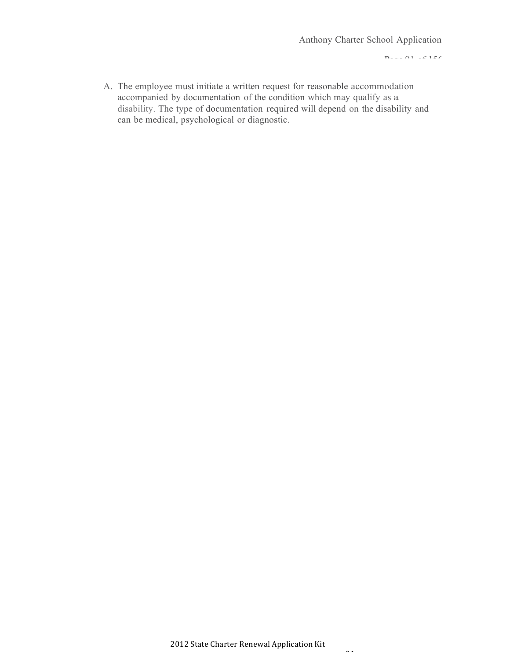$P_1 \ldots P_1$  of  $P_1$ 

A. The employee must initiate a written request for reasonable accommodation accompanied by documentation of the condition which may qualify as a disability. The type of documentation required will depend on the disability and can be medical, psychological or diagnostic.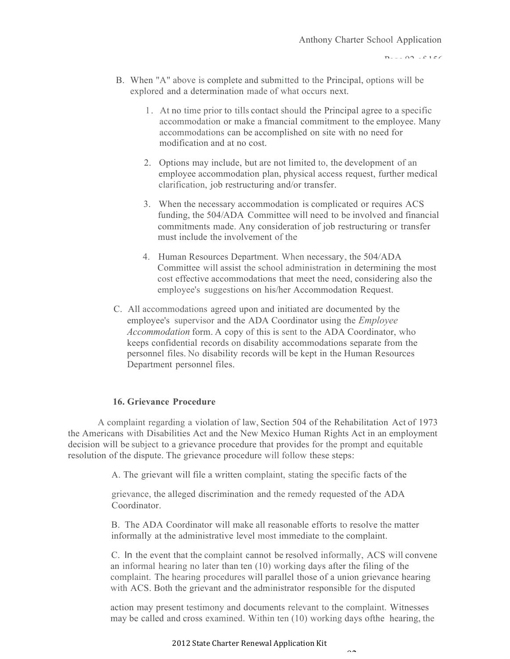$P_1 \ldots Q_2 \ldots P_1$ 

- B. When "A" above is complete and submitted to the Principal, options will be explored and a determination made of what occurs next.
	- 1 . At no time prior to tills contact should the Principal agree to a specific accommodation or make a fmancial commitment to the employee. Many accommodations can be accomplished on site with no need for modification and at no cost.
	- 2. Options may include, but are not limited to, the development of an employee accommodation plan, physical access request, further medical clarification, job restructuring and/or transfer.
	- 3. When the necessary accommodation is complicated or requires ACS funding, the 504/ADA Committee will need to be involved and financial commitments made. Any consideration of job restructuring or transfer must include the involvement of the
	- 4. Human Resources Department. When necessary, the 504/ADA Committee will assist the school administration in determining the most cost effective accommodations that meet the need, considering also the employee's suggestions on his/her Accommodation Request.
- C. All accommodations agreed upon and initiated are documented by the employee's supervisor and the ADA Coordinator using the *Employee Accommodation* form. A copy of this is sent to the ADA Coordinator, who keeps confidential records on disability accommodations separate from the personnel files. No disability records will be kept in the Human Resources Department personnel files.

### **16. Grievance Procedure**

A complaint regarding a violation of law, Section 504 of the Rehabilitation Act of 1973 the Americans with Disabilities Act and the New Mexico Human Rights Act in an employment decision will be subject to a grievance procedure that provides for the prompt and equitable resolution of the dispute. The grievance procedure will follow these steps:

A. The grievant will file a written complaint, stating the specific facts of the

grievance, the alleged discrimination and the remedy requested of the ADA Coordinator.

B. The ADA Coordinator will make all reasonable efforts to resolve the matter informally at the administrative level most immediate to the complaint.

C. In the event that the complaint cannot be resolved informally, ACS will convene an informal hearing no later than ten (10) working days after the filing of the complaint. The hearing procedures will parallel those of a union grievance hearing with ACS. Both the grievant and the administrator responsible for the disputed

action may present testimony and documents relevant to the complaint. Witnesses may be called and cross examined. Within ten (10) working days ofthe hearing, the

 $\sim$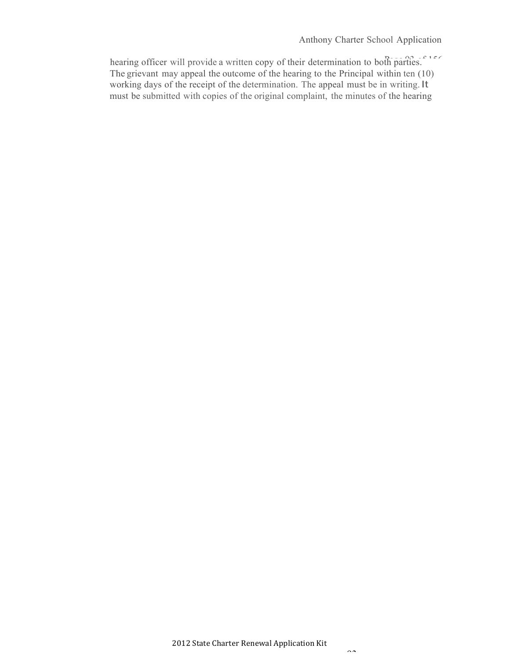#### Anthony Charter School Application

hearing officer will provide a written copy of their determination to both parties.<sup>"156</sup> The grievant may appeal the outcome of the hearing to the Principal within ten (10) working days of the receipt of the determination. The appeal must be in writing.It must be submitted with copies of the original complaint, the minutes of the hearing

 $\sim$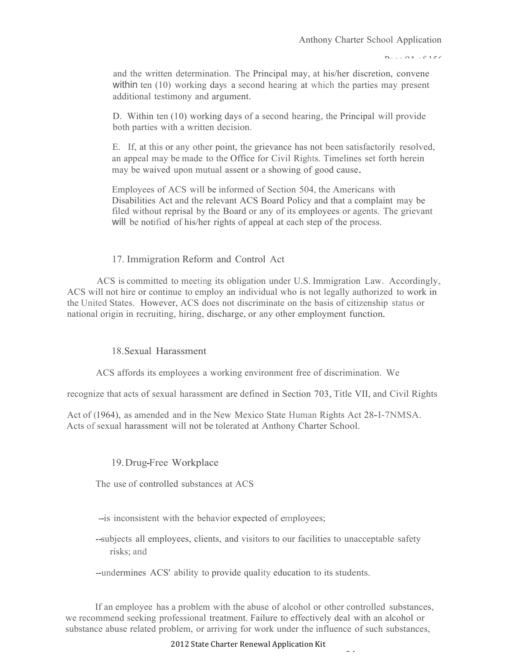$P_1 \ldots Q_4$  of 156

and the written determination. The Principal may, at his/her discretion, convene within ten (10) working days a second hearing at which the parties may present additional testimony and argument.

D. Within ten (10) working days of a second hearing, the Principal will provide both parties with a written decision.

E. If, at this or any other point, the grievance has not been satisfactorily resolved, an appeal may be made to the Office for Civil Rights. Timelines set forth herein may be waived upon mutual assent or <sup>a</sup> showing of good cause.

Employees of ACS will be informed of Section 504, the Americans with Disabilities Act and the relevant ACS Board Policy and that a complaint may be filed without reprisal by the Board or any of its employees or agents. The grievant will be notified of his/her rights of appeal at each step of the process.

## 17. Immigration Reform and Control Act

ACS is committed to meeting its obligation under U.S. Immigration Law. Accordingly, ACS will not hire or continue to employ an individual who is not legally authorized to work in the United States. However, ACS does not discriminate on the basis of citizenship status or national origin in recruiting, hiring, discharge, or any other employment function.

### 18.Sexual Harassment

ACS affords its employees a working environment free of discrimination. We

recognize that acts of sexual harassment are defined in Section 703, Title VII, and Civil Rights

Act of (1964), as amended and in the New Mexico State Human Rights Act 28-I-7NMSA. Acts of sexual harassment will not be tolerated at Anthony Charter School.

### 19.Drug-Free Workplace

The use of controlled substances at ACS

- --is inconsistent with the behavior expected of employees;
- --subjects all employees, clients, and visitors to our facilities to unacceptable safety risks; and

--undermines ACS' ability to provide quality education to its students.

If an employee has a problem with the abuse of alcohol or other controlled substances, we recommend seeking professional treatment. Failure to effectively deal with an alcohol or substance abuse related problem, or arriving for work under the influence of such substances,

#### 2012 State Charter Renewal Application Kit

 $\hat{\phantom{a}}$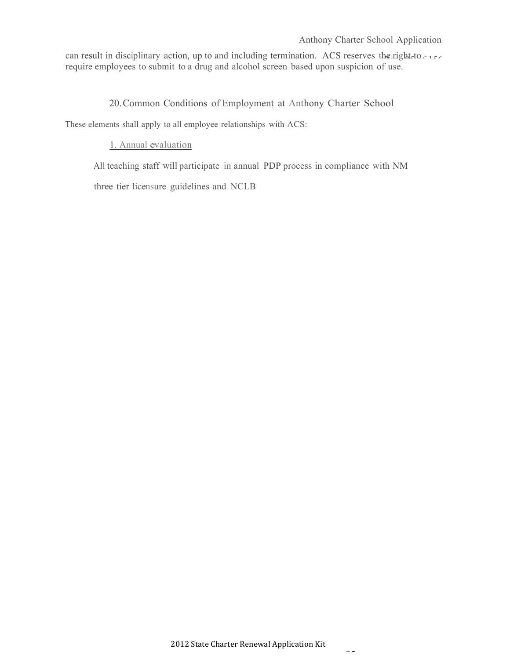#### Anthony Charter School Application

can result in disciplinary action, up to and including termination. ACS reserves the right-to career require employees to submit to a drug and alcohol screen based upon suspicion of use.

20.Common Conditions of Employment at Anthony Charter School

These elements shall apply to all employee relationships with ACS:

### 1. Annual evaluation

All teaching staff will participate in annual PDP process in compliance with NM three tier licensure guidelines and NCLB

 $\sim$   $\sim$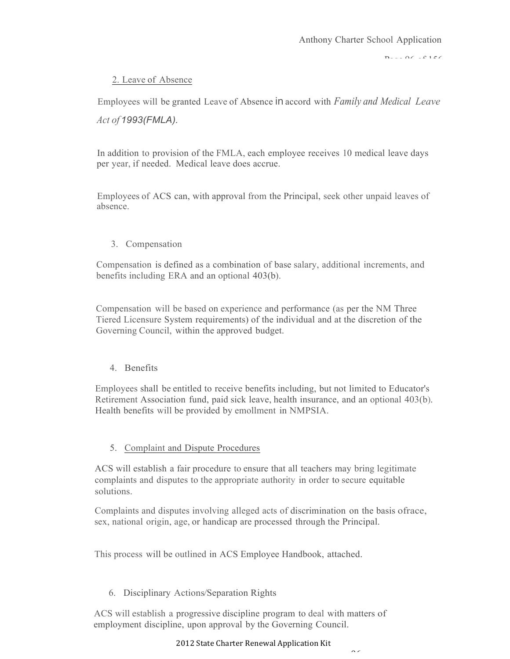$P_1 \ldots Q_n$  of 156

## 2. Leave of Absence

Employees will be granted Leave of Absence in accord with *Family and Medical Leave*

## *Act of 1993(FMLA).*

In addition to provision of the FMLA, each employee receives 10 medical leave days per year, if needed. Medical leave does accrue.

Employees of ACS can, with approval from the Principal, seek other unpaid leaves of absence.

3. Compensation

Compensation is defined as a combination of base salary, additional increments, and benefits including ERA and an optional 403(b).

Compensation will be based on experience and performance (as per the NM Three Tiered Licensure System requirements) of the individual and at the discretion of the Governing Council, within the approved budget.

4. Benefits

Employees shall be entitled to receive benefits including, but not limited to Educator's Retirement Association fund, paid sick leave, health insurance, and an optional 403(b). Health benefits will be provided by emollment in NMPSIA.

## 5. Complaint and Dispute Procedures

ACS will establish a fair procedure to ensure that all teachers may bring legitimate complaints and disputes to the appropriate authority in order to secure equitable solutions.

Complaints and disputes involving alleged acts of discrimination on the basis ofrace, sex, national origin, age, or handicap are processed through the Principal.

This process will be outlined in ACS Employee Handbook, attached.

6. Disciplinary Actions/Separation Rights

ACS will establish a progressive discipline program to deal with matters of employment discipline, upon approval by the Governing Council.

### 2012 State Charter Renewal Application Kit

 $\sim$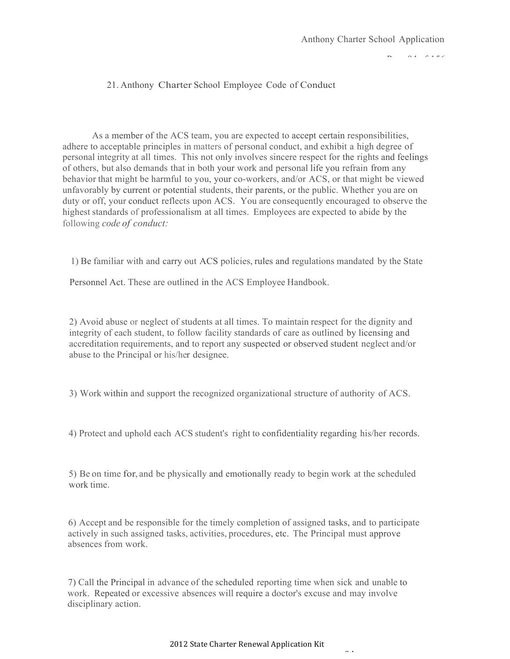#### $P_A$   $P_A$   $P_A$

## 21. Anthony Charter School Employee Code of Conduct

As a member of the ACS team, you are expected to accept certain responsibilities, adhere to acceptable principles in matters of personal conduct, and exhibit a high degree of personal integrity at all times. This not only involves sincere respect for the rights and feelings of others, but also demands that in both your work and personal life you refrain from any behavior that might be harmful to you, your co-workers, and/or ACS, or that might be viewed unfavorably by current or potential students, their parents, or the public. Whether you are on duty or off, your conduct reflects upon ACS. You are consequently encouraged to observe the highest standards of professionalism at all times. Employees are expected to abide by the following *code of conduct:*

1) Be familiar with and carry out ACS policies, rules and regulations mandated by the State

Personnel Act. These are outlined in the ACS Employee Handbook.

2) Avoid abuse or neglect of students at all times. To maintain respect for the dignity and integrity of each student, to follow facility standards of care as outlined by licensing and accreditation requirements, and to report any suspected or observed student neglect and/or abuse to the Principal or his/her designee.

3) Work within and support the recognized organizational structure of authority of ACS.

4) Protect and uphold each ACS student's right to confidentiality regarding his/her records.

5) Be on time for, and be physically and emotionally ready to begin work at the scheduled work time.

6) Accept and be responsible for the timely completion of assigned tasks, and to participate actively in such assigned tasks, activities, procedures, etc. The Principal must approve absences from work.

7) Call the Principal in advance of the scheduled reporting time when sick and unable to work. Repeated or excessive absences will require a doctor's excuse and may involve disciplinary action.

 $\sim$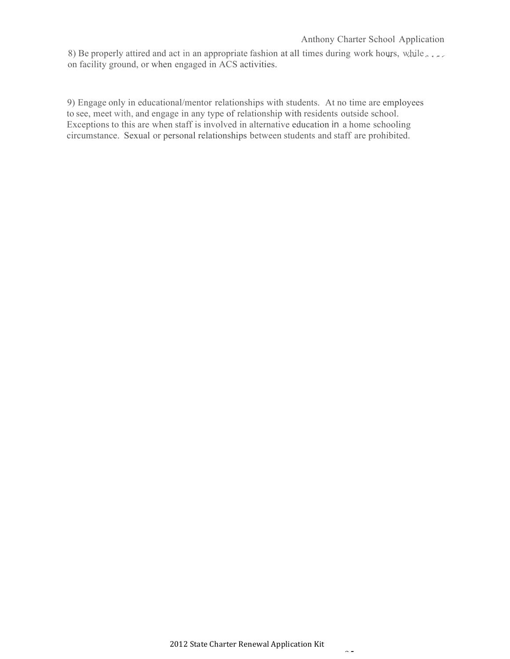#### Anthony Charter School Application

8) Be properly attired and act in an appropriate fashion at all times during work hours, while on facility ground, or when engaged in ACS activities.

9) Engage only in educational/mentor relationships with students. At no time are employees to see, meet with, and engage in any type of relationship with residents outside school. Exceptions to this are when staff is involved in alternative education in a home schooling circumstance. Sexual or personal relationships between students and staff are prohibited.

 $\sim$   $\sim$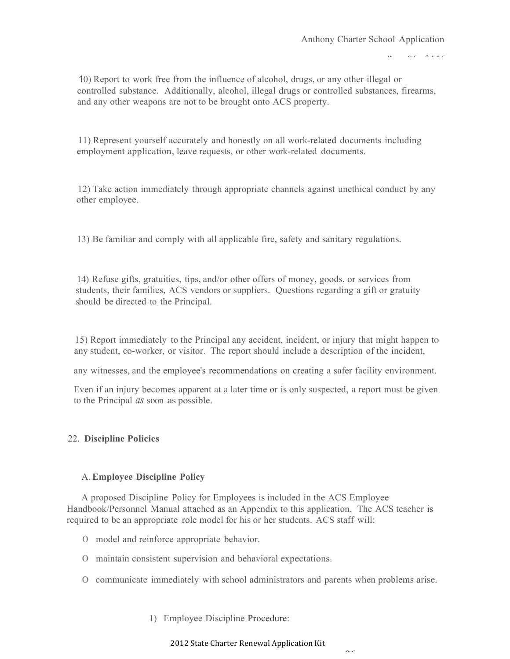$P(X = 945)$ 

10) Report to work free from the influence of alcohol, drugs, or any other illegal or controlled substance. Additionally, alcohol, illegal drugs or controlled substances, firearms, and any other weapons are not to be brought onto ACS property.

11) Represent yourself accurately and honestly on all work-related documents including employment application, leave requests, or other work-related documents.

12) Take action immediately through appropriate channels against unethical conduct by any other employee.

13) Be familiar and comply with all applicable fire, safety and sanitary regulations.

14) Refuse gifts, gratuities, tips, and/or other offers of money, goods, or services from students, their families, ACS vendors or suppliers. Questions regarding a gift or gratuity should be directed to the Principal.

15) Report immediately to the Principal any accident, incident, or injury that might happen to any student, co-worker, or visitor. The report should include a description of the incident,

any witnesses, and the employee's recommendations on creating a safer facility environment.

Even if an injury becomes apparent at a later time or is only suspected, a report must be given to the Principal *as* soon as possible.

### 22. **Discipline Policies**

### A.**Employee Discipline Policy**

A proposed Discipline Policy for Employees is included in the ACS Employee Handbook/Personnel Manual attached as an Appendix to this application. The ACS teacher is required to be an appropriate role model for his or her students. ACS staff will:

- 0 model and reinforce appropriate behavior.
- 0 maintain consistent supervision and behavioral expectations.
- 0 communicate immediately with school administrators and parents when problems arise.
	- 1) Employee Discipline Procedure:

#### 2012 State Charter Renewal Application Kit

 $\sim$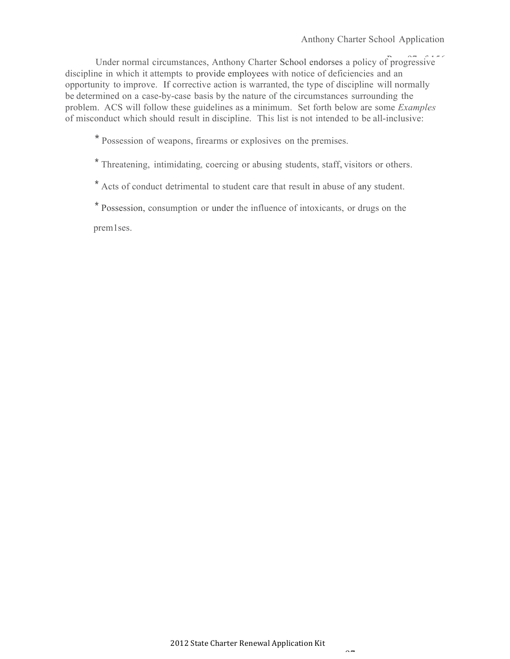Under normal circumstances, Anthony Charter School endorses a policy of progressive discipline in which it attempts to provide employees with notice of deficiencies and an opportunity to improve. If corrective action is warranted, the type of discipline will normally be determined on a case-by-case basis by the nature of the circumstances surrounding the problem. ACS will follow these guidelines as a minimum. Set forth below are some *Examples*  of misconduct which should result in discipline. This list is not intended to be all-inclusive:

\* Possession of weapons, firearms or explosives on the premises.

\* Threatening, intimidating, coercing or abusing students, staff, visitors or others.

\* Acts of conduct detrimental to student care that result in abuse of any student.

\* Possession, consumption or under the influence of intoxicants, or drugs on the

prem1ses.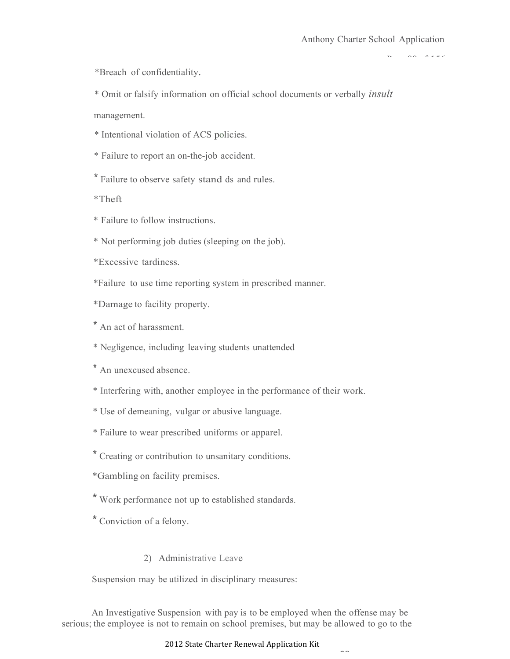$\Omega$ 

\*Breach of confidentiality.

\* Omit or falsify information on official school documents or verbally *insult*

management.

\* Intentional violation of ACS policies.

\* Failure to report an on-the-job accident.

\* Failure to observe safety stand ds and rules.

\*Theft

\* Failure to follow instructions.

\* Not performing job duties (sleeping on the job).

\*Excessive tardiness.

\*Failure to use time reporting system in prescribed manner.

\*Damage to facility property.

\* An act of harassment.

\* Negligence, including leaving students unattended

\* An unexcused absence.

\* Interfering with, another employee in the performance of their work.

\* Use of demeaning, vulgar or abusive language.

\* Failure to wear prescribed uniforms or apparel.

\* Creating or contribution to unsanitary conditions.

\*Gambling on facility premises.

\* Work performance not up to established standards.

\* Conviction of a felony.

## 2) Administrative Leave

Suspension may be utilized in disciplinary measures:

An Investigative Suspension with pay is to be employed when the offense may be serious; the employee is not to remain on school premises, but may be allowed to go to the

#### 2012 State Charter Renewal Application Kit

 $\sim$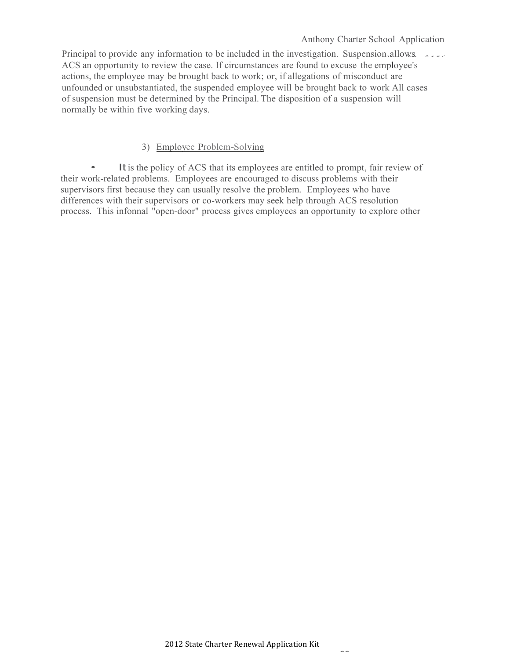Principal to provide any information to be included in the investigation. Suspension allows ACS an opportunity to review the case. If circumstances are found to excuse the employee's actions, the employee may be brought back to work; or, if allegations of misconduct are unfounded or unsubstantiated, the suspended employee will be brought back to work All cases of suspension must be determined by the Principal. The disposition of a suspension will normally be within five working days.

# 3) Employee Problem-Solving

It is the policy of ACS that its employees are entitled to prompt, fair review of their work-related problems. Employees are encouraged to discuss problems with their supervisors first because they can usually resolve the problem. Employees who have differences with their supervisors or co-workers may seek help through ACS resolution process. This infonnal "open-door" process gives employees an opportunity to explore other

 $\sim$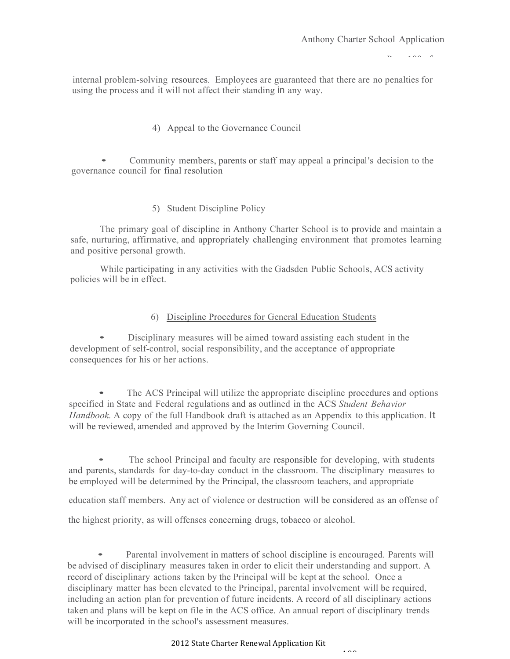$\overline{P}$ 

internal problem-solving resources. Employees are guaranteed that there are no penalties for using the process and it will not affect their standing in any way.

4) Appeal to the Governance Council

• Community members, parents or staff may appeal <sup>a</sup> principal's decision to the governance council for final resolution

5) Student Discipline Policy

The primary goal of discipline in Anthony Charter School is to provide and maintain a safe, nurturing, affirmative, and appropriately challenging environment that promotes learning and positive personal growth.

While participating in any activities with the Gadsden Public Schools, ACS activity policies will be in effect.

#### 6) Discipline Procedures for General Education Students

• Disciplinary measures will be aimed toward assisting each student in the development of self-control, social responsibility, and the acceptance of appropriate consequences for his or her actions.

The ACS Principal will utilize the appropriate discipline procedures and options specified in State and Federal regulations and as outlined in the ACS *Student Behavior Handbook.* A copy of the full Handbook draft is attached as an Appendix to this application. It will be reviewed, amended and approved by the Interim Governing Council.

The school Principal and faculty are responsible for developing, with students and parents, standards for day-to-day conduct in the classroom. The disciplinary measures to be employed will be determined by the Principal, the classroom teachers, and appropriate

education staff members. Any act of violence or destruction will be considered as an offense of

the highest priority, as will offenses concerning drugs, tobacco or alcohol.

• Parental involvement in matters of school discipline is encouraged. Parents will be advised of disciplinary measures taken in order to elicit their understanding and support. A record of disciplinary actions taken by the Principal will be kept at the school. Once a disciplinary matter has been elevated to the Principal, parental involvement will be required, including an action plan for prevention of future incidents. A record of all disciplinary actions taken and plans will be kept on file in the ACS office. An annual report of disciplinary trends will be incorporated in the school's assessment measures.

2012 State Charter Renewal Application Kit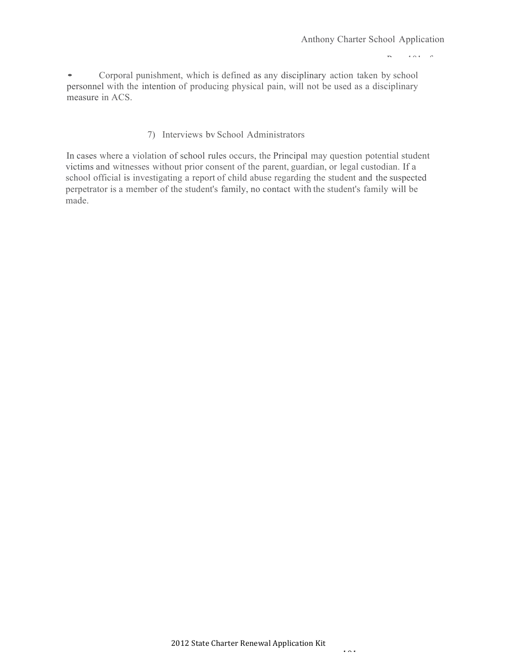Page 101 of

156 • Corporal punishment, which is defined as any disciplinary action taken by school personnel with the intention of producing physical pain, will not be used as a disciplinary measure in ACS.

#### 7) Interviews bv School Administrators

In cases where a violation of school rules occurs, the Principal may question potential student victims and witnesses without prior consent of the parent, guardian, or legal custodian. If a school official is investigating a report of child abuse regarding the student and the suspected perpetrator is a member of the student's family, no contact with the student's family will be made.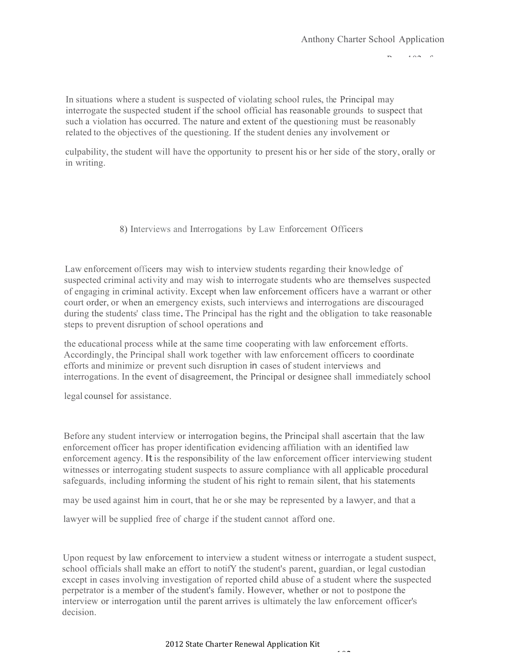$P^2$ 

In situations where a student is suspected of violating school rules, the Principal may interrogate the suspected student if the school official has reasonable grounds to suspect that such a violation has occurred. The nature and extent of the questioning must be reasonably related to the objectives of the questioning. If the student denies any involvement or

culpability, the student will have the opportunity to present his or her side of the story, orally or in writing.

## 8) Interviews and Interrogations by Law Enforcement Officers

Law enforcement officers may wish to interview students regarding their knowledge of suspected criminal activity and may wish to interrogate students who are themselves suspected of engaging in criminal activity. Except when law enforcement officers have a warrant or other court order, or when an emergency exists, such interviews and interrogations are discouraged during the students' class time. The Principal has the right and the obligation to take reasonable steps to prevent disruption of school operations and

the educational process while at the same time cooperating with law enforcement efforts. Accordingly, the Principal shall work together with law enforcement officers to coordinate efforts and minimize or prevent such disruption in cases of student interviews and interrogations. In the event of disagreement, the Principal or designee shall immediately school

legal counsel for assistance.

Before any student interview or interrogation begins, the Principal shall ascertain that the law enforcement officer has proper identification evidencing affiliation with an identified law enforcement agency. It is the responsibility of the law enforcement officer interviewing student witnesses or interrogating student suspects to assure compliance with all applicable procedural safeguards, including informing the student of his right to remain silent, that his statements

may be used against him in court, that he or she may be represented by a lawyer, and that a

lawyer will be supplied free of charge if the student cannot afford one.

Upon request by law enforcement to interview a student witness or interrogate a student suspect, school officials shall make an effort to notifY the student's parent, guardian, or legal custodian except in cases involving investigation of reported child abuse of a student where the suspected perpetrator is a member of the student's family. However, whether or not to postpone the interview or interrogation until the parent arrives is ultimately the law enforcement officer's decision.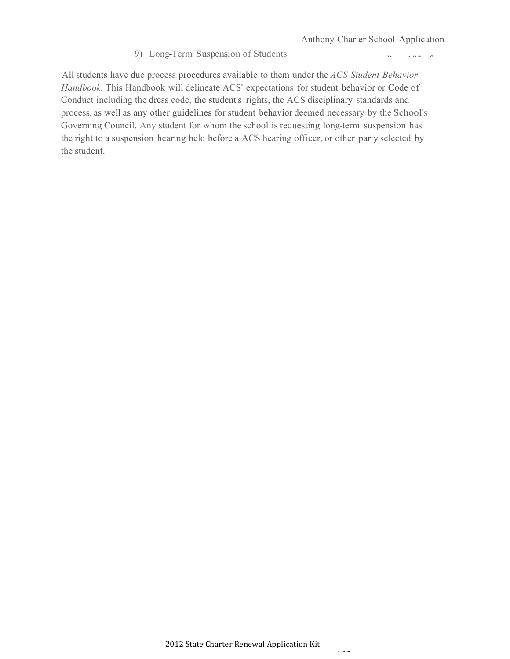#### 9) Long-Term Suspension of Students

 $P^2$ 

All students have due process procedures available to them under the *ACS Student Behavior Handbook.* This Handbook will delineate ACS' expectations for student behavior or Code of Conduct including the dress code, the student's rights, the ACS disciplinary standards and process, as well as any other guidelines for student behavior deemed necessary by the School's Governing Council. Any student for whom the school is requesting long-term suspension has the right to a suspension hearing held before a ACS hearing officer, or other party selected by the student.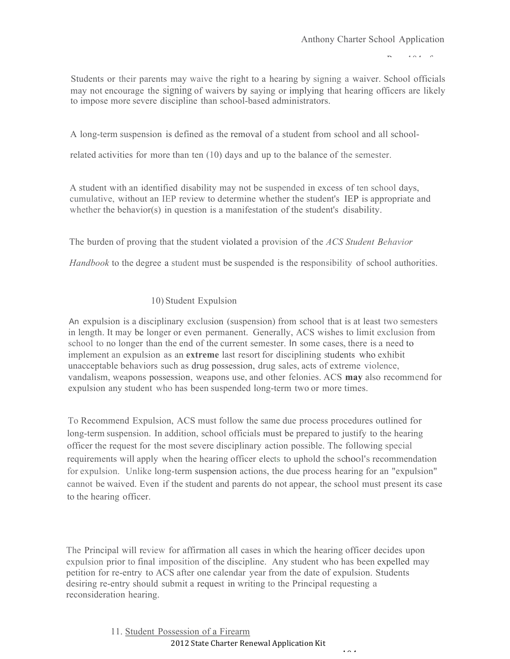$P^4$   $\cap$   $A$   $\cap$   $\cap$ 

 $\frac{1}{1}$ Students or their parents may waive the right to a hearing by signing a waiver. School officials may not encourage the signing of waivers by saying or implying that hearing officers are likely to impose more severe discipline than school-based administrators.

A long-term suspension is defined as the removal of a student from school and all school-

related activities for more than ten (10) days and up to the balance of the semester.

A student with an identified disability may not be suspended in excess of ten school days, cumulative, without an IEP review to determine whether the student's IEP is appropriate and whether the behavior(s) in question is a manifestation of the student's disability.

The burden of proving that the student violated a provision of the *ACS Student Behavior*

*Handbook* to the degree a student must be suspended is the responsibility of school authorities.

## 10) Student Expulsion

An expulsion is a disciplinary exclusion (suspension) from school that is at least two semesters in length. It may be longer or even permanent. Generally, ACS wishes to limit exclusion from school to no longer than the end of the current semester. In some cases, there is a need to implement an expulsion as an **extreme** last resort for disciplining students who exhibit unacceptable behaviors such as drug possession, drug sales, acts of extreme violence, vandalism, weapons possession, weapons use, and other felonies. ACS **may** also recommend for expulsion any student who has been suspended long-term two or more times.

To Recommend Expulsion, ACS must follow the same due process procedures outlined for long-term suspension. In addition, school officials must be prepared to justify to the hearing officer the request for the most severe disciplinary action possible. The following special requirements will apply when the hearing officer elects to uphold the school's recommendation for expulsion. Unlike long-term suspension actions, the due process hearing for an "expulsion" cannot be waived. Even if the student and parents do not appear, the school must present its case to the hearing officer.

The Principal will review for affirmation all cases in which the hearing officer decides upon expulsion prior to final imposition of the discipline. Any student who has been expelled may petition for re-entry to ACS after one calendar year from the date of expulsion. Students desiring re-entry should submit a request in writing to the Principal requesting a reconsideration hearing.

104

2012 State Charter Renewal Application Kit 11. Student Possession of a Firearm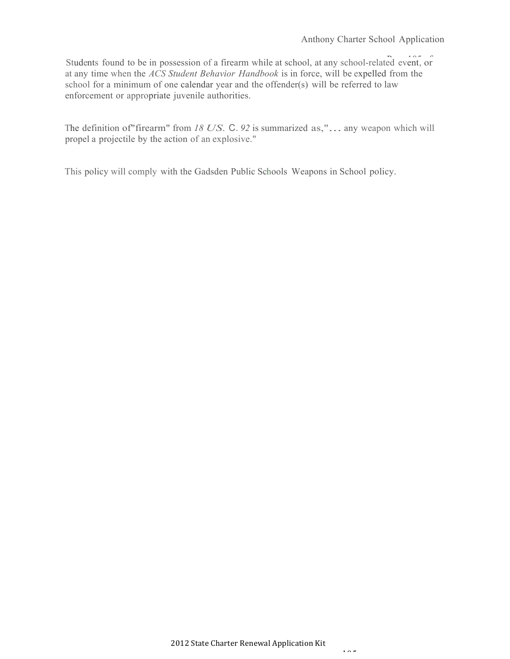Students found to be in possession of a firearm while at school, at any school-related event, or at any time when the *ACS Student Behavior Handbook* is in force, will be expelled from the school for a minimum of one calendar year and the offender(s) will be referred to law enforcement or appropriate juvenile authorities.

The definition of"firearm" from *<sup>18</sup> US.* C. *<sup>92</sup>* is summarized as,"... any weapon which will propel a projectile by the action of an explosive."

This policy will comply with the Gadsden Public Schools Weapons in School policy.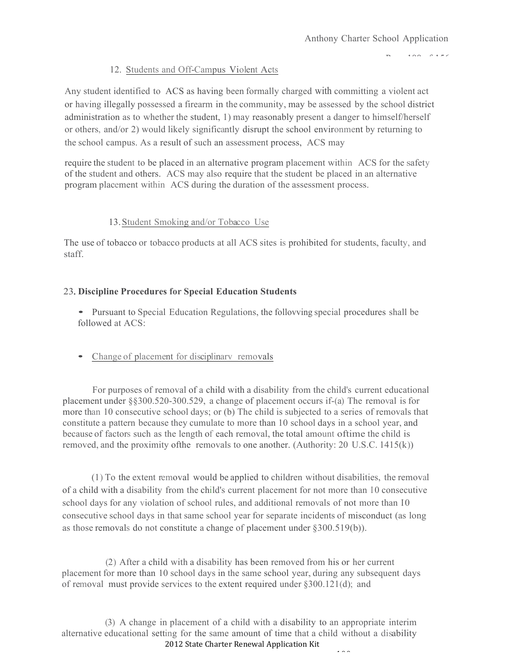$PAP = PAP$ 

# 12. Students and Off-Campus Violent Acts

Any student identified to ACS as having been formally charged with committing a violent act or having illegally possessed a firearm in the community, may be assessed by the school district administration as to whether the student, 1) may reasonably present a danger to himself/herself or others, and/or 2) would likely significantly disrupt the school environment by returning to the school campus. As a result of such an assessment process, ACS may

require the student to be placed in an alternative program placement within ACS for the safety of the student and others. ACS may also require that the student be placed in an alternative program placement within ACS during the duration of the assessment process.

# 13.Student Smoking and/or Tobacco Use

The use of tobacco or tobacco products at all ACS sites is prohibited for students, faculty, and staff.

# 23.**Discipline Procedures for Special Education Students**

• Pursuant to Special Education Regulations, the follovving special procedures shall be followed at ACS:

• Change of placement for disciplinary removals

For purposes of removal of a child with a disability from the child's current educational placement under §§300.520-300.529, a change of placement occurs if-(a) The removal is for more than 10 consecutive school days; or (b) The child is subjected to a series of removals that constitute a pattern because they cumulate to more than 10 school days in a school year, and because of factors such as the length of each removal, the total amount oftime the child is removed, and the proximity ofthe removals to one another. (Authority: 20 U.S.C. 1415(k))

(1) To the extent removal would be applied to children without disabilities, the removal of a child with a disability from the child's current placement for not more than I 0 consecutive school days for any violation of school rules, and additional removals of not more than I0 consecutive school days in that same school year for separate incidents of misconduct (as long as those removals do not constitute a change of placement under §300.519(b)).

(2) After a child with a disability has been removed from his or her current placement for more than 10 school days in the same school year, during any subsequent days of removal must provide services to the extent required under §300.121(d); and

2012 State Charter Renewal Application Kit (3) A change in placement of a child with a disability to an appropriate interim alternative educational setting for the same amount of time that a child without a disability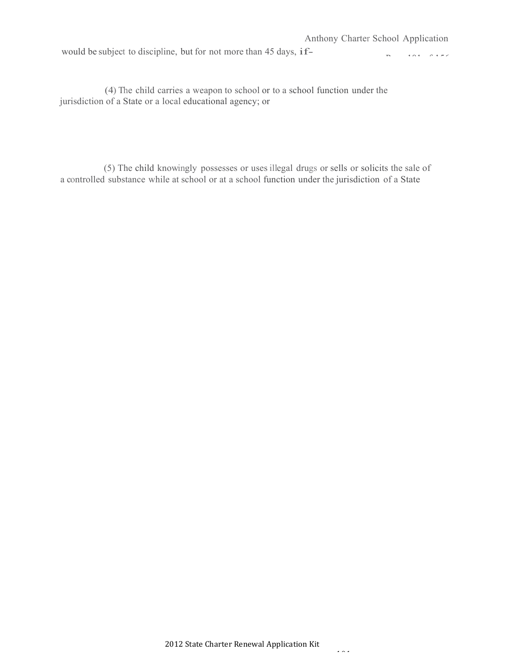would be subject to discipline, but for not more than <sup>45</sup> days, if-

 $P_1 = 10100 + 156$ 

(4) The child carries a weapon to school or to a school function under the jurisdiction of a State or a local educational agency; or

(5) The child knowingly possesses or uses illegal drugs or sells or solicits the sale of a controlled substance while at school or at a school function under the jurisdiction of a State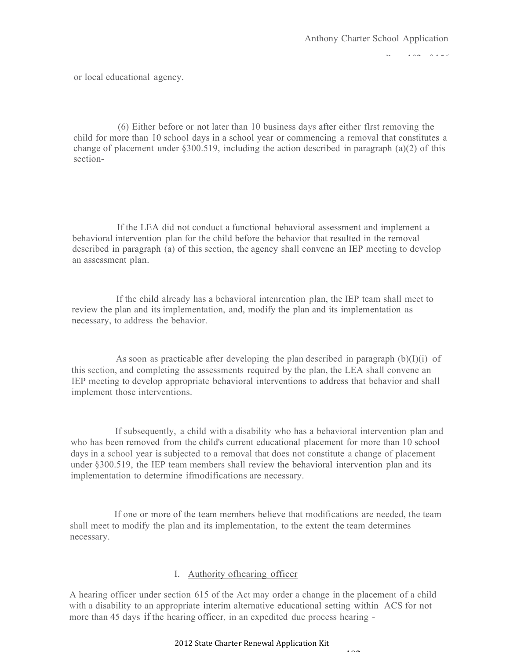$PAP = PAP$ 

or local educational agency.

(6) Either before or not later than 10 business days after either flrst removing the child for more than 10 school days in a school year or commencing a removal that constitutes a change of placement under §300.519, including the action described in paragraph (a)(2) of this section-

If the LEA did not conduct a functional behavioral assessment and implement a behavioral intervention plan for the child before the behavior that resulted in the removal described in paragraph (a) of this section, the agency shall convene an IEP meeting to develop an assessment plan.

If the child already has a behavioral intenrention plan, the IEP team shall meet to review the plan and its implementation, and, modify the plan and its implementation as necessary, to address the behavior.

As soon as practicable after developing the plan described in paragraph  $(b)(I)(i)$  of this section, and completing the assessments required by the plan, the LEA shall convene an IEP meeting to develop appropriate behavioral interventions to address that behavior and shall implement those interventions.

If subsequently, a child with a disability who has a behavioral intervention plan and who has been removed from the child's current educational placement for more than 10 school days in a school year is subjected to a removal that does not constitute a change of placement under §300.519, the IEP team members shall review the behavioral intervention plan and its implementation to determine ifmodifications are necessary.

If one or more of the team members believe that modifications are needed, the team shall meet to modify the plan and its implementation, to the extent the team determines necessary.

## I. Authority ofhearing officer

A hearing officer under section 615 of the Act may order a change in the placement of a child with a disability to an appropriate interim alternative educational setting within ACS for not more than 45 days if the hearing officer, in an expedited due process hearing -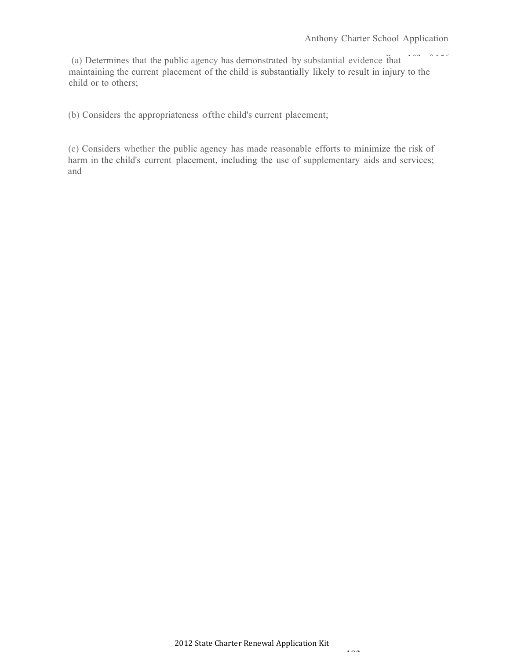$P(A|A) = P(A|B|C)$ (a) Determines that the public agency has demonstrated by substantial evidence that maintaining the current placement of the child is substantially likely to result in injury to the child or to others;

(b) Considers the appropriateness ofthe child's current placement;

(c) Considers whether the public agency has made reasonable efforts to minimize the risk of harm in the child's current placement, including the use of supplementary aids and services; and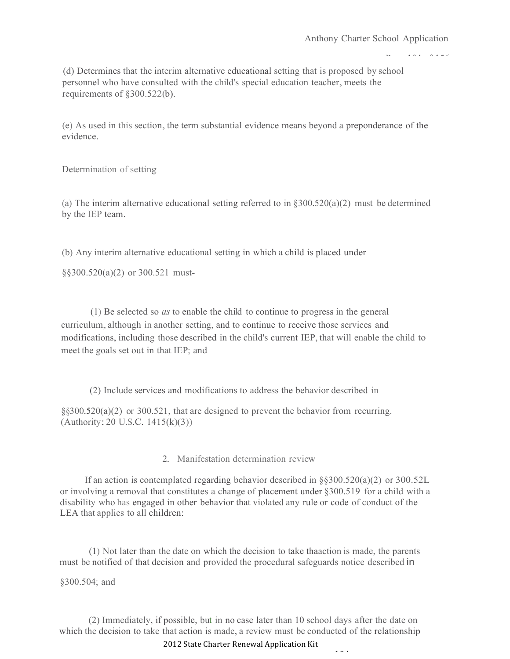$P(A) = P(A|F)$ 

(d) Determines that the interim alternative educational setting that is proposed by school personnel who have consulted with the child's special education teacher, meets the requirements of §300.522(b).

(e) As used in this section, the term substantial evidence means beyond a preponderance of the evidence.

Determination of setting

(a) The interim alternative educational setting referred to in  $\frac{8300.520(a)}{2}$  must be determined by the IEP team.

(b) Any interim alternative educational setting in which a child is placed under

§§300.520(a)(2) or 300.521 must-

(1) Be selected so *as* to enable the child to continue to progress in the general curriculum, although in another setting, and to continue to receive those services and modifications, including those described in the child's current IEP, that will enable the child to meet the goals set out in that IEP; and

(2) Include services and modifications to address the behavior described in

§§300.520(a)(2) or 300.521, that are designed to prevent the behavior from recurring. (Authority:20 U.S.C. 1415(k)(3))

2. Manifestation determination review

If an action is contemplated regarding behavior described in §§300.520(a)(2) or 300.52L or involving a removal that constitutes a change of placement under §300.519 for a child with a disability who has engaged in other behavior that violated any rule or code of conduct of the LEA that applies to all children:

(1) Not later than the date on which the decision to take thaaction is made, the parents must be notified of that decision and provided the procedural safeguards notice described in

§300.504; and

(2) Immediately, if possible, but in no case later than 10 school days after the date on which the decision to take that action is made, a review must be conducted of the relationship

2012 State Charter Renewal Application Kit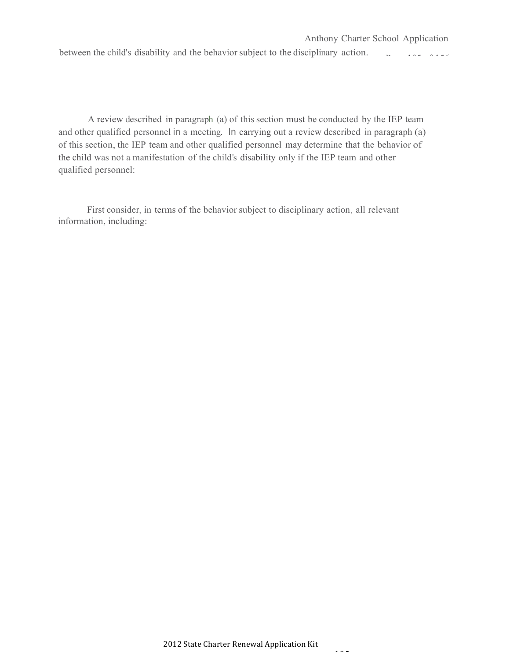A review described in paragraph (a) of this section must be conducted by the IEP team and other qualified personnel in a meeting. In carrying out a review described in paragraph (a) of this section, the IEP team and other qualified personnel may determine that the behavior of the child was not a manifestation of the child's disability only if the IEP team and other qualified personnel:

First consider, in terms of the behavior subject to disciplinary action, all relevant information, including: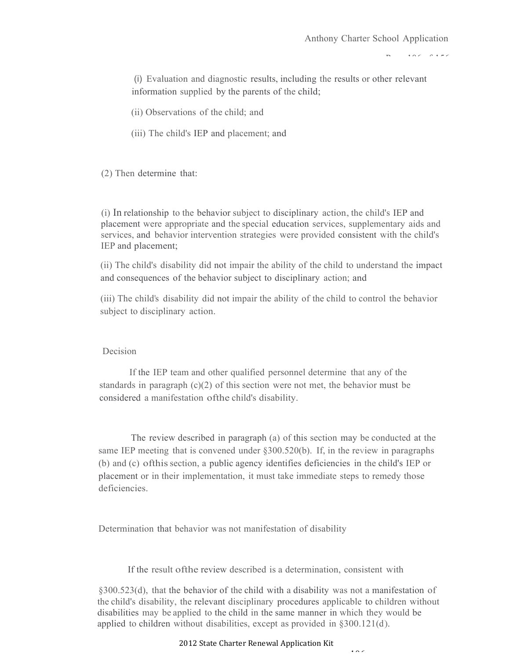$P(A \cap C)$  0.4  $\in$   $C$ 

(i) Evaluation and diagnostic results, including the results or other relevant information supplied by the parents of the child;

(ii) Observations of the child; and

(iii) The child's IEP and placement; and

(2) Then determine that:

(i) In relationship to the behavior subject to disciplinary action, the child's IEP and placement were appropriate and the special education services, supplementary aids and services, and behavior intervention strategies were provided consistent with the child's IEP and placement;

(ii) The child's disability did not impair the ability of the child to understand the impact and consequences of the behavior subject to disciplinary action; and

(iii) The child's disability did not impair the ability of the child to control the behavior subject to disciplinary action.

#### Decision

If the IEP team and other qualified personnel determine that any of the standards in paragraph (c)(2) of this section were not met, the behavior must be considered a manifestation ofthe child's disability.

The review described in paragraph (a) of this section may be conducted at the same IEP meeting that is convened under §300.520(b). If, in the review in paragraphs (b) and (c) ofthissection, a public agency identifies deficiencies in the child's IEP or placement or in their implementation, it must take immediate steps to remedy those deficiencies.

Determination that behavior was not manifestation of disability

If the result ofthe review described is a determination, consistent with

§300.523(d), that the behavior of the child with a disability was not a manifestation of the child's disability, the relevant disciplinary procedures applicable to children without disabilities may be applied to the child in the same manner in which they would be applied to children without disabilities, except as provided in §300.121(d).

 $100$ 

2012 State Charter Renewal Application Kit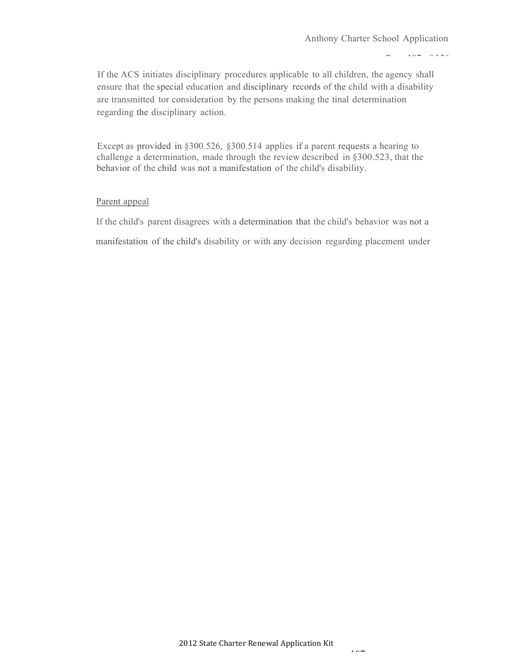#### $P = 107.07$

If the ACS initiates disciplinary procedures applicable to all children, the agency shall ensure that the special education and disciplinary records of the child with a disability are transmitted tor consideration by the persons making the tinal determination regarding the disciplinary action.

Except as provided in §300.526, §300.514 applies if a parent requests a hearing to challenge a determination, made through the review described in §300.523, that the behavior of the child was not a manifestation of the child's disability.

#### Parent appeal

If the child's parent disagrees with a determination that the child's behavior was not a manifestation of the child's disability or with any decision regarding placement under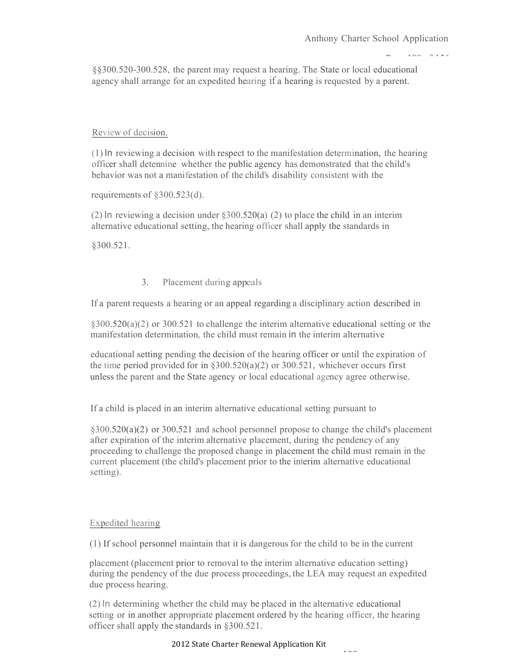$PAP$ 

§§300.520-300.528, the parent may request a hearing. The State or local educational agency shall arrange for an expedited hearing if a hearing is requested by a parent.

### Review of decision.

(1) In reviewing a decision with respect to the manifestation determination, the hearing officer shall detennine whether the public agency has demonstrated that the child's behavior was not a manifestation of the child's disability consistent with the

requirements of §300.523(d).

(2) In reviewing a decision under §300.520(a) (2) to place the child in an interim alternative educational setting, the hearing officer shall apply the standards in

§300.521.

### 3. Placement during appeals

If a parent requests a hearing or an appeal regarding a disciplinary action described in

 $\S 300.520(a)(2)$  or 300.521 to challenge the interim alternative educational setting or the manifestation determination, the child must remain in the interim alternative

educational setting pending the decision of the hearing officer or until the expiration of the time period provided for in  $\S 300.520(a)(2)$  or 300.521, whichever occurs first unless the parent and the State agency or local educational agency agree otherwise.

If a child is placed in an interim alternative educational setting pursuant to

§300.520(a)(2) or 300.521 and school personnel propose to change the child's placement after expiration of the interim alternative placement, during the pendency of any proceeding to challenge the proposed change in placement the child must remain in the current placement (the child's placement prior to the interim alternative educational setting).

### Expedited hearing

(1) If school personnel maintain that it is dangerous for the child to be in the current

placement (placement prior to removal to the interim alternative education setting) during the pendency of the due process proceedings, the LEA may request an expedited due process hearing.

(2) In determining whether the child may be placed in the alternative educational setting or in another appropriate placement ordered by the hearing officer, the hearing officer shall apply the standards in §300.521.

#### 2012 State Charter Renewal Application Kit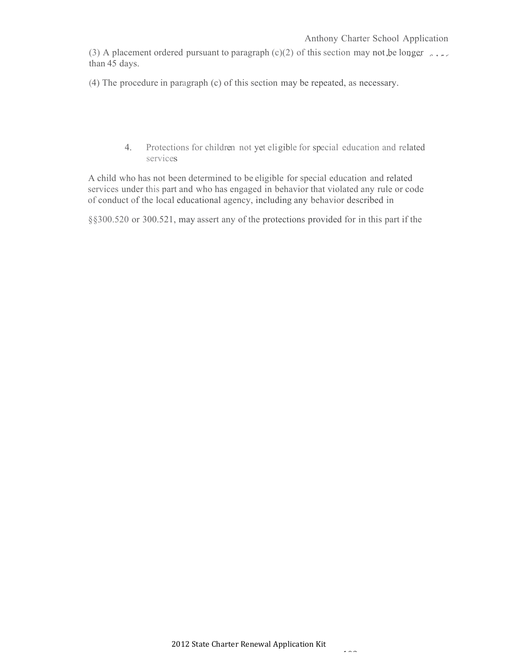(3) A placement ordered pursuant to paragraph (c)(2) of this section may not be longer  $\sim 1.5$ than 45 days.

(4) The procedure in paragraph (c) of this section may be repeated, as necessary.

4. Protections for children not yet eligible for special education and related services

A child who has not been determined to be eligible for special education and related services under this part and who has engaged in behavior that violated any rule or code of conduct of the local educational agency, including any behavior described in

§§300.520 or 300.521, may assert any of the protections provided for in this part if the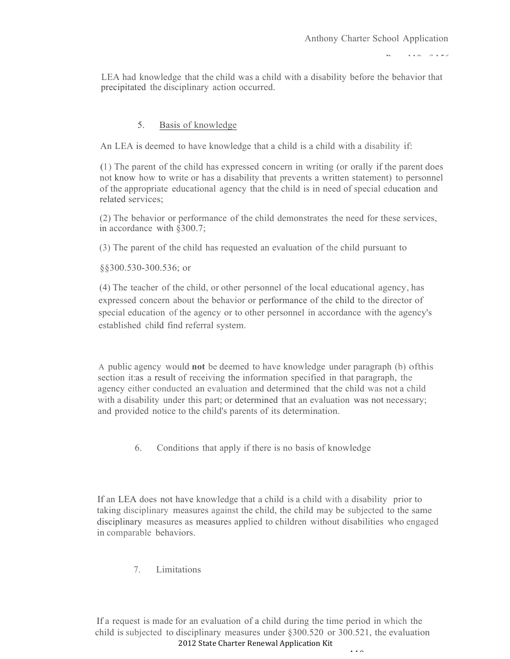$P(A \cap B)$ 

LEA had knowledge that the child was a child with a disability before the behavior that precipitated the disciplinary action occurred.

## 5. Basis of knowledge

An LEA is deemed to have knowledge that a child is a child with a disability if:

(1 ) The parent of the child has expressed concern in writing (or orally if the parent does not know how to write or has a disability that prevents a written statement) to personnel of the appropriate educational agency that the child is in need of special education and related services;

(2) The behavior or performance of the child demonstrates the need for these services, in accordance with §300.7;

(3) The parent of the child has requested an evaluation of the child pursuant to

§§300.530-300.536; or

(4) The teacher of the child, or other personnel of the local educational agency, has expressed concern about the behavior or performance of the child to the director of special education of the agency or to other personnel in accordance with the agency's established child find referral system.

A public agency would **not** be deemed to have knowledge under paragraph (b) ofthis section it:as a result of receiving the information specified in that paragraph, the agency either conducted an evaluation and determined that the child was not a child with a disability under this part; or determined that an evaluation was not necessary; and provided notice to the child's parents of its determination.

6. Conditions that apply if there is no basis of knowledge

If an LEA does not have knowledge that a child is a child with a disability prior to taking disciplinary measures against the child, the child may be subjected to the same disciplinary measures as measures applied to children without disabilities who engaged in comparable behaviors.

7. Limitations

2012 State Charter Renewal Application Kit 110 If a request is made for an evaluation of a child during the time period in which the child is subjected to disciplinary measures under §300.520 or 300.521, the evaluation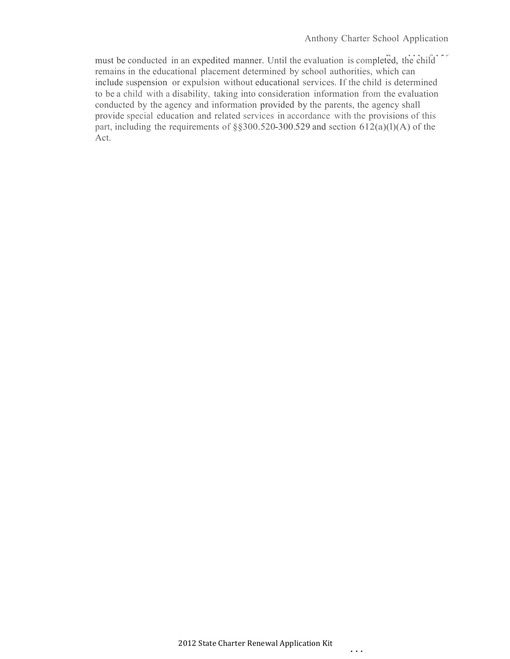must be conducted in an expedited manner. Until the evaluation is completed, the child <sup>176</sup> remains in the educational placement determined by school authorities, which can include suspension or expulsion without educational services. If the child is determined to be a child with a disability, taking into consideration information from the evaluation conducted by the agency and information provided by the parents, the agency shall provide special education and related services in accordance with the provisions of this part, including the requirements of  $\S$ §300.520-300.529 and section 612(a)(l)(A) of the Act.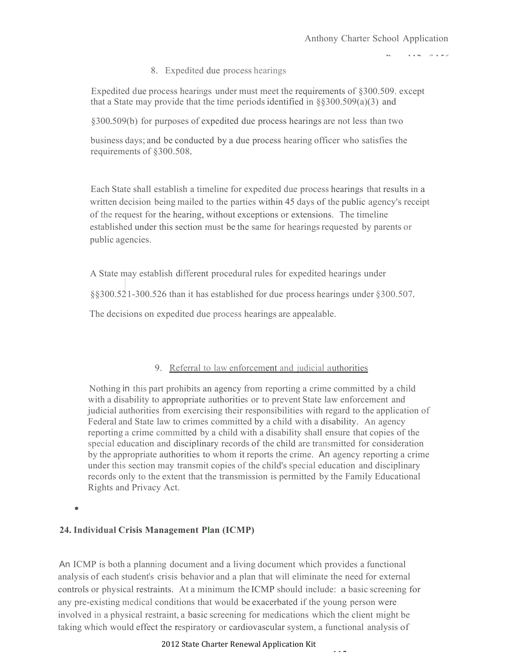$P(A \cap B)$ 

8. Expedited due process hearings

Expedited due process hearings under must meet the requirements of §300.509. except that a State may provide that the time periods identified in  $\S$ §300.509(a)(3) and

§300.509(b) for purposes of expedited due process hearings are not less than two

business days; and be conducted by a due process hearing officer who satisfies the requirements of §300.508.

Each State shall establish a timeline for expedited due process hearings that results in a written decision being mailed to the parties within 45 days of the public agency's receipt of the request for the hearing, without exceptions or extensions. The timeline established under this section must be the same for hearings requested by parents or public agencies.

A State may establish different procedural rules for expedited hearings under

§§300.52·1-300.526 than it has established for due process hearings under §300.507.

The decisions on expedited due process hearings are appealable.

## 9. Referral to law enforcement and judicial authorities

Nothing in this part prohibits an agency from reporting a crime committed by a child with a disability to appropriate authorities or to prevent State law enforcement and judicial authorities from exercising their responsibilities with regard to the application of Federal and State law to crimes committed by a child with a disability. An agency reporting a crime committed by a child with a disability shall ensure that copies of the special education and disciplinary records of the child are transmitted for consideration by the appropriate authorities to whom it reports the crime. An agency reporting a crime under this section may transmit copies of the child's special education and disciplinary records only to the extent that the transmission is permitted by the Family Educational Rights and Privacy Act.

•

### **24. Individual Crisis Management Plan (ICMP)**

An ICMP is both a planning document and a living document which provides a functional analysis of each student's crisis behavior and a plan that will eliminate the need for external controls or physical restraints. At a minimum the ICMP should include: a basic screening for any pre-existing medical conditions that would be exacerbated if the young person were involved in a physical restraint, a basic screening for medications which the client might be taking which would effect the respiratory or cardiovascular system, a functional analysis of

#### 2012 State Charter Renewal Application Kit

112 A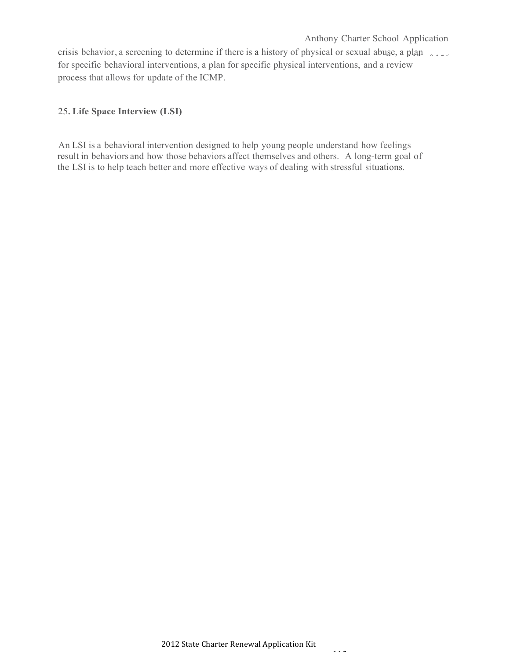crisis behavior, a screening to determine if there is a history of physical or sexual abuse, a plan for specific behavioral interventions, a plan for specific physical interventions, and a review process that allows for update of the ICMP.

## 25.**Life Space Interview (LSI)**

An LSI is a behavioral intervention designed to help young people understand how feelings result in behaviors and how those behaviors affect themselves and others. A long-term goal of the LSI is to help teach better and more effective ways of dealing with stressful situations.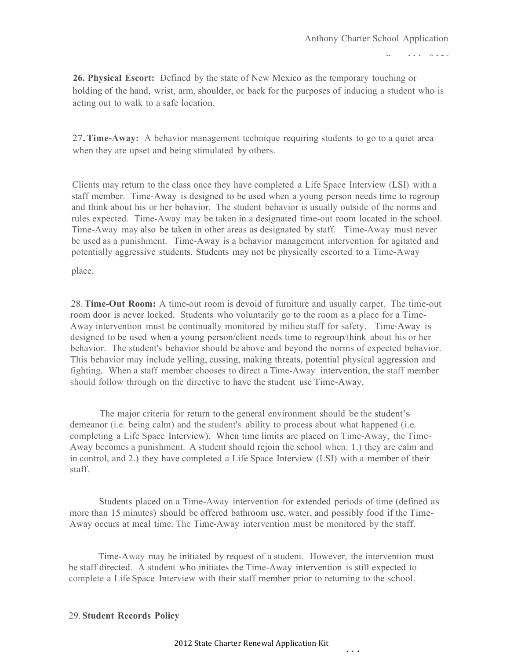$P(A|A) = P(A|B|A)$ 

**26. Physical Escort:** Defined by the state of New Mexico as the temporary touching or holding of the hand, wrist, arm, shoulder, or back for the purposes of inducing a student who is acting out to walk to a safe location.

27.**Time-Away:** <sup>A</sup> behavior management technique requiring students to go to <sup>a</sup> quiet area when they are upset and being stimulated by others.

Clients may return to the class once they have completed a Life Space Interview (LSI) with a staff member. Time-Away is designed to be used when a young person needs time to regroup and think about his or her behavior. The student behavior is usually outside of the norms and rules expected. Time-Away may be taken in a designated time-out room located in the school. Time-Away may also be taken in other areas as designated by staff. Time-Away must never be used as a punishment. Time-Away is a behavior management intervention for agitated and potentially aggressive students. Students may not be physically escorted to a Time-Away

place.

28.**Time-Out Room:** A time-out room is devoid of furniture and usually carpet. The time-out room door is never locked. Students who voluntarily go to the room as a place for a Time-Away intervention must be continually monitored by milieu staff for safety. Time-Away is designed to be used when a young person/client needs time to regroup/think about his or her behavior. The student's behavior should be above and beyond the norms of expected behavior. This behavior may include yelling, cussing, making threats, potential physical aggression and fighting. When a staff member chooses to direct a Time-Away intervention, the staff member should follow through on the directive to have the student use Time-Away.

The major criteria for return to the general environment should be the student's demeanor (i.e. being calm) and the student's ability to process about what happened (i.e. completing a Life Space Interview). When time limits are placed on Time-Away, the Time-Away becomes a punishment. A student should rejoin the school when: 1.) they are calm and in control, and 2.) they have completed a Life Space Interview (LSI) with a member of their staff.

Students placed on a Time-Away intervention for extended periods of time (defined as more than 15 minutes) should be offered bathroom use, water, and possibly food if the Time-Away occurs at meal time. The Time-Away intervention must be monitored by the staff.

Time-Away may be initiated by request of a student. However, the intervention must be staff directed. A student who initiates the Time-Away intervention is still expected to complete a Life Space Interview with their staff member prior to returning to the school.

### 29. **Student Records Policy**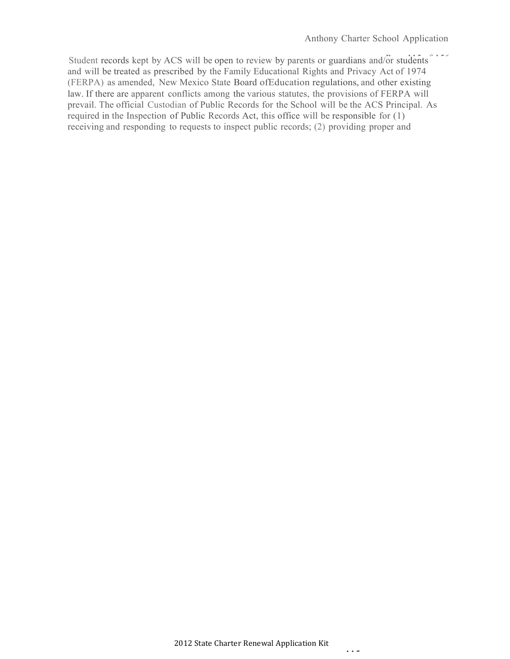Student records kept by ACS will be open to review by parents or guardians and/or students <sup>225</sup> and will be treated as prescribed by the Family Educational Rights and Privacy Act of 1974 (FERPA) as amended, New Mexico State Board ofEducation regulations, and other existing law. If there are apparent conflicts among the various statutes, the provisions of FERPA will prevail. The official Custodian of Public Records for the School will be the ACS Principal. As required in the Inspection of Public Records Act, this office will be responsible for (1) receiving and responding to requests to inspect public records; (2) providing proper and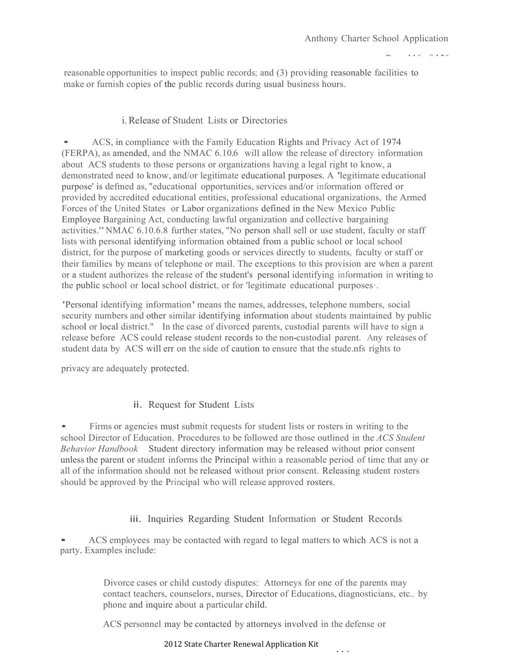$P = 116.0156$ 

reasonable opportunities to inspect public records; and (3) providing reasonable facilities to make or furnish copies of the public records during usual business hours.

# i.Release of Student Lists or Directories

• ACS, in compliance with the Family Education Rights and Privacy Act of <sup>1974</sup> (FERPA), as amended, and the NMAC 6.10.6 will allow the release of directory information about ACS students to those persons or organizations having a legal right to know, a demonstrated need to know, and/or legitimate educational purposes. A 'legitimate educational purpose' is defmed as, "educational opportunities, services and/or information offered or provided by accredited educational entities, professional educational organizations, the Armed Forces of the United States or Labor organizations defined in the New Mexico Public Employee Bargaining Act, conducting lawful organization and collective bargaining activities."NMAC 6.10.6.8 further states, "No person shall sell or use student, faculty or staff lists with personal identifying information obtained from a public school or local school district, for the purpose of marketing goods or services directly to students, faculty or staff or their families by means of telephone or mail. The exceptions to this provision are when a parent or a student authorizes the release of the student's personal identifying information in writing to the public school or local school district, or for 'legitimate educational purposes·.

'Personal identifying information'means the names, addresses, telephone numbers, social security numbers and other similar identifying information about students maintained by public school or local district." In the case of divorced parents, custodial parents will have to sign a release before ACS could release student records to the non-custodial parent. Any releases of student data by ACS will err on the side of caution to ensure that the stude.nfs rights to

privacy are adequately protected.

# ii. Request for Student Lists

• Firms or agencies must submit requests for student lists or rosters in writing to the school Director of Education. Procedures to be followed are those outlined in the *ACS Student Behavior Handbook* Student directory information may be released without prior consent unless the parent or student informs the Principal within a reasonable period of time that any or all of the information should not be released without prior consent. Releasing student rosters should be approved by the Principal who will release approved rosters.

## iii. Inquiries Regarding Student Information or Student Records

ACS employees may be contacted with regard to legal matters to which ACS is not a party. Examples include:

> Divorce cases or child custody disputes: Attorneys for one of the parents may contact teachers, counselors, nurses, Director of Educations, diagnosticians, etc.. by phone and inquire about a particular child.

> > 116

ACS personnel may be contacted by attorneys involved in the defense or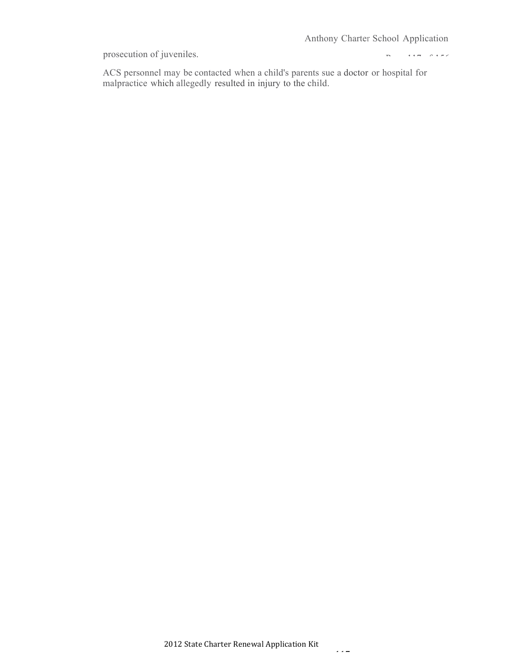prosecution of juveniles.

 $P = 117$  of  $156$ 

ACS personnel may be contacted when a child's parents sue a doctor or hospital for malpractice which allegedly resulted in injury to the child.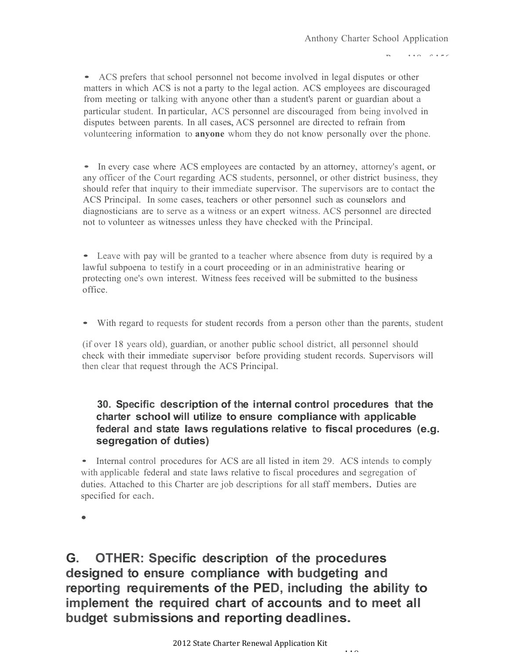$P_1 + Q_2 + P_3 + P_4$ 

• ACS prefers that school personnel not become involved in legal disputes or other matters in which ACS is not a party to the legal action. ACS employees are discouraged from meeting or talking with anyone other than a student's parent or guardian about a particular student. In particular, ACS personnel are discouraged from being involved in disputes between parents. In all cases, ACS personnel are directed to refrain from volunteering information to **anyone** whom they do not know personally over the phone.

• In every case where ACS employees are contacted by an attorney, attorney's agent, or any officer of the Court regarding ACS students, personnel, or other district business, they should refer that inquiry to their immediate supervisor. The supervisors are to contact the ACS Principal. In some cases, teachers or other personnel such as counselors and diagnosticians are to serve as a witness or an expert witness. ACS personnel are directed not to volunteer as witnesses unless they have checked with the Principal.

• Leave with pay will be granted to <sup>a</sup> teacher where absence from duty is required by <sup>a</sup> lawful subpoena to testify in a court proceeding or in an administrative hearing or protecting one's own interest. Witness fees received will be submitted to the business office.

• With regard to requests for student records from <sup>a</sup> person other than the parents, student

(if over 18 years old), guardian, or another public school district, all personnel should check with their immediate supervisor before providing student records. Supervisors will then clear that request through the ACS Principal.

# **30. Specific description of the internal control procedures that the charter school will utilize to ensure compliance with applicable federal and state laws regulations relative to fiscal procedures (e.g. segregation of duties)**

• Internal control procedures for ACS are all listed in item 29. ACS intends to comply with applicable federal and state laws relative to fiscal procedures and segregation of duties. Attached to this Charter are job descriptions for all staff members. Duties are specified for each.

•

**G. OTHER: Specific description of the procedures designed to ensure compliance with budgeting and reporting requirements of the PED, including the ability to implement the required chart of accounts and to meet all budget submissions and reporting deadlines.**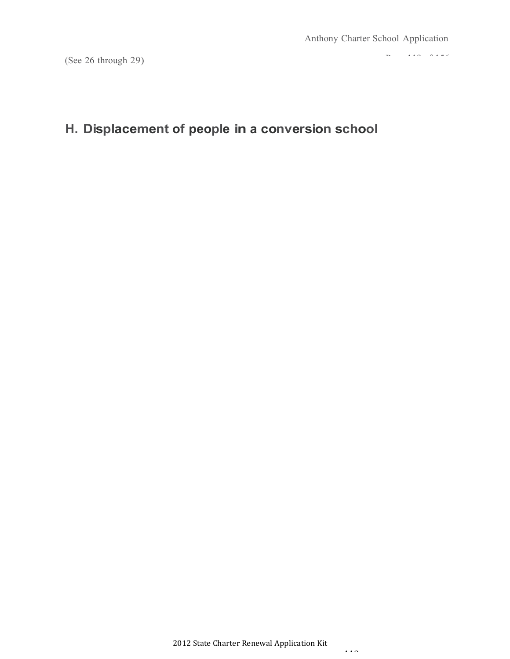(See 26 through 29)

 $P = 110$  of  $156$ 

# **H. Displacement of people in a conversion school**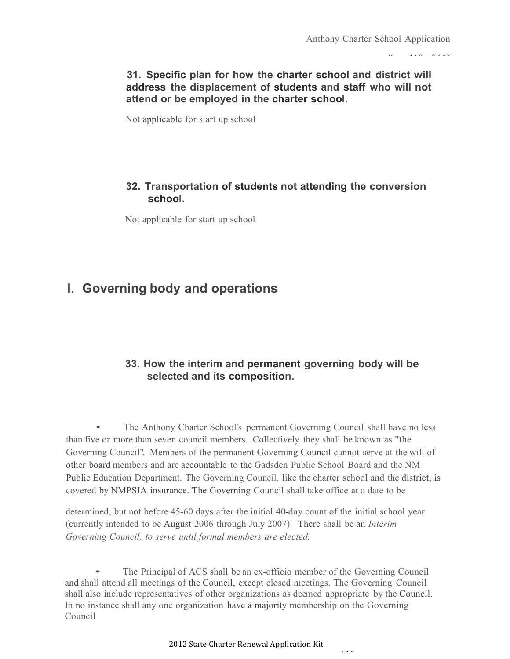$P_1$  10  $P_2$  156

## **31. Specific plan for how the charter school and district will address the displacement of students and staff who will not attend or be employed in the charter school.**

Not applicable for start up school

## **32. Transportation of students not attending the conversion school.**

Not applicable for start up school

# **I. Governing body and operations**

## **33. How the interim and permanent governing body will be selected and its composition.**

• The Anthony Charter School's permanent Governing Council shall have no less than five or more than seven council members. Collectively they shall be known as "the Governing Council". Members of the permanent Governing Council cannot serve at the will of other board members and are accountable to the Gadsden Public School Board and the NM Public Education Department. The Governing Council, like the charter school and the district, is covered by NMPSIA insurance. The Governing Council shall take office at a date to be

determined, but not before 45-60 days after the initial 40-day count of the initial school year (currently intended to be August 2006 through July 2007). There shall be an *Interim Governing Council, to serve until formal members are elected.*

• The Principal of ACS shall be an ex-officio member of the Governing Council and shall attend all meetings of the Council, except closed meetings. The Governing Council shall also include representatives of other organizations as deemed appropriate by the Council. In no instance shall any one organization have a majority membership on the Governing Council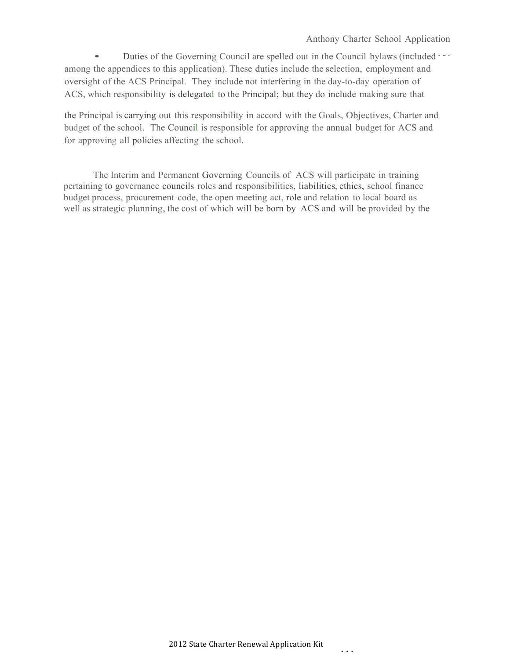#### Anthony Charter School Application

• Duties of the Governing Council are spelled out in the Council bylaws (included  $\cdot$ among the appendices to this application). These duties include the selection, employment and oversight of the ACS Principal. They include not interfering in the day-to-day operation of ACS, which responsibility is delegated to the Principal; but they do include making sure that

the Principal is carrying out this responsibility in accord with the Goals, Objectives, Charter and budget of the school. The Council is responsible for approving the annual budget for ACS and for approving all policies affecting the school.

The Interim and Permanent Governing Councils of ACS will participate in training pertaining to governance councils roles and responsibilities, liabilities, ethics, school finance budget process, procurement code, the open meeting act, role and relation to local board as well as strategic planning, the cost of which will be born by ACS and will be provided by the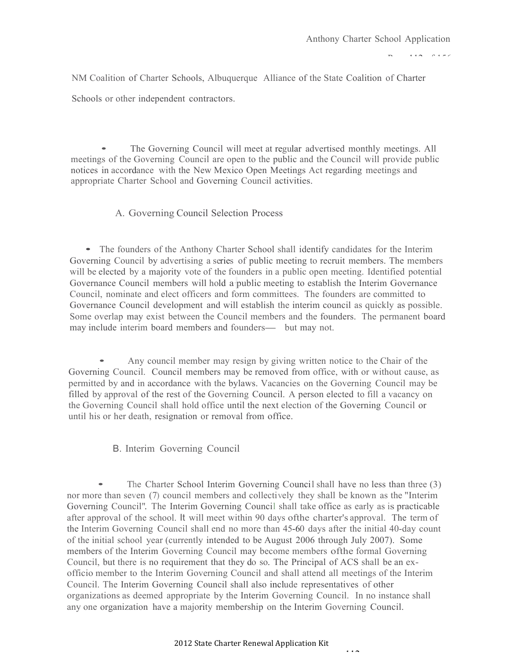$P = 112$  of  $P = 76$ 

NM Coalition of Charter Schools, Albuquerque Alliance of the State Coalition of Charter

Schools or other independent contractors.

• The Governing Council will meet at regular advertised monthly meetings. All meetings of the Governing Council are open to the public and the Council will provide public notices in accordance with the New Mexico Open Meetings Act regarding meetings and appropriate Charter School and Governing Council activities.

#### A. Governing Council Selection Process

• The founders of the Anthony Charter School shall identify candidates for the Interim Governing Council by advertising a series of public meeting to recruit members. The members will be elected by a majority vote of the founders in a public open meeting. Identified potential Governance Council members will hold a·public meeting to establish the Interim Governance Council, nominate and elect officers and form committees. The founders are committed to Governance Council development and will establish the interim council as quickly as possible. Some overlap may exist between the Council members and the founders. The permanent board Governance Council development and will establish the interim couse Some overlap may exist between the Council members and the founders- but may not.

• Any council member may resign by giving written notice to the Chair of the Governing Council. Council members may be removed from office, with or without cause, as permitted by and in accordance with the bylaws. Vacancies on the Governing Council may be filled by approval of the rest of the Governing Council. A person elected to fill a vacancy on the Governing Council shall hold office until the next election of the Governing Council or until his or her death, resignation or removal from office.

B. Interim Governing Council

• The Charter School Interim Governing Council shall have no less than three (3) nor more than seven (7) council members and collectively they shall be known as the "Interim Governing Council". The Interim Governing Council shall take office as early as is practicable after approval of the school. It will meet within 90 days ofthe charter's approval. The term of the Interim Governing Council shall end no more than 45-60 days after the initial 40-day count of the initial school year (currently intended to be August 2006 through July 2007). Some members of the Interim Governing Council may become members ofthe formal Governing Council, but there is no requirement that they do so. The Principal of ACS shall be an exofficio member to the Interim Governing Council and shall attend all meetings of the Interim Council. The Interim Governing Council shall also include representatives of other organizations as deemed appropriate by the Interim Governing Council. In no instance shall any one organization have a majority membership on the Interim Governing Council.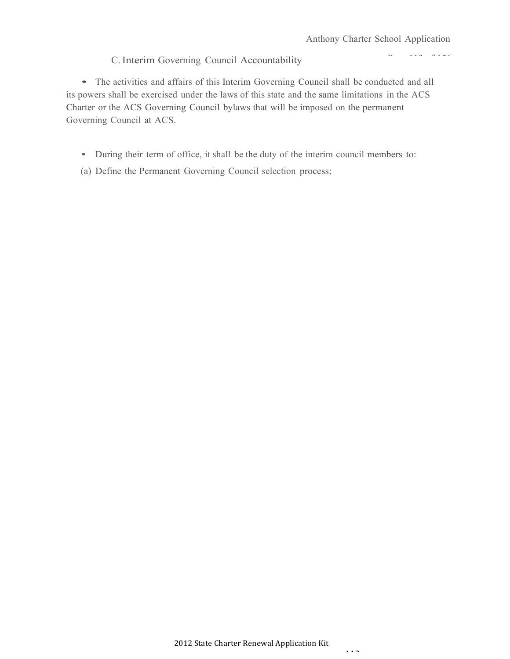$P_1 = 113$  of  $156$ 

### C.Interim Governing Council Accountability

• The activities and affairs of this Interim Governing Council shall be conducted and all its powers shall be exercised under the laws of this state and the same limitations in the ACS Charter or the ACS Governing Council bylaws that will be imposed on the permanent Governing Council at ACS.

- During their term of office, it shall be the duty of the interim council members to:
- (a) Define the Permanent Governing Council selection process;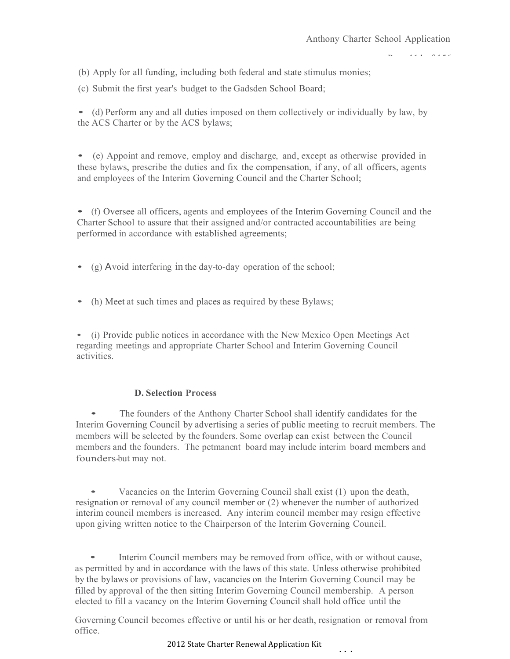$P(A|A) = P(A|B)$ 

(b) Apply for all funding, including both federal and state stimulus monies;

(c) Submit the first year's budget to the Gadsden School Board;

• (d) Perform any and all duties imposed on them collectively or individually by law, by the ACS Charter or by the ACS bylaws;

• (e) Appoint and remove, employ and discharge, and, except as otherwise provided in these bylaws, prescribe the duties and fix the compensation, if any, of all officers, agents and employees of the Interim Governing Council and the Charter School;

• (f) Oversee all officers, agents and employees of the Interim Governing Council and the Charter School to assure that their assigned and/or contracted accountabilities are being performed in accordance with established agreements;

- (g) <sup>A</sup>void interfering in the day-to-day operation of the school;
- (h) Meet at such times and places as required by these Bylaws;

• (i) Provide public notices in accordance with the New Mexico Open Meetings Act regarding meetings and appropriate Charter School and Interim Governing Council activities.

#### **D. Selection Process**

The founders of the Anthony Charter School shall identify candidates for the Interim Governing Council by advertising a series of public meeting to recruit members. The members will be selected by the founders. Some overlap can exist between the Council members and the founders. The petmanent board may include interim board members and founders-but may not.

• Vacancies on the Interim Governing Council shall exist (1) upon the death, resignation or removal of any council member or (2) whenever the number of authorized interim council members is increased. Any interim council member may resign effective upon giving written notice to the Chairperson of the Interim Governing Council.

Interim Council members may be removed from office, with or without cause, as permitted by and in accordance with the laws of this state. Unless otherwise prohibited by the bylaws or provisions of law, vacancies on the Interim Governing Council may be filled by approval of the then sitting Interim Governing Council membership. A person elected to fill a vacancy on the Interim Governing Council shall hold office until the

Governing Council becomes effective or until his or her death, resignation or removal from office.

#### 2012 State Charter Renewal Application Kit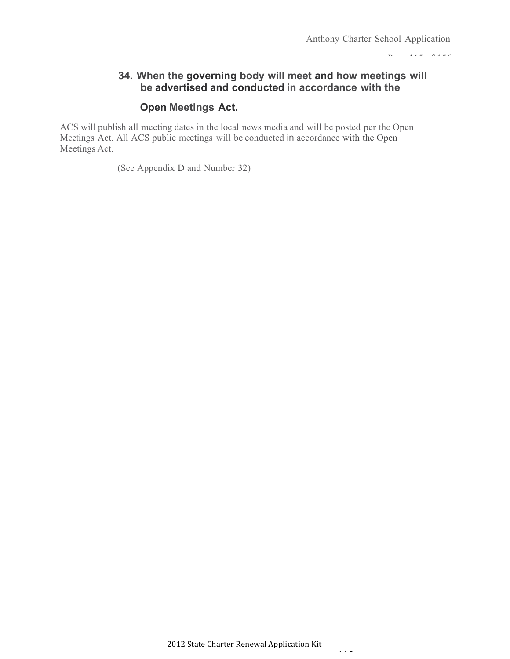Page 115 of 156

## **34. When the governing body will meet and how meetings will be advertised and conducted in accordance with the**

## **Open Meetings Act.**

ACS will publish all meeting dates in the local news media and will be posted per the Open Meetings Act. All ACS public meetings will be conducted in accordance with the Open Meetings Act.

(See Appendix D and Number 32)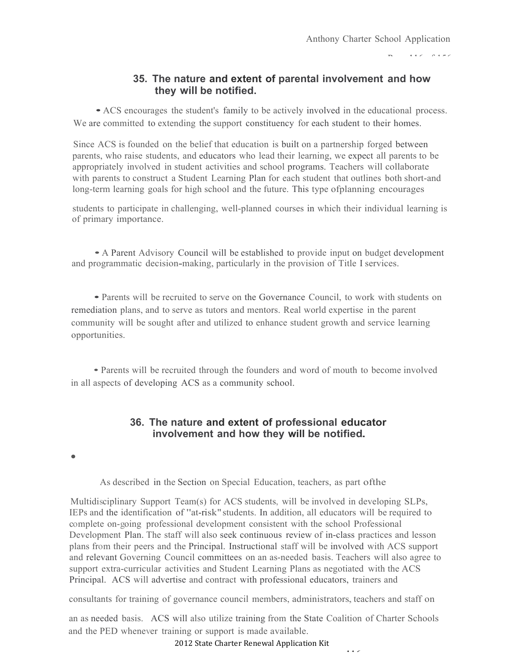Page 116 of 156

## **35. The nature and extent of parental involvement and how they will be notified.**

• ACS encourages the student's family to be actively involved in the educational process. We are committed to extending the support constituency for each student to their homes.

Since ACS is founded on the belief that education is built on a partnership forged between parents, who raise students, and educators who lead their learning, we expect all parents to be appropriately involved in student activities and school programs. Teachers will collaborate with parents to construct a Student Learning Plan for each student that outlines both short-and long-term learning goals for high school and the future. This type ofplanning encourages

students to participate in challenging, well-planned courses in which their individual learning is of primary importance.

• A Parent Advisory Council will be established to provide input on budget development and programmatic decision-making, particularly in the provision of Title I services.

• Parents will be recruited to serve on the Governance Council, to work with students on remediation plans, and to serve as tutors and mentors. Real world expertise in the parent community will be sought after and utilized to enhance student growth and service learning opportunities.

• Parents will be recruited through the founders and word of mouth to become involved in all aspects of developing ACS as a community school.

## **36. The nature and extent of professional educator involvement and how they will be notified.**

•

As described in the Section on Special Education, teachers, as part ofthe

Multidisciplinary Support Team(s) for ACS students, will be involved in developing SLPs, IEPs and the identification of "at-risk" students. In addition, all educators will be required to complete on-going professional development consistent with the school Professional Development Plan. The staff will also seek continuous review of in-class practices and lesson plans from their peers and the Principal. Instructional staff will be involved with ACS support and relevant Governing Council committees on an as-needed basis. Teachers will also agree to support extra-curricular activities and Student Learning Plans as negotiated with the ACS Principal. ACS will advertise and contract with professional educators, trainers and

consultants for training of governance council members, administrators, teachers and staff on

an as needed basis. ACS will also utilize training from the State Coalition of Charter Schools and the PED whenever training or support is made available.

2012 State Charter Renewal Application Kit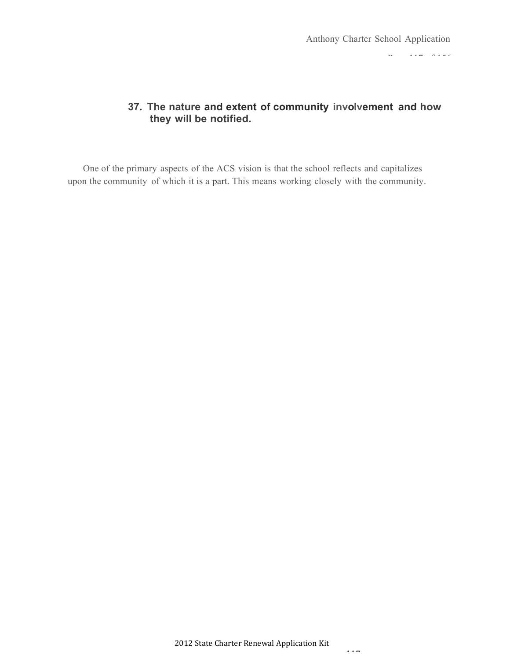Page 117 of 156

## **37. The nature and extent of community involvement and how they will be notified.**

One of the primary aspects of the ACS vision is that the school reflects and capitalizes upon the community of which it is a part. This means working closely with the community.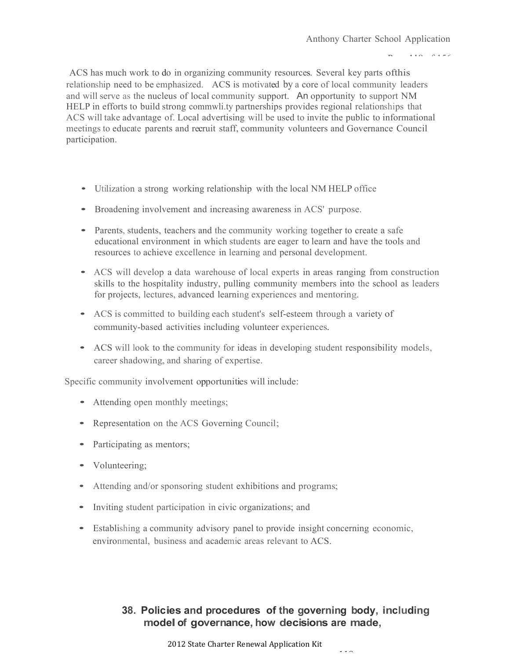$P = 118.0186$ 

ACS has much work to do in organizing community resources. Several key parts ofthis relationship need to be emphasized. ACS is motivated by a core of local community leaders and will serve as the nucleus of local community support. An opportunity to support NM HELP in efforts to build strong commwli.ty partnerships provides regional relationships that ACS will take advantage of. Local advertising will be used to invite the public to informational meetings to educate parents and recruit staff, community volunteers and Governance Council participation.

- Utilization <sup>a</sup> strong working relationship with the local NM HELP office
- Broadening involvement and increasing awareness in ACS' purpose.
- Parents, students, teachers and the community working together to create a safe educational environment in which students are eager to learn and have the tools and resources to achieve excellence in learning and personal development.
- ACS will develop <sup>a</sup> data warehouse of local experts in areas ranging from construction skills to the hospitality industry, pulling community members into the school as leaders for projects, lectures, advanced learning experiences and mentoring.
- ACS is committed to building each student's self-esteem through <sup>a</sup> variety of community-based activities including volunteer experiences.
- ACS will look to the community for ideas in developing student responsibility models, career shadowing, and sharing of expertise.

Specific community involvement opportunities will include:

- Attending open monthly meetings;
- Representation on the ACS Governing Council;
- Participating as mentors;
- Volunteering;
- Attending and/or sponsoring student exhibitions and programs;
- Inviting student participation in civic organizations; and
- Establishing <sup>a</sup> community advisory panel to provide insight concerning economic, environmental, business and academic areas relevant to ACS.

## **38. Policies and procedures of the governing body, including modelof governance, how decisions are made,**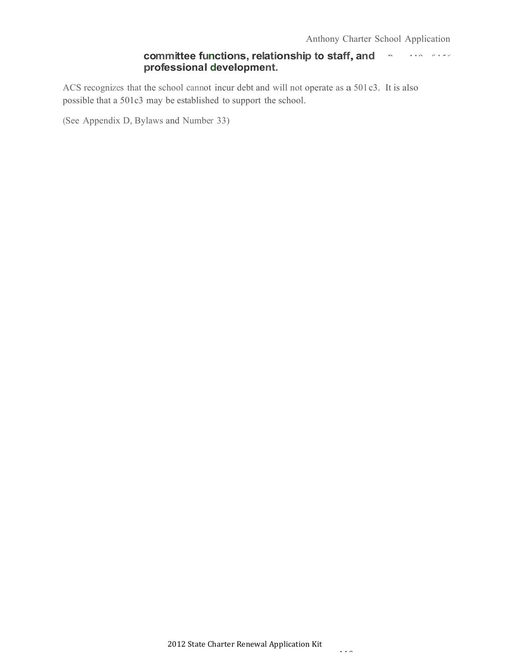#### $P = 119$  of  $P = 156$ **committee functions, relationship to staff,and professional development.**

ACS recognizes that the school cannot incur debt and will not operate as a 501c3. It is also possible that a 501c3 may be established to support the school.

(See Appendix D, Bylaws and Number 33)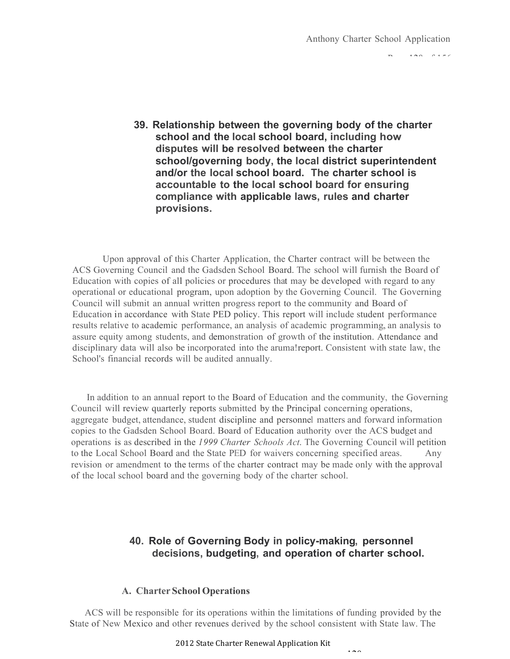$P$ 

**39. Relationship between the governing body of the charter school and the local school board, including how disputes will be resolved between the charter school/governing body, the local district superintendent and/or the local school board. The charter school is accountable to the local school board for ensuring compliance with applicable laws, rules and charter provisions.**

Upon approval of this Charter Application, the Charter contract will be between the ACS Governing Council and the Gadsden School Board. The school will furnish the Board of Education with copies of all policies or procedures that may be developed with regard to any operational or educational program, upon adoption by the Governing Council. The Governing Council will submit an annual written progress report to the community and Board of Education in accordance with State PED policy. This report will include student performance results relative to academic performance, an analysis of academic programming, an analysis to assure equity among students, and demonstration of growth of the institution. Attendance and disciplinary data will also be incorporated into the aruma!report. Consistent with state law, the School's financial records will be audited annually.

In addition to an annual report to the Board of Education and the community, the Governing Council will review quarterly reports submitted by the Principal concerning operations, aggregate budget, attendance, student discipline and personnel matters and forward information copies to the Gadsden School Board. Board of Education authority over the ACS budget and operations is as described in the *I 999 Charter Schools Act.* The Governing Council will petition to the Local School Board and the State PED for waivers concerning specified areas. Any revision or amendment to the terms of the charter contract may be made only with the approval of the local school board and the governing body of the charter school.

### **40. Role of Governing Body in policy-making, personnel decisions, budgeting, and operation of charter school.**

 $120$ 

#### **A. Charter School Operations**

ACS will be responsible for its operations within the limitations of funding provided by the State of New Mexico and other revenues derived by the school consistent with State law. The

2012 State Charter Renewal Application Kit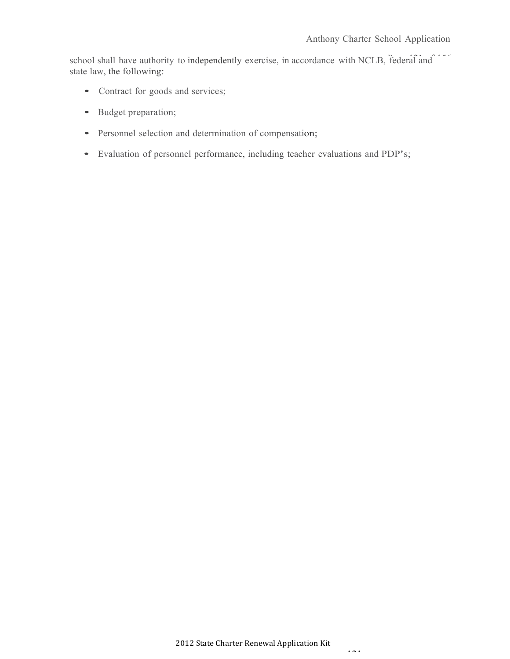school shall have authority to independently exercise, in accordance with NCLB, federal and state law, the following:

- Contract for goods and services;
- Budget preparation;
- Personnel selection and determination of compensation;
- Evaluation of personnel performance, including teacher evaluations and PDP's;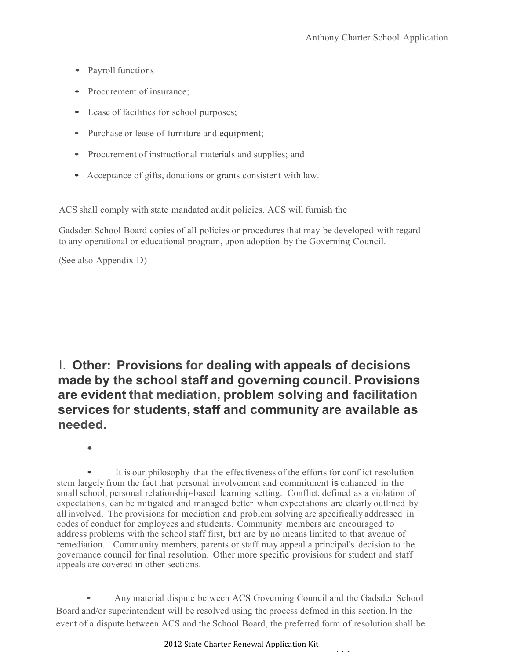- Payroll functions
- Procurement of insurance;
- Lease of facilities for school purposes;
- Purchase or lease of furniture and equipment;
- Procurement of instructional materials and supplies; and
- Acceptance of gifts, donations or grants consistent with law.

ACS shall comply with state mandated audit policies. ACS will furnish the

Gadsden School Board copies of all policies or procedures that may be developed with regard to any operational or educational program, upon adoption by the Governing Council.

(See also Appendix D)

## I. **Other: Provisions for dealing with appeals of decisions made by the school staff and governing council. Provisions are evident that mediation, problem solving and facilitation services for students, staff and community are available as needed.**

It is our philosophy that the effectiveness of the efforts for conflict resolution stem largely from the fact that personal involvement and commitment is enhanced in the small school, personal relationship-based learning setting. Conflict, defined as a violation of expectations, can be mitigated and managed better when expectations are clearly outlined by all involved. The provisions for mediation and problem solving are specifically addressed in codes of conduct for employees and students. Community members are encouraged to address problems with the school staff first, but are by no means limited to that avenue of remediation. Community members, parents or staff may appeal a principal's decision to the governance council for final resolution. Other more specific provisions for student and staff appeals are covered in other sections.

• Any material dispute between ACS Governing Council and the Gadsden School Board and/or superintendent will be resolved using the process defmed in this section. In the event of a dispute between ACS and the School Board, the preferred form of resolution shall be

<sup>•</sup>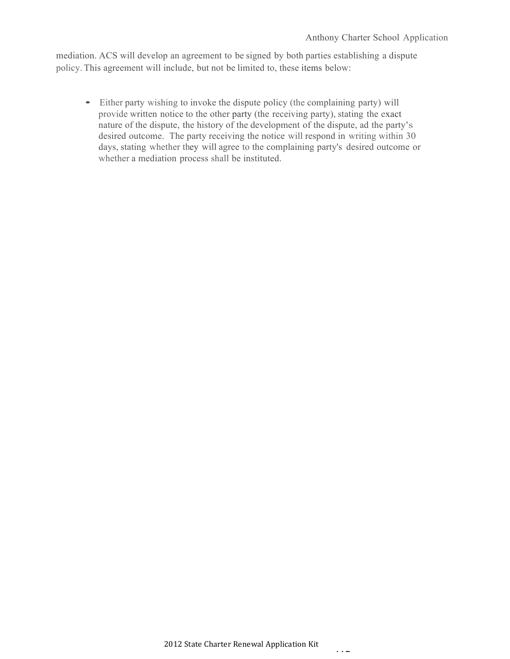mediation. ACS will develop an agreement to be signed by both parties establishing a dispute policy. This agreement will include, but not be limited to, these items below:

• Either party wishing to invoke the dispute policy (the complaining party) will provide written notice to the other party (the receiving party), stating the exact nature of the dispute, the history of the development of the dispute, ad the party's desired outcome. The party receiving the notice will respond in writing within 30 days, stating whether they will agree to the complaining party's desired outcome or whether a mediation process shall be instituted.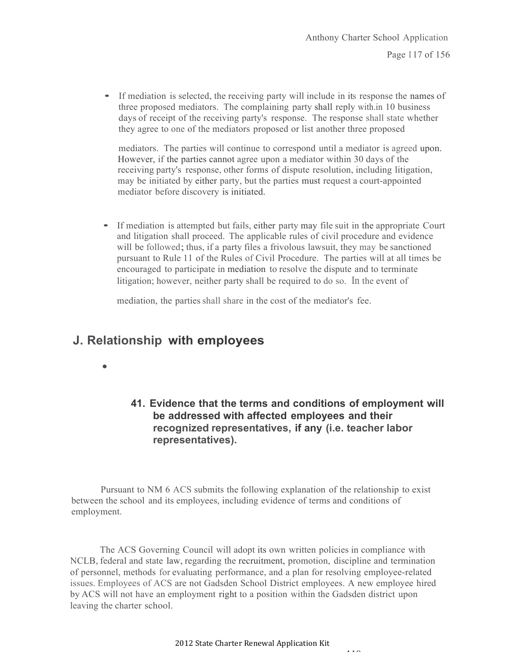• If mediation is selected, the receiving party will include in its response the names of three proposed mediators. The complaining party shall reply with.in 10 business days of receipt of the receiving party's response. The response shall state whether they agree to one of the mediators proposed or list another three proposed

mediators. The parties will continue to correspond until a mediator is agreed upon. However, if the parties cannot agree upon a mediator within 30 days of the receiving party's response, other forms of dispute resolution, including litigation, may be initiated by either party, but the parties must request a court-appointed mediator before discovery is initiated.

• If mediation is attempted but fails, either party may file suit in the appropriate Court and litigation shall proceed. The applicable rules of civil procedure and evidence will be followed; thus, if a party files a frivolous lawsuit, they may be sanctioned pursuant to Rule 11 of the Rules of Civil Procedure. The parties will at all times be encouraged to participate in mediation to resolve the dispute and to terminate litigation; however, neither party shall be required to do so. In the event of

mediation, the parties shall share in the cost of the mediator's fee.

## **J. Relationship with employees**

•

## **41. Evidence that the terms and conditions of employment will be addressed with affected employees and their recognized representatives, if any (i.e. teacher labor representatives).**

Pursuant to NM 6 ACS submits the following explanation of the relationship to exist between the school and its employees, including evidence of terms and conditions of employment.

The ACS Governing Council will adopt its own written policies in compliance with NCLB, federal and state law, regarding the recruitment, promotion, discipline and termination of personnel, methods for evaluating performance, and a plan for resolving employee-related issues. Employees of ACS are not Gadsden School District employees. A new employee hired by ACS will not have an employment right to a position within the Gadsden district upon leaving the charter school.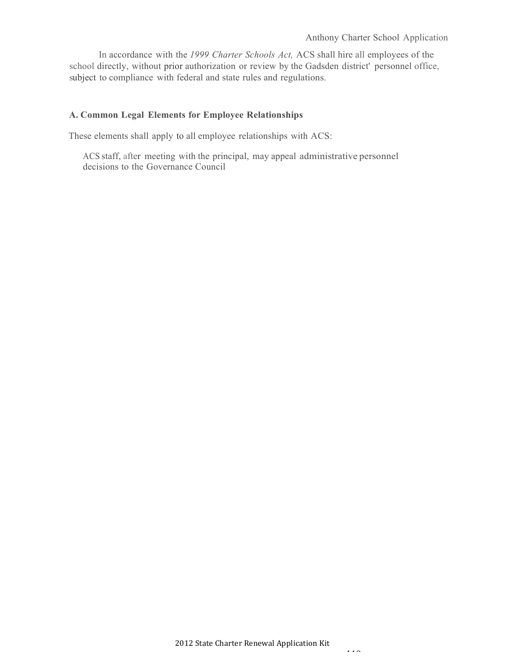In accordance with the *1999 Charter Schools Act,* ACS shall hire all employees of the school directly, without prior authorization or review by the Gadsden district' personnel office, subject to compliance with federal and state rules and regulations.

#### **A. Common Legal Elements for Employee Relationships**

These elements shall apply to all employee relationships with ACS:

ACS staff, after meeting with the principal, may appeal administrative personnel decisions to the Governance Council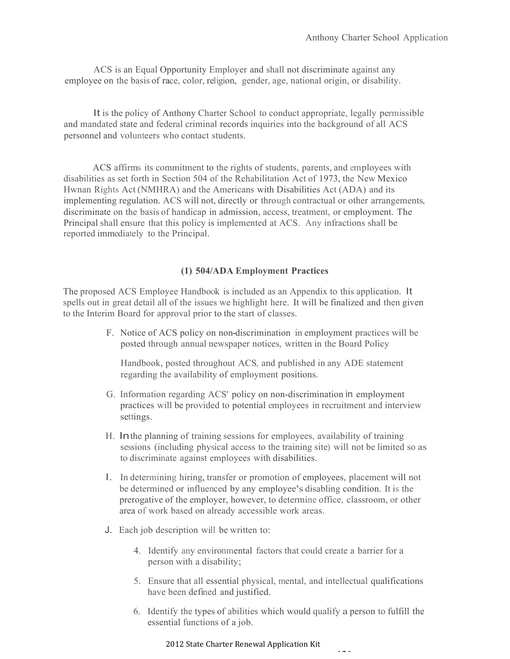ACS is an Equal Opportunity Employer and shall not discriminate against any employee on the basis of race, color, religion, gender, age, national origin, or disability.

It is the policy of Anthony Charter School to conduct appropriate, legally permissible and mandated state and federal criminal records inquiries into the background of all ACS personnel and volunteers who contact students.

ACS affirms its commitment to the rights of students, parents, and employees with disabilities as set forth in Section 504 of the Rehabilitation Act of 1973, the New Mexico Hwnan Rights Act (NMHRA) and the Americans with Disabilities Act (ADA) and its implementing regulation. ACS will not, directly or through contractual or other arrangements, discriminate on the basis of handicap in admission, access, treatment, or employment. The Principal shall ensure that this policy is implemented at ACS. Any infractions shall be reported immediately to the Principal.

#### **(1) 504/ADA Employment Practices**

The proposed ACS Employee Handbook is included as an Appendix to this application. It spells out in great detail all of the issues we highlight here. It will be finalized and then given to the Interim Board for approval prior to the start of classes.

> F. Notice of ACS policy on non-discrimination in employment practices will be posted through annual newspaper notices, written in the Board Policy

Handbook, posted throughout ACS, and published in any ADE statement regarding the availability of employment positions.

- G. Information regarding ACS' policy on non-discrimination in employment practices will be provided to potential employees in recruitment and interview settings.
- H. Inthe planning of training sessions for employees, availability of training sessions (including physical access to the training site) will not be limited so as to discriminate against employees with disabilities.
- I. In determining hiring, transfer or promotion of employees, placement will not be determined or influenced by any employee's disabling condition. It is the prerogative of the employer, however, to determine office, classroom, or other area of work based on already accessible work areas.
- J. Each job description will be written to:
	- 4. Identify any environmental factors that could create a barrier for a person with a disability;
	- 5. Ensure that all essential physical, mental, and intellectual qualifications have been defined and justified.
	- 6. Identify the types of abilities which would qualify a person to fulfill the essential functions of a job.

 $120$ 

#### 2012 State Charter Renewal Application Kit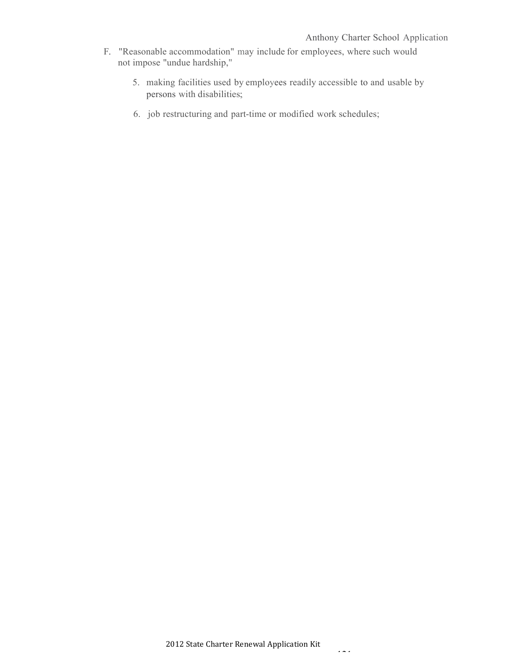- F. "Reasonable accommodation" may include for employees, where such would not impose "undue hardship,"
	- 5. making facilities used by employees readily accessible to and usable by persons with disabilities;
	- 6. job restructuring and part-time or modified work schedules;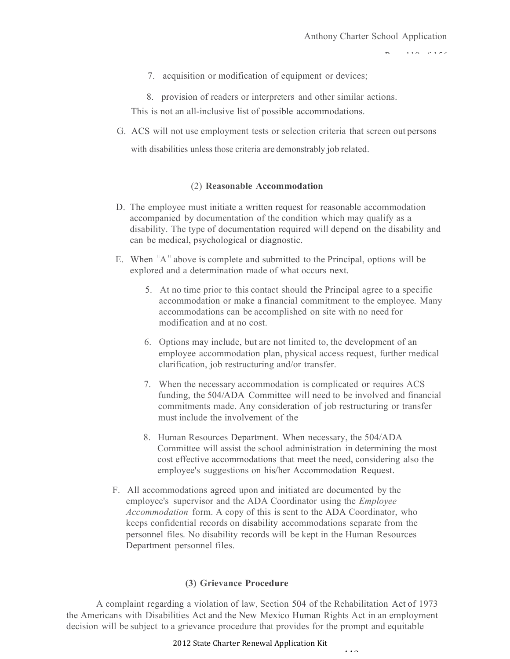$P(A|A) = P(A|B|C)$ 

- 7. acquisition or modification of equipment or devices;
- 8. provision of readers or interpreters and other similar actions.

This is not an all-inclusive list of possible accommodations.

G. ACS will not use employment tests or selection criteria that screen out persons

with disabilities unless those criteria are demonstrably job related.

#### (2) **Reasonable Accommodation**

- D. The employee must initiate a written request for reasonable accommodation accompanied by documentation of the condition which may qualify as a disability. The type of documentation required will depend on the disability and can be medical, psychological or diagnostic.
- E. When  $A^{\text{II}}$  above is complete and submitted to the Principal, options will be explored and a determination made of what occurs next.
	- 5. At no time prior to this contact should the Principal agree to a specific accommodation or make a financial commitment to the employee. Many accommodations can be accomplished on site with no need for modification and at no cost.
	- 6. Options may include, but are not limited to, the development of an employee accommodation plan, physical access request, further medical clarification, job restructuring and/or transfer.
	- 7. When the necessary accommodation is complicated or requires ACS funding, the 504/ADA Committee will need to be involved and financial commitments made. Any consideration of job restructuring or transfer must include the involvement of the
	- 8. Human Resources Department. When necessary, the 504/ADA Committee will assist the school administration in determining the most cost effective accommodations that meet the need, considering also the employee's suggestions on his/her Accommodation Request.

 $110$ 

F. All accommodations agreed upon and initiated are documented by the employee's supervisor and the ADA Coordinator using the *Employee Accommodation* form. A copy of this is sent to the ADA Coordinator, who keeps confidential records on disability accommodations separate from the personnel files. No disability records will be kept in the Human Resources Department personnel files.

#### **(3) Grievance Procedure**

A complaint regarding a violation of law, Section 504 of the Rehabilitation Act of 1973 the Americans with Disabilities Act and the New Mexico Human Rights Act in an employment decision will be subject to a grievance procedure that provides for the prompt and equitable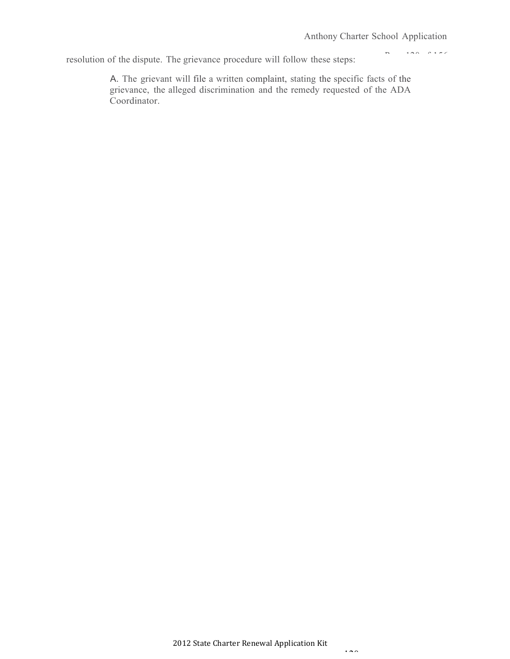Page 120 of 156

resolution of the dispute. The grievance procedure will follow these steps:

A. The grievant will file a written complaint, stating the specific facts of the grievance, the alleged discrimination and the remedy requested of the ADA Coordinator.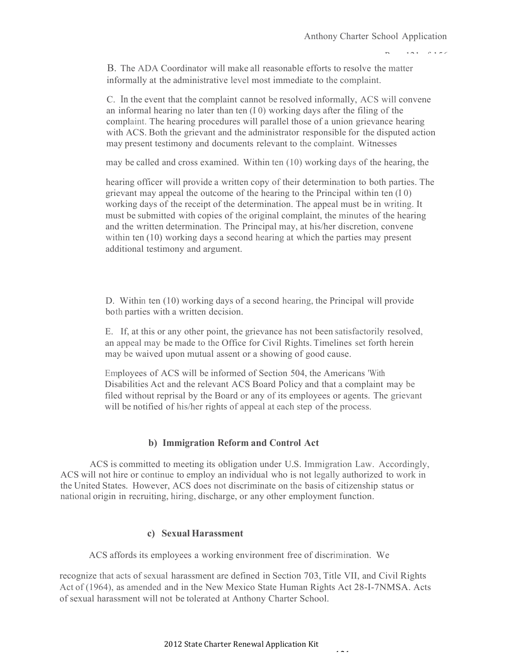$P = 101$   $P = 156$ 

B. The ADA Coordinator will make all reasonable efforts to resolve the matter informally at the administrative level most immediate to the complaint.

C. In the event that the complaint cannot be resolved informally, ACS will convene an informal hearing no later than ten (I 0) working days after the filing of the complaint. The hearing procedures will parallel those of a union grievance hearing with ACS. Both the grievant and the administrator responsible for the disputed action may present testimony and documents relevant to the complaint. Witnesses

may be called and cross examined. Within ten (10) working days of the hearing, the

hearing officer will provide a written copy of their determination to both parties. The grievant may appeal the outcome of the hearing to the Principal within ten (I 0) working days of the receipt of the determination. The appeal must be in writing. It must be submitted with copies of the original complaint, the minutes of the hearing and the written determination. The Principal may, at his/her discretion, convene within ten (10) working days a second hearing at which the parties may present additional testimony and argument.

D. Within ten (10) working days of a second hearing, the Principal will provide both parties with a written decision.

E. If, at this or any other point, the grievance has not been satisfactorily resolved, an appeal may be made to the Office for Civil Rights. Timelines set forth herein may be waived upon mutual assent or a showing of good cause.

Employees of ACS will be informed of Section 504, the Americans 'With Disabilities Act and the relevant ACS Board Policy and that a complaint may be filed without reprisal by the Board or any of its employees or agents. The grievant will be notified of his/her rights of appeal at each step of the process.

#### **b) Immigration Reform and Control Act**

ACS is committed to meeting its obligation under U.S. Immigration Law. Accordingly, ACS will not hire or continue to employ an individual who is not legally authorized to work in the United States. However, ACS does not discriminate on the basis of citizenship status or national origin in recruiting, hiring, discharge, or any other employment function.

#### **c) Sexual Harassment**

ACS affords its employees a working environment free of discrimination. We

recognize that acts of sexual harassment are defined in Section 703,Title VII, and Civil Rights Act of (1964), as amended and in the New Mexico State Human Rights Act 28-I-7NMSA. Acts of sexual harassment will not be tolerated at Anthony Charter School.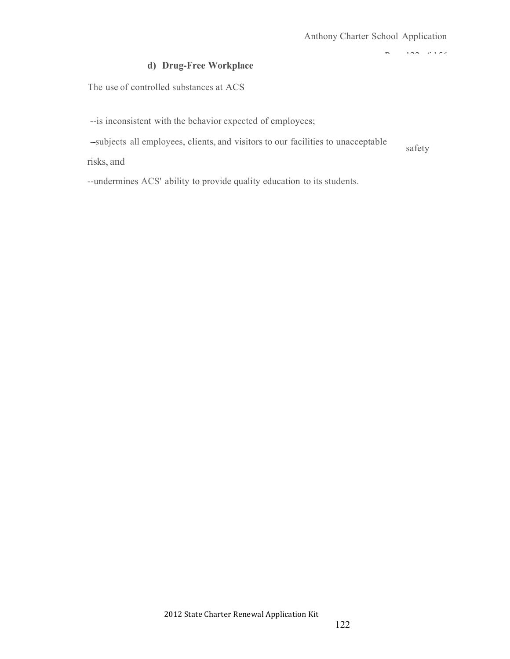$P = 122$ 

### **d) Drug-Free Workplace**

The use of controlled substances at ACS

--is inconsistent with the behavior expected of employees;

--subjects all employees, clients, and visitors to our facilities to unacceptable safety

risks, and

--undermines ACS' ability to provide quality education to its students.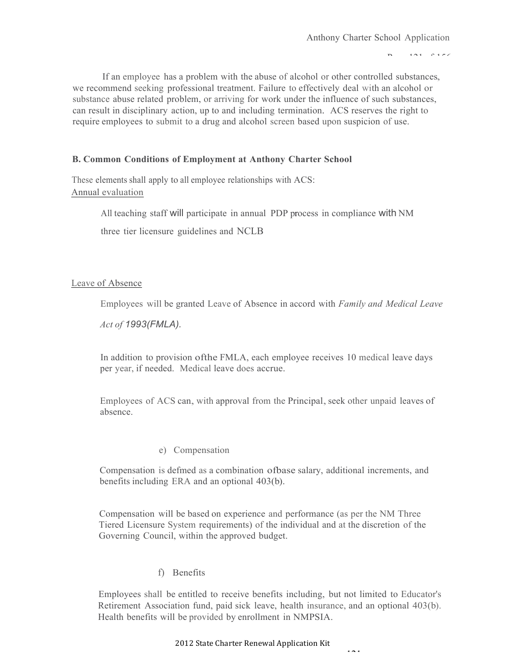Page 121 of 156

If an employee has a problem with the abuse of alcohol or other controlled substances, we recommend seeking professional treatment. Failure to effectively deal with an alcohol or substance abuse related problem, or arriving for work under the influence of such substances, can result in disciplinary action, up to and including termination. ACS reserves the right to require employees to submit to a drug and alcohol screen based upon suspicion of use.

#### **B. Common Conditions of Employment at Anthony Charter School**

These elements shall apply to all employee relationships with ACS: Annual evaluation

All teaching staff will participate in annual PDP process in compliance with NM

three tier licensure guidelines and NCLB

#### Leave of Absence

Employees will be granted Leave of Absence in accord with *Family and Medical Leave*

*Act of 1993(FMLA).*

In addition to provision ofthe FMLA, each employee receives 10 medical leave days per year, if needed. Medical leave does accrue.

Employees of ACS can, with approval from the Principal, seek other unpaid leaves of absence.

#### e) Compensation

Compensation is defmed as a combination ofbase salary, additional increments, and benefits including ERA and an optional 403(b).

Compensation will be based on experience and performance (as per the NM Three Tiered Licensure System requirements) of the individual and at the discretion of the Governing Council, within the approved budget.

#### f) Benefits

Employees shall be entitled to receive benefits including, but not limited to Educator's Retirement Association fund, paid sick leave, health insurance, and an optional 403(b). Health benefits will be provided by enrollment in NMPSIA.

 $121$ 

#### 2012 State Charter Renewal Application Kit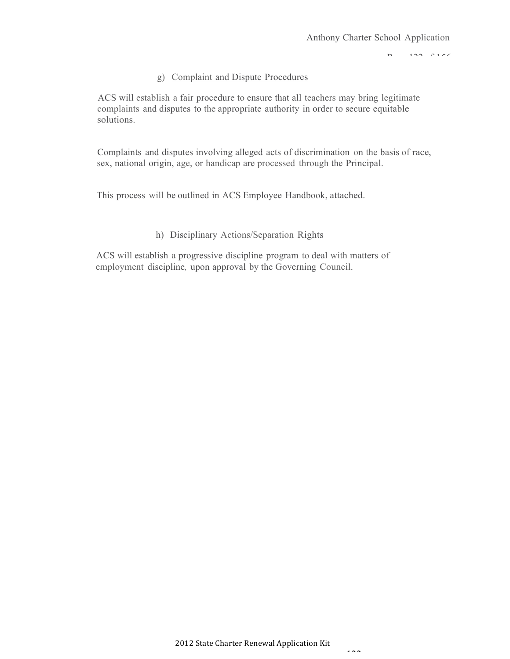$P = 122$ 

#### g) Complaint and Dispute Procedures

ACS will establish a fair procedure to ensure that all teachers may bring legitimate complaints and disputes to the appropriate authority in order to secure equitable solutions.

Complaints and disputes involving alleged acts of discrimination on the basis of race, sex, national origin, age, or handicap are processed through the Principal.

This process will be outlined in ACS Employee Handbook, attached.

#### h) Disciplinary Actions/Separation Rights

ACS will establish a progressive discipline program to deal with matters of employment discipline, upon approval by the Governing Council.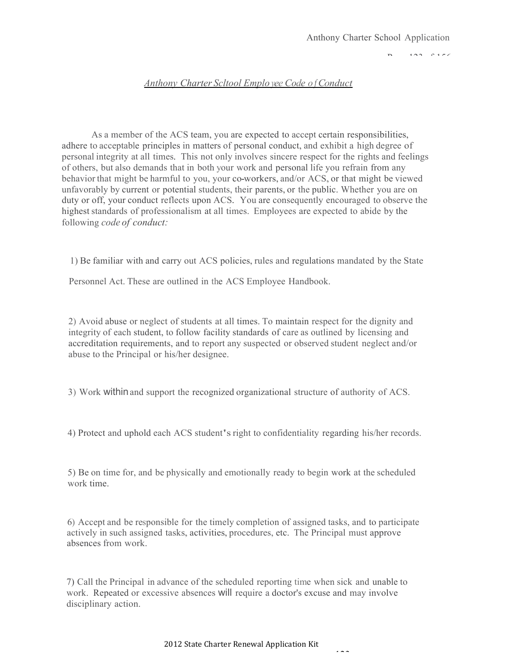#### $P_2 = 123$   $0.156$

#### *Anthony Charter Scltool Emplo yee Code o f Conduct*

As a member of the ACS team, you are expected to accept certain responsibilities, adhere to acceptable principles in matters of personal conduct, and exhibit a high degree of personal integrity at all times. This not only involves sincere respect for the rights and feelings of others, but also demands that in both your work and personal life you refrain from any behavior that might be harmful to you, your co-workers, and/or ACS, or that might be viewed unfavorably by current or potential students, their parents, or the public. Whether you are on duty or off, your conduct reflects upon ACS. You are consequently encouraged to observe the highest standards of professionalism at all times. Employees are expected to abide by the following *code of conduct:*

1) Be familiar with and carry out ACS policies, rules and regulations mandated by the State

Personnel Act. These are outlined in the ACS Employee Handbook.

2) Avoid abuse or neglect of students at all times. To maintain respect for the dignity and integrity of each student, to follow facility standards of care as outlined by licensing and accreditation requirements, and to report any suspected or observed student neglect and/or abuse to the Principal or his/her designee.

3) Work withinand support the recognized organizational structure of authority of ACS.

4) Protect and uphold each ACS student'sright to confidentiality regarding his/her records.

5) Be on time for, and be physically and emotionally ready to begin work at the scheduled work time.

6) Accept and be responsible for the timely completion of assigned tasks, and to participate actively in such assigned tasks, activities, procedures, etc. The Principal must approve absences from work.

7) Call the Principal in advance of the scheduled reporting time when sick and unable to work. Repeated or excessive absences will require a doctor's excuse and may involve disciplinary action.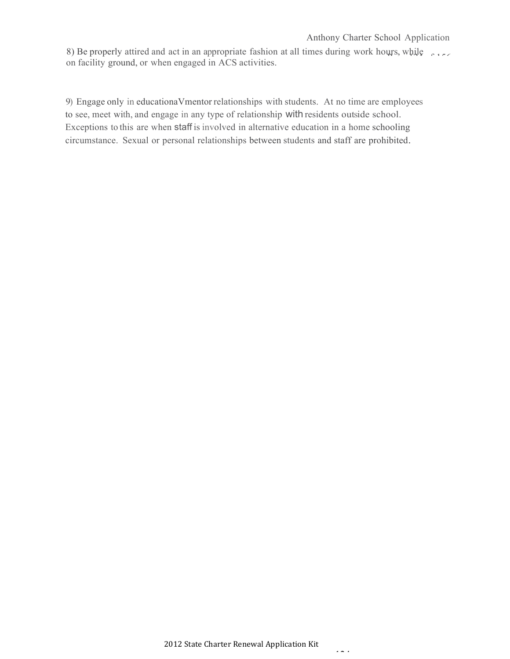#### Anthony Charter School Application

8) Be properly attired and act in an appropriate fashion at all times during work hours, while on facility ground, or when engaged in ACS activities.

9) Engage only in educationaVmentor relationships with students. At no time are employees to see, meet with, and engage in any type of relationship with residents outside school. Exceptions to this are when staff is involved in alternative education in a home schooling circumstance. Sexual or personal relationships between students and staff are prohibited.